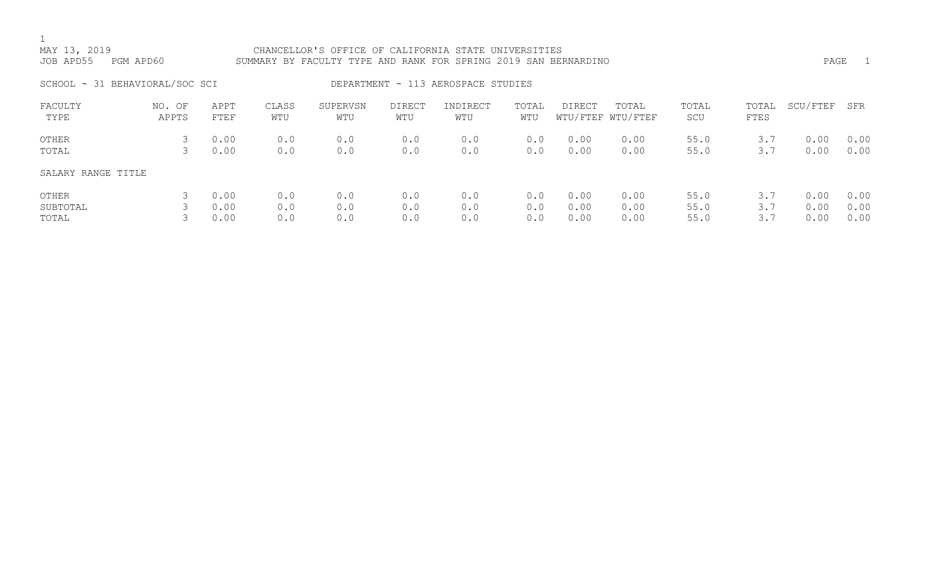## MAY 13, 2019 CHANCELLOR'S OFFICE OF CALIFORNIA STATE UNIVERSITIES JOB APD55 PGM APD60 SUMMARY BY FACULTY TYPE AND RANK FOR SPRING 2019 SAN BERNARDINO PAGE 1 SCHOOL - 31 BEHAVIORAL/SOC SCI DEPARTMENT - 113 AEROSPACE STUDIES

| FACULTY<br>TYPE    | NO. OF<br>APPTS | APPT<br>FTEF | CLASS<br>WTU | SUPERVSN<br>WTU | <b>DIRECT</b><br>WTU | INDIRECT<br>WTU | TOTAL<br>WTU | <b>DIRECT</b> | TOTAL<br>WTU/FTEF WTU/FTEF | TOTAL<br>SCU | TOTAL<br>FTES | SCU/FTEF | SFR  |
|--------------------|-----------------|--------------|--------------|-----------------|----------------------|-----------------|--------------|---------------|----------------------------|--------------|---------------|----------|------|
| OTHER              |                 | 0.00         | 0.0          | 0.0             | 0.0                  | 0.0             | 0.0          | 0.00          | 0.00                       | 55.0         | 3.7           | 0.00     | 0.00 |
| TOTAL              |                 | 0.00         | 0.0          | 0.0             | 0.0                  | 0.0             | 0.0          | 0.00          | 0.00                       | 55.0         | 3.7           | 0.00     | 0.00 |
| SALARY RANGE TITLE |                 |              |              |                 |                      |                 |              |               |                            |              |               |          |      |
| OTHER              |                 | 0.00         | 0.0          | 0.0             | 0.0                  | 0.0             | 0.0          | 0.00          | 0.00                       | 55.0         | 3.7           | 0.00     | 0.00 |
| SUBTOTAL           |                 | 0.00         | 0.0          | 0.0             | 0.0                  | 0.0             | 0.0          | 0.00          | 0.00                       | 55.0         | 3.7           | 0.00     | 0.00 |
| TOTAL              |                 | 0.00         | 0.0          | 0.0             | 0.0                  | 0.0             | 0.0          | 0.00          | 0.00                       | 55.0         | 3.7           | 0.00     | 0.00 |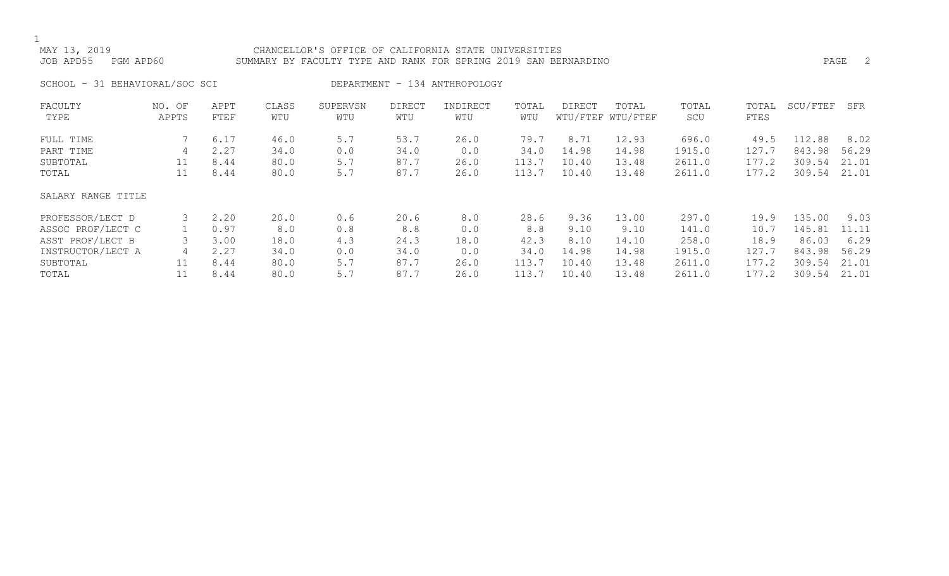## MAY 13, 2019 CHANCELLOR'S OFFICE OF CALIFORNIA STATE UNIVERSITIES JOB APD55 PGM APD60 SUMMARY BY FACULTY TYPE AND RANK FOR SPRING 2019 SAN BERNARDINO PAGE 2

SCHOOL - 31 BEHAVIORAL/SOC SCI DEPARTMENT - 134 ANTHROPOLOGY

| FACULTY            | NO. OF | APPT | CLASS | SUPERVSN | <b>DIRECT</b> | INDIRECT | TOTAL | DIRECT | TOTAL             | TOTAL  | TOTAL | SCU/FTEF | SFR   |
|--------------------|--------|------|-------|----------|---------------|----------|-------|--------|-------------------|--------|-------|----------|-------|
| TYPE               | APPTS  | FTEF | WTU   | WTU      | WTU           | WTU      | WTU   |        | WTU/FTEF WTU/FTEF | SCU    | FTES  |          |       |
| FULL TIME          |        | 6.17 | 46.0  | 5.7      | 53.7          | 26.0     | 79.7  | 8.71   | 12.93             | 696.0  | 49.5  | 112.88   | 8.02  |
| PART TIME          | 4      | 2.27 | 34.0  | 0.0      | 34.0          | 0.0      | 34.0  | 14.98  | 14.98             | 1915.0 | 127.7 | 843.98   | 56.29 |
| SUBTOTAL           | 11     | 8.44 | 80.0  | 5.7      | 87.7          | 26.0     | 113.7 | 10.40  | 13.48             | 2611.0 | 177.2 | 309.54   | 21.01 |
| TOTAL              | 11     | 8.44 | 80.0  | 5.7      | 87.7          | 26.0     | 113.7 | 10.40  | 13.48             | 2611.0 | 177.2 | 309.54   | 21.01 |
| SALARY RANGE TITLE |        |      |       |          |               |          |       |        |                   |        |       |          |       |
| PROFESSOR/LECT D   |        | 2.20 | 20.0  | 0.6      | 20.6          | 8.0      | 28.6  | 9.36   | 13.00             | 297.0  | 19.9  | 135.00   | 9.03  |
| ASSOC PROF/LECT C  |        | 0.97 | 8.0   | 0.8      | 8.8           | 0.0      | 8.8   | 9.10   | 9.10              | 141.0  | 10.7  | 145.81   | 11.11 |
| ASST PROF/LECT B   |        | 3.00 | 18.0  | 4.3      | 24.3          | 18.0     | 42.3  | 8.10   | 14.10             | 258.0  | 18.9  | 86.03    | 6.29  |
| INSTRUCTOR/LECT A  | 4      | 2.27 | 34.0  | 0.0      | 34.0          | 0.0      | 34.0  | 14.98  | 14.98             | 1915.0 | 127.7 | 843.98   | 56.29 |
| SUBTOTAL           | 11     | 8.44 | 80.0  | 5.7      | 87.7          | 26.0     | 113.7 | 10.40  | 13.48             | 2611.0 | 177.2 | 309.54   | 21.01 |
| TOTAL              |        | 8.44 | 80.0  | 5.7      | 87.7          | 26.0     | 113.7 | 10.40  | 13.48             | 2611.0 | 177.2 | 309.54   | 21.01 |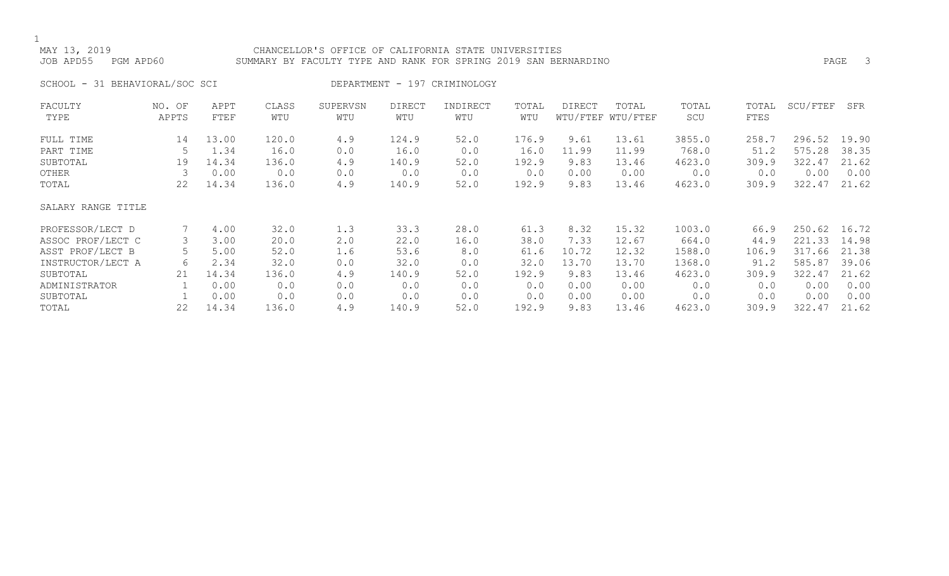## MAY 13, 2019 CHANCELLOR'S OFFICE OF CALIFORNIA STATE UNIVERSITIES JOB APD55 PGM APD60 SUMMARY BY FACULTY TYPE AND RANK FOR SPRING 2019 SAN BERNARDINO PAGE 3

SCHOOL - 31 BEHAVIORAL/SOC SCI DEPARTMENT - 197 CRIMINOLOGY

| FACULTY            | NO. OF | APPT  | CLASS | SUPERVSN | <b>DIRECT</b> | INDIRECT | TOTAL | <b>DIRECT</b> | TOTAL             | TOTAL  | TOTAL | SCU/FTEF | SFR   |
|--------------------|--------|-------|-------|----------|---------------|----------|-------|---------------|-------------------|--------|-------|----------|-------|
| TYPE               | APPTS  | FTEF  | WTU   | WTU      | WTU           | WTU      | WTU   |               | WTU/FTEF WTU/FTEF | SCU    | FTES  |          |       |
| FULL TIME          | 14     | 13.00 | 120.0 | 4.9      | 124.9         | 52.0     | 176.9 | 9.61          | 13.61             | 3855.0 | 258.7 | 296.52   | 19.90 |
| PART TIME          |        | 1.34  | 16.0  | 0.0      | 16.0          | 0.0      | 16.0  | 11.99         | 11.99             | 768.0  | 51.2  | 575.28   | 38.35 |
| SUBTOTAL           | 19     | 14.34 | 136.0 | 4.9      | 140.9         | 52.0     | 192.9 | 9.83          | 13.46             | 4623.0 | 309.9 | 322.47   | 21.62 |
| OTHER              |        | 0.00  | 0.0   | 0.0      | 0.0           | 0.0      | 0.0   | 0.00          | 0.00              | 0.0    | 0.0   | 0.00     | 0.00  |
| TOTAL              | 22     | 14.34 | 136.0 | 4.9      | 140.9         | 52.0     | 192.9 | 9.83          | 13.46             | 4623.0 | 309.9 | 322.47   | 21.62 |
| SALARY RANGE TITLE |        |       |       |          |               |          |       |               |                   |        |       |          |       |
| PROFESSOR/LECT D   |        | 4.00  | 32.0  | 1.3      | 33.3          | 28.0     | 61.3  | 8.32          | 15.32             | 1003.0 | 66.9  | 250.62   | 16.72 |
| ASSOC PROF/LECT C  |        | 3.00  | 20.0  | 2.0      | 22.0          | 16.0     | 38.0  | 7.33          | 12.67             | 664.0  | 44.9  | 221.33   | 14.98 |
| ASST PROF/LECT B   |        | 5.00  | 52.0  | 1.6      | 53.6          | 8.0      | 61.6  | 10.72         | 12.32             | 1588.0 | 106.9 | 317.66   | 21.38 |
| INSTRUCTOR/LECT A  | 6      | 2.34  | 32.0  | 0.0      | 32.0          | 0.0      | 32.0  | 13.70         | 13.70             | 1368.0 | 91.2  | 585.87   | 39.06 |
| SUBTOTAL           | 21     | 14.34 | 136.0 | 4.9      | 140.9         | 52.0     | 192.9 | 9.83          | 13.46             | 4623.0 | 309.9 | 322.47   | 21.62 |
| ADMINISTRATOR      |        | 0.00  | 0.0   | 0.0      | 0.0           | 0.0      | 0.0   | 0.00          | 0.00              | 0.0    | 0.0   | 0.00     | 0.00  |
| SUBTOTAL           |        | 0.00  | 0.0   | 0.0      | 0.0           | 0.0      | 0.0   | 0.00          | 0.00              | 0.0    | 0.0   | 0.00     | 0.00  |
| TOTAL              | 22     | 14.34 | 136.0 | 4.9      | 140.9         | 52.0     | 192.9 | 9.83          | 13.46             | 4623.0 | 309.9 | 322.47   | 21.62 |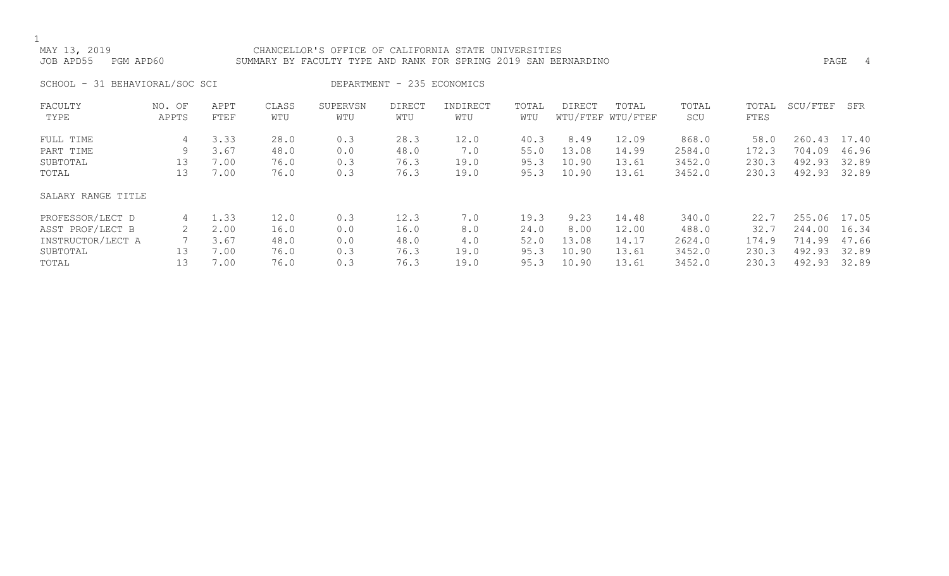## MAY 13, 2019 CHANCELLOR'S OFFICE OF CALIFORNIA STATE UNIVERSITIES JOB APD55 PGM APD60 SUMMARY BY FACULTY TYPE AND RANK FOR SPRING 2019 SAN BERNARDINO PAGE 4

SCHOOL - 31 BEHAVIORAL/SOC SCI DEPARTMENT - 235 ECONOMICS

| FACULTY            | NO. OF<br>APPTS | APPT        | CLASS | SUPERVSN | <b>DIRECT</b> | INDIRECT | TOTAL<br>WTU | <b>DIRECT</b> | TOTAL<br>WTU/FTEF WTU/FTEF | TOTAL  | TOTAL | SCU/FTEF | SFR   |
|--------------------|-----------------|-------------|-------|----------|---------------|----------|--------------|---------------|----------------------------|--------|-------|----------|-------|
| TYPE               |                 | FTEF        | WTU   | WTU      | WTU           | WTU      |              |               |                            | SCU    | FTES  |          |       |
| FULL TIME          | 4               | 3.33        | 28.0  | 0.3      | 28.3          | 12.0     | 40.3         | 8.49          | 12.09                      | 868.0  | 58.0  | 260.43   | 17.40 |
| PART TIME          | 9               | 3.67        | 48.0  | 0.0      | 48.0          | 7.0      | 55.0         | 13.08         | 14.99                      | 2584.0 | 172.3 | 704.09   | 46.96 |
| SUBTOTAL           | 13              | 7.00        | 76.0  | 0.3      | 76.3          | 19.0     | 95.3         | 10.90         | 13.61                      | 3452.0 | 230.3 | 492.93   | 32.89 |
| TOTAL              | 13              | 7.00        | 76.0  | 0.3      | 76.3          | 19.0     | 95.3         | 10.90         | 13.61                      | 3452.0 | 230.3 | 492.93   | 32.89 |
| SALARY RANGE TITLE |                 |             |       |          |               |          |              |               |                            |        |       |          |       |
| PROFESSOR/LECT D   | 4               | $\perp$ .33 | 12.0  | 0.3      | 12.3          | 7.0      | 19.3         | 9.23          | 14.48                      | 340.0  | 22.7  | 255.06   | 17.05 |
| ASST PROF/LECT B   |                 | 2.00        | 16.0  | 0.0      | 16.0          | 8.0      | 24.0         | 8.00          | 12.00                      | 488.0  | 32.7  | 244.00   | 16.34 |
| INSTRUCTOR/LECT A  |                 | 3.67        | 48.0  | 0.0      | 48.0          | 4.0      | 52.0         | 13.08         | 14.17                      | 2624.0 | 174.9 | 714.99   | 47.66 |
| SUBTOTAL           | 13              | 7.00        | 76.0  | 0.3      | 76.3          | 19.0     | 95.3         | 10.90         | 13.61                      | 3452.0 | 230.3 | 492.93   | 32.89 |
| TOTAL              | 13              | 7.00        | 76.0  | 0.3      | 76.3          | 19.0     | 95.3         | 10.90         | 13.61                      | 3452.0 | 230.3 | 492.93   | 32.89 |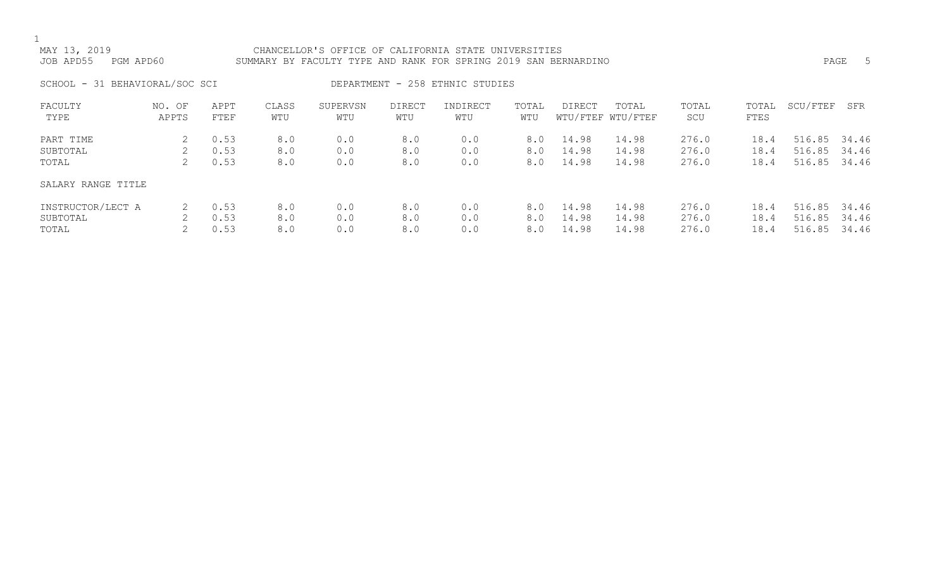## MAY 13, 2019 CHANCELLOR'S OFFICE OF CALIFORNIA STATE UNIVERSITIES JOB APD55 PGM APD60 SUMMARY BY FACULTY TYPE AND RANK FOR SPRING 2019 SAN BERNARDINO PAGE 5

SCHOOL - 31 BEHAVIORAL/SOC SCI DEPARTMENT - 258 ETHNIC STUDIES

| FACULTY<br>TYPE    | NO. OF<br>APPTS | APPT<br>FTEF | CLASS<br>WTU | SUPERVSN<br>WTU | <b>DIRECT</b><br>WTU | INDIRECT<br>WTU | TOTAL<br>WTU | <b>DIRECT</b> | TOTAL<br>WTU/FTEF WTU/FTEF | TOTAL<br>SCU | TOTAL<br>FTES | SCU/FTEF | SFR   |
|--------------------|-----------------|--------------|--------------|-----------------|----------------------|-----------------|--------------|---------------|----------------------------|--------------|---------------|----------|-------|
| PART TIME          |                 | 0.53         | 8.0          | 0.0             | 8.0                  | 0.0             | 8.0          | 14.98         | 14.98                      | 276.0        | 18.4          | 516.85   | 34.46 |
| SUBTOTAL           |                 | 0.53         | 8.0          | 0.0             | 8.0                  | 0.0             | 8.0          | 14.98         | 14.98                      | 276.0        | 18.4          | 516.85   | 34.46 |
| TOTAL              |                 | 0.53         | 8.0          | 0.0             | 8.0                  | 0.0             | 8.0          | 14.98         | 14.98                      | 276.0        | 18.4          | 516.85   | 34.46 |
| SALARY RANGE TITLE |                 |              |              |                 |                      |                 |              |               |                            |              |               |          |       |
| INSTRUCTOR/LECT A  |                 | 0.53         | 8.0          | 0.0             | 8.0                  | 0.0             | 8.0          | 14.98         | 14.98                      | 276.0        | 18.4          | 516.85   | 34.46 |
| SUBTOTAL           |                 | 0.53         | 8.0          | 0.0             | 8.0                  | 0.0             | 8.0          | 14.98         | 14.98                      | 276.0        | 18.4          | 516.85   | 34.46 |
| TOTAL              |                 | 0.53         | 8.0          | 0.0             | 8.0                  | 0.0             | 8.0          | 14.98         | 14.98                      | 276.0        | 18.4          | 516.85   | 34.46 |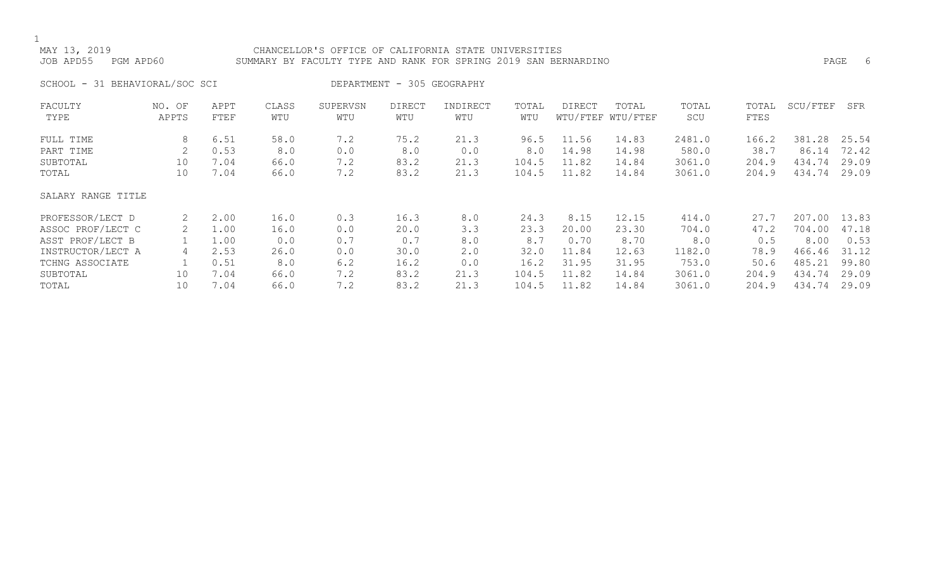## MAY 13, 2019 CHANCELLOR'S OFFICE OF CALIFORNIA STATE UNIVERSITIES JOB APD55 PGM APD60 SUMMARY BY FACULTY TYPE AND RANK FOR SPRING 2019 SAN BERNARDINO PAGE 6

SCHOOL - 31 BEHAVIORAL/SOC SCI DEPARTMENT - 305 GEOGRAPHY

| FACULTY            | NO. OF | APPT | CLASS | SUPERVSN | <b>DIRECT</b> | INDIRECT | TOTAL | <b>DIRECT</b> | TOTAL             | TOTAL  | TOTAL | SCU/FTEF | SFR   |
|--------------------|--------|------|-------|----------|---------------|----------|-------|---------------|-------------------|--------|-------|----------|-------|
| TYPE               | APPTS  | FTEF | WTU   | WTU      | WTU           | WTU      | WTU   |               | WTU/FTEF WTU/FTEF | SCU    | FTES  |          |       |
| FULL TIME          | 8      | 6.51 | 58.0  | 7.2      | 75.2          | 21.3     | 96.5  | 11.56         | 14.83             | 2481.0 | 166.2 | 381.28   | 25.54 |
| PART TIME          |        | 0.53 | 8.0   | 0.0      | 8.0           | 0.0      | 8.0   | 14.98         | 14.98             | 580.0  | 38.7  | 86.14    | 72.42 |
| SUBTOTAL           | 10     | 7.04 | 66.0  | 7.2      | 83.2          | 21.3     | 104.5 | 11.82         | 14.84             | 3061.0 | 204.9 | 434.74   | 29.09 |
| TOTAL              | 10     | 7.04 | 66.0  | 7.2      | 83.2          | 21.3     | 104.5 | 11.82         | 14.84             | 3061.0 | 204.9 | 434.74   | 29.09 |
| SALARY RANGE TITLE |        |      |       |          |               |          |       |               |                   |        |       |          |       |
| PROFESSOR/LECT D   | 2      | 2.00 | 16.0  | 0.3      | 16.3          | 8.0      | 24.3  | 8.15          | 12.15             | 414.0  | 27.7  | 207.00   | 13.83 |
| ASSOC PROF/LECT C  |        | 1.00 | 16.0  | 0.0      | 20.0          | 3.3      | 23.3  | 20.00         | 23.30             | 704.0  | 47.2  | 704.00   | 47.18 |
| ASST PROF/LECT B   |        | 1.00 | 0.0   | 0.7      | 0.7           | 8.0      | 8.7   | 0.70          | 8.70              | 8.0    | 0.5   | 8.00     | 0.53  |
| INSTRUCTOR/LECT A  | 4      | 2.53 | 26.0  | 0.0      | 30.0          | 2.0      | 32.0  | 11.84         | 12.63             | 1182.0 | 78.9  | 466.46   | 31.12 |
| TCHNG ASSOCIATE    |        | 0.51 | 8.0   | 6.2      | 16.2          | 0.0      | 16.2  | 31.95         | 31.95             | 753.0  | 50.6  | 485.21   | 99.80 |
| SUBTOTAL           | 10     | 7.04 | 66.0  | 7.2      | 83.2          | 21.3     | 104.5 | 11.82         | 14.84             | 3061.0 | 204.9 | 434.74   | 29.09 |
| TOTAL              | 10     | 7.04 | 66.0  | 7.2      | 83.2          | 21.3     | 104.5 | 11.82         | 14.84             | 3061.0 | 204.9 | 434.74   | 29.09 |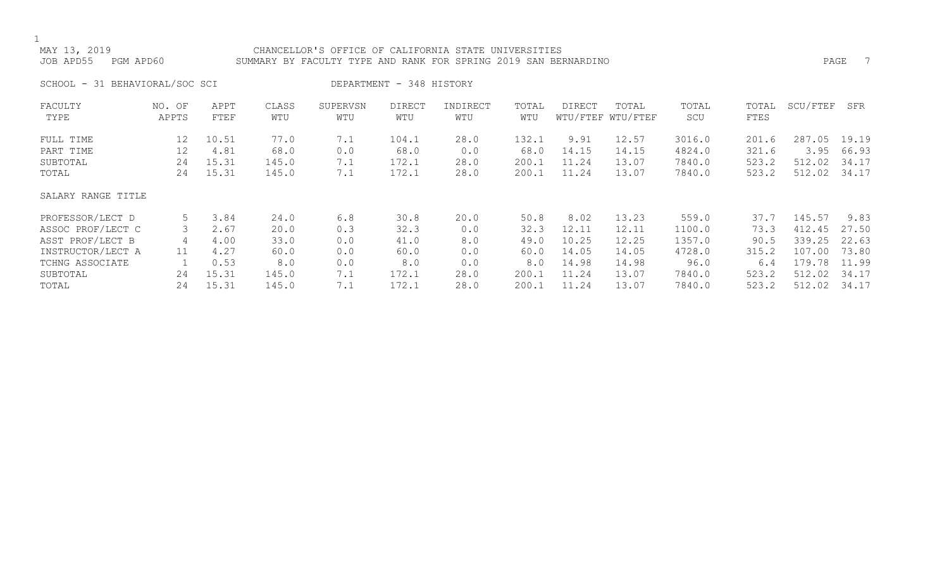## MAY 13, 2019 CHANCELLOR'S OFFICE OF CALIFORNIA STATE UNIVERSITIES JOB APD55 PGM APD60 SUMMARY BY FACULTY TYPE AND RANK FOR SPRING 2019 SAN BERNARDINO

SCHOOL - 31 BEHAVIORAL/SOC SCI DEPARTMENT - 348 HISTORY

| FACULTY            | NO. OF | APPT  | CLASS | SUPERVSN | <b>DIRECT</b> | INDIRECT | TOTAL | DIRECT | TOTAL             | TOTAL  | TOTAL | SCU/FTEF | SFR   |
|--------------------|--------|-------|-------|----------|---------------|----------|-------|--------|-------------------|--------|-------|----------|-------|
| TYPE               | APPTS  | FTEF  | WTU   | WTU      | WTU           | WTU      | WTU   |        | WTU/FTEF WTU/FTEF | SCU    | FTES  |          |       |
| FULL TIME          | 12     | 10.51 | 77.0  | 7.1      | 104.1         | 28.0     | 132.1 | 9.91   | 12.57             | 3016.0 | 201.6 | 287.05   | 19.19 |
| PART TIME          | 12     | 4.81  | 68.0  | 0.0      | 68.0          | 0.0      | 68.0  | 14.15  | 14.15             | 4824.0 | 321.6 | 3.95     | 66.93 |
| SUBTOTAL           | 24     | 15.31 | 145.0 | 7.1      | 172.1         | 28.0     | 200.1 | 11.24  | 13.07             | 7840.0 | 523.2 | 512.02   | 34.17 |
| TOTAL              | 24     | 15.31 | 145.0 | 7.1      | 172.1         | 28.0     | 200.1 | 11.24  | 13.07             | 7840.0 | 523.2 | 512.02   | 34.17 |
| SALARY RANGE TITLE |        |       |       |          |               |          |       |        |                   |        |       |          |       |
| PROFESSOR/LECT D   | 5      | 3.84  | 24.0  | 6.8      | 30.8          | 20.0     | 50.8  | 8.02   | 13.23             | 559.0  | 37.7  | 145.57   | 9.83  |
| ASSOC PROF/LECT C  |        | 2.67  | 20.0  | 0.3      | 32.3          | 0.0      | 32.3  | 12.11  | 12.11             | 1100.0 | 73.3  | 412.45   | 27.50 |
| ASST PROF/LECT B   | 4      | 4.00  | 33.0  | 0.0      | 41.0          | 8.0      | 49.0  | 10.25  | 12.25             | 1357.0 | 90.5  | 339.25   | 22.63 |
| INSTRUCTOR/LECT A  | 11     | 4.27  | 60.0  | 0.0      | 60.0          | 0.0      | 60.0  | 14.05  | 14.05             | 4728.0 | 315.2 | 107.00   | 73.80 |
| TCHNG ASSOCIATE    |        | 0.53  | 8.0   | 0.0      | 8.0           | 0.0      | 8.0   | 14.98  | 14.98             | 96.0   | 6.4   | 179.78   | 11.99 |
| SUBTOTAL           | 24     | 15.31 | 145.0 | 7.1      | 172.1         | 28.0     | 200.1 | 11.24  | 13.07             | 7840.0 | 523.2 | 512.02   | 34.17 |
| TOTAL              | 24     | 15.31 | 145.0 | 7.1      | 172.1         | 28.0     | 200.1 | 11.24  | 13.07             | 7840.0 | 523.2 | 512.02   | 34.17 |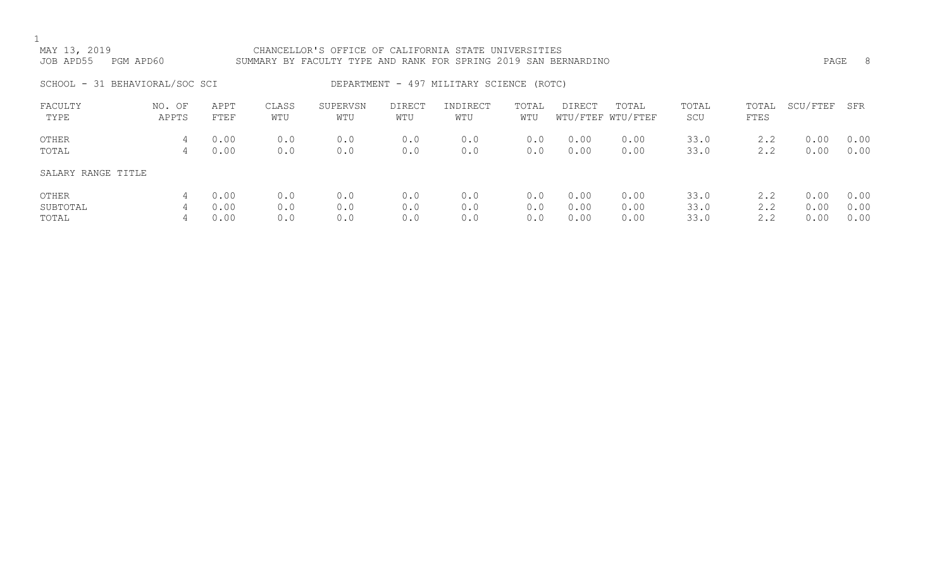| MAY 13, 2019<br>JOB APD55      | PGM APD60       |              |              | CHANCELLOR'S OFFICE OF CALIFORNIA STATE UNIVERSITIES<br>SUMMARY BY FACULTY TYPE AND RANK FOR SPRING 2019 SAN BERNARDINO |                      |                                          |              |              |                            |              |               | PAGE         | - 8          |
|--------------------------------|-----------------|--------------|--------------|-------------------------------------------------------------------------------------------------------------------------|----------------------|------------------------------------------|--------------|--------------|----------------------------|--------------|---------------|--------------|--------------|
| SCHOOL - 31 BEHAVIORAL/SOC SCI |                 |              |              |                                                                                                                         |                      | DEPARTMENT - 497 MILITARY SCIENCE (ROTC) |              |              |                            |              |               |              |              |
| FACULTY<br>TYPE                | NO. OF<br>APPTS | APPT<br>FTEF | CLASS<br>WTU | SUPERVSN<br>WTU                                                                                                         | <b>DIRECT</b><br>WTU | INDIRECT<br>WTU                          | TOTAL<br>WTU | DIRECT       | TOTAL<br>WTU/FTEF WTU/FTEF | TOTAL<br>SCU | TOTAL<br>FTES | SCU/FTEF     | SFR          |
| OTHER<br>TOTAL                 | 4<br>4          | 0.00<br>0.00 | 0.0<br>0.0   | 0.0<br>0.0                                                                                                              | 0.0<br>0.0           | 0.0<br>0.0                               | 0.0<br>0.0   | 0.00<br>0.00 | 0.00<br>0.00               | 33.0<br>33.0 | 2.2<br>2.2    | 0.00<br>0.00 | 0.00<br>0.00 |
| SALARY RANGE TITLE             |                 |              |              |                                                                                                                         |                      |                                          |              |              |                            |              |               |              |              |

| OTHER    | 4 0.00 |  |  |  | $0.0$ $0.0$ $0.0$ $0.0$ $0.0$ $0.0$ $0.00$ $0.00$ $33.0$ $2.2$ $0.00$ $0.00$        |  |  |
|----------|--------|--|--|--|-------------------------------------------------------------------------------------|--|--|
| SUBTOTAL |        |  |  |  | 4  0.00    0.0    0.0     0.0     0.0    0.00    0.00     33.0     2.2   0.00  0.00 |  |  |
| TOTAL    | 4 0.00 |  |  |  | $0.0$ $0.0$ $0.0$ $0.0$ $0.0$ $0.0$ $0.00$ $0.00$ $33.0$ $2.2$ $0.00$ $0.00$        |  |  |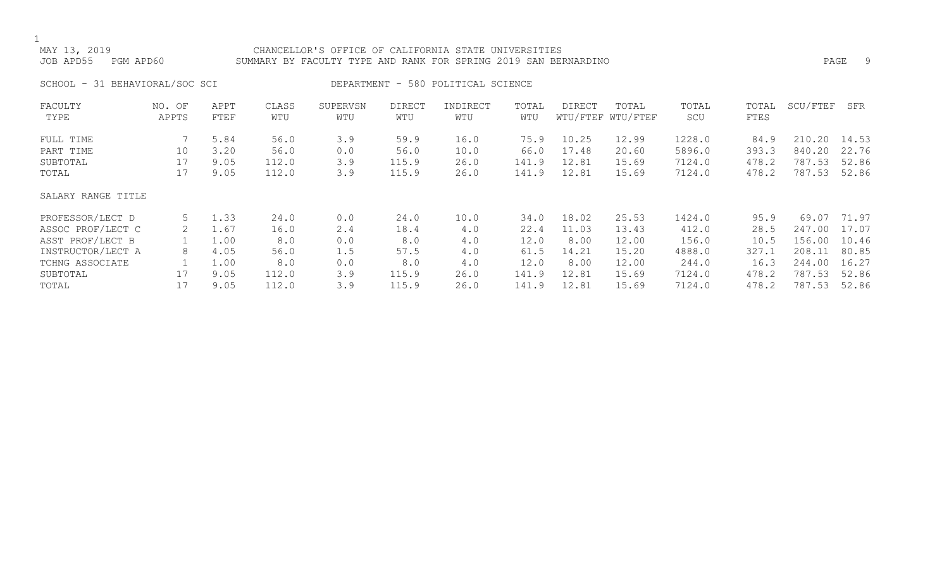## MAY 13, 2019 CHANCELLOR'S OFFICE OF CALIFORNIA STATE UNIVERSITIES JOB APD55 PGM APD60 SUMMARY BY FACULTY TYPE AND RANK FOR SPRING 2019 SAN BERNARDINO PAGE 9

SCHOOL - 31 BEHAVIORAL/SOC SCI DEPARTMENT - 580 POLITICAL SCIENCE

| FACULTY            | NO. OF | APPT | CLASS | SUPERVSN | <b>DIRECT</b> | INDIRECT | TOTAL | DIRECT | TOTAL             | TOTAL  | TOTAL | SCU/FTEF    | SFR   |
|--------------------|--------|------|-------|----------|---------------|----------|-------|--------|-------------------|--------|-------|-------------|-------|
| TYPE               | APPTS  | FTEF | WTU   | WTU      | WTU           | WTU      | WTU   |        | WTU/FTEF WTU/FTEF | SCU    | FTES  |             |       |
| FULL TIME          |        | 5.84 | 56.0  | 3.9      | 59.9          | 16.0     | 75.9  | 10.25  | 12.99             | 1228.0 | 84.9  | .20<br>210. | 14.53 |
| PART TIME          | 10     | 3.20 | 56.0  | 0.0      | 56.0          | 10.0     | 66.0  | 17.48  | 20.60             | 5896.0 | 393.3 | 840.20      | 22.76 |
| SUBTOTAL           | 17     | 9.05 | 112.0 | 3.9      | 115.9         | 26.0     | 141.9 | 12.81  | 15.69             | 7124.0 | 478.2 | 787.53      | 52.86 |
| TOTAL              | 17     | 9.05 | 112.0 | 3.9      | 115.9         | 26.0     | 141.9 | 12.81  | 15.69             | 7124.0 | 478.2 | 787.53      | 52.86 |
| SALARY RANGE TITLE |        |      |       |          |               |          |       |        |                   |        |       |             |       |
| PROFESSOR/LECT D   | 5      | 1.33 | 24.0  | 0.0      | 24.0          | 10.0     | 34.0  | 18.02  | 25.53             | 1424.0 | 95.9  | 69.07       | 71.97 |
| ASSOC PROF/LECT C  | 2      | 1.67 | 16.0  | 2.4      | 18.4          | 4.0      | 22.4  | 11.03  | 13.43             | 412.0  | 28.5  | 247.00      | 17.07 |
| ASST PROF/LECT B   |        | 1.00 | 8.0   | 0.0      | 8.0           | 4.0      | 12.0  | 8.00   | 12.00             | 156.0  | 10.5  | 156.00      | 10.46 |
| INSTRUCTOR/LECT A  | 8      | 4.05 | 56.0  | 1.5      | 57.5          | 4.0      | 61.5  | 14.21  | 15.20             | 4888.0 | 327.1 | 208.11      | 80.85 |
| TCHNG ASSOCIATE    |        | 1.00 | 8.0   | 0.0      | 8.0           | 4.0      | 12.0  | 8.00   | 12.00             | 244.0  | 16.3  | 244.00      | 16.27 |
| SUBTOTAL           | 17     | 9.05 | 112.0 | 3.9      | 115.9         | 26.0     | 141.9 | 12.81  | 15.69             | 7124.0 | 478.2 | 787.53      | 52.86 |
| TOTAL              |        | 9.05 | 112.0 | 3.9      | 115.9         | 26.0     | 141.9 | 12.81  | 15.69             | 7124.0 | 478.2 | 787.53      | 52.86 |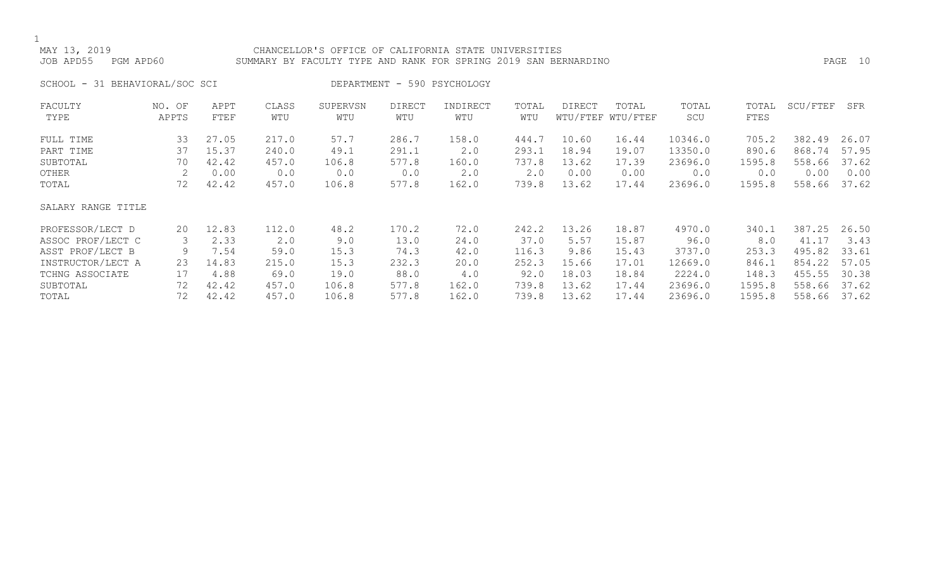## MAY 13, 2019 CHANCELLOR'S OFFICE OF CALIFORNIA STATE UNIVERSITIES JOB APD55 PGM APD60 SUMMARY BY FACULTY TYPE AND RANK FOR SPRING 2019 SAN BERNARDINO PAGE 10

SCHOOL - 31 BEHAVIORAL/SOC SCI DEPARTMENT - 590 PSYCHOLOGY

| FACULTY            | NO. OF | APPT  | CLASS | SUPERVSN | <b>DIRECT</b> | INDIRECT | TOTAL | DIRECT | TOTAL             | TOTAL   | TOTAL  | SCU/FTEF | SFR   |
|--------------------|--------|-------|-------|----------|---------------|----------|-------|--------|-------------------|---------|--------|----------|-------|
| TYPE               | APPTS  | FTEF  | WTU   | WTU      | WTU           | WTU      | WTU   |        | WTU/FTEF WTU/FTEF | SCU     | FTES   |          |       |
| FULL TIME          | 33     | 27.05 | 217.0 | 57.7     | 286.7         | 158.0    | 444.7 | 10.60  | 16.44             | 10346.0 | 705.2  | 382.49   | 26.07 |
| PART TIME          | 37     | 15.37 | 240.0 | 49.1     | 291.1         | 2.0      | 293.1 | 18.94  | 19.07             | 13350.0 | 890.6  | 868.74   | 57.95 |
| SUBTOTAL           | 70     | 42.42 | 457.0 | 106.8    | 577.8         | 160.0    | 737.8 | 13.62  | 17.39             | 23696.0 | 1595.8 | 558.66   | 37.62 |
| OTHER              |        | 0.00  | 0.0   | 0.0      | 0.0           | 2.0      | 2.0   | 0.00   | 0.00              | 0.0     | 0.0    | 0.00     | 0.00  |
| TOTAL              | 72     | 42.42 | 457.0 | 106.8    | 577.8         | 162.0    | 739.8 | 13.62  | 17.44             | 23696.0 | 1595.8 | 558.66   | 37.62 |
| SALARY RANGE TITLE |        |       |       |          |               |          |       |        |                   |         |        |          |       |
| PROFESSOR/LECT D   | 20     | 12.83 | 112.0 | 48.2     | 170.2         | 72.0     | 242.2 | 13.26  | 18.87             | 4970.0  | 340.1  | 387.25   | 26.50 |
| ASSOC PROF/LECT C  | 3      | 2.33  | 2.0   | 9.0      | 13.0          | 24.0     | 37.0  | 5.57   | 15.87             | 96.0    | 8.0    | 41.17    | 3.43  |
| ASST PROF/LECT B   | 9      | 7.54  | 59.0  | 15.3     | 74.3          | 42.0     | 116.3 | 9.86   | 15.43             | 3737.0  | 253.3  | 495.82   | 33.61 |
| INSTRUCTOR/LECT A  | 23     | 14.83 | 215.0 | 15.3     | 232.3         | 20.0     | 252.3 | 15.66  | 17.01             | 12669.0 | 846.1  | 854.22   | 57.05 |
| TCHNG ASSOCIATE    | 17     | 4.88  | 69.0  | 19.0     | 88.0          | 4.0      | 92.0  | 18.03  | 18.84             | 2224.0  | 148.3  | 455.55   | 30.38 |
| SUBTOTAL           | 72     | 42.42 | 457.0 | 106.8    | 577.8         | 162.0    | 739.8 | 13.62  | 17.44             | 23696.0 | 1595.8 | 558.66   | 37.62 |
| TOTAL              | 72     | 42.42 | 457.0 | 106.8    | 577.8         | 162.0    | 739.8 | 13.62  | 17.44             | 23696.0 | 1595.8 | 558.66   | 37.62 |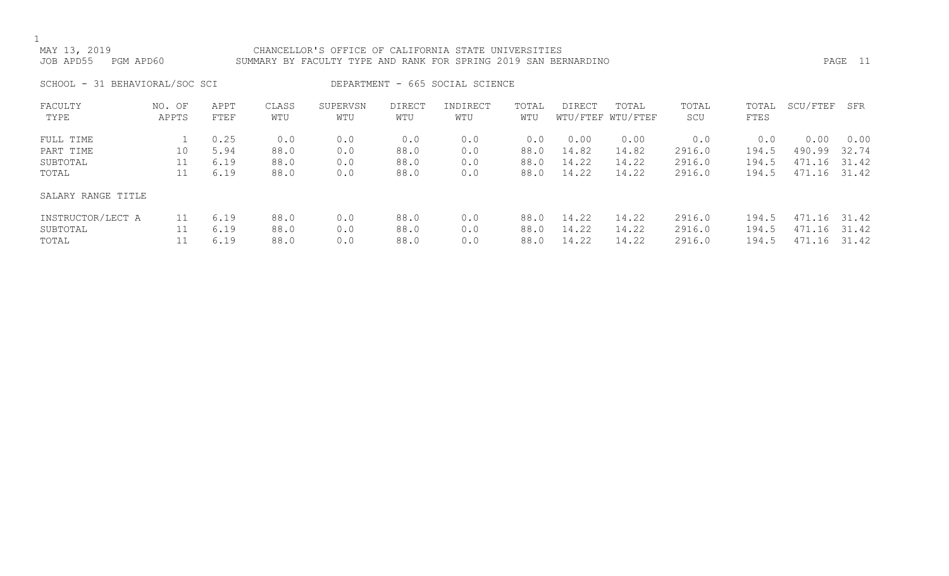## MAY 13, 2019 CHANCELLOR'S OFFICE OF CALIFORNIA STATE UNIVERSITIES JOB APD55 PGM APD60 SUMMARY BY FACULTY TYPE AND RANK FOR SPRING 2019 SAN BERNARDINO PAGE 11

SCHOOL - 31 BEHAVIORAL/SOC SCI DEPARTMENT - 665 SOCIAL SCIENCE

| FACULTY            | NO. OF | APPT | CLASS | SUPERVSN | <b>DIRECT</b> | INDIRECT | TOTAL | <b>DIRECT</b> | TOTAL             | TOTAL  | TOTAL | SCU/FTEF      | SFR   |
|--------------------|--------|------|-------|----------|---------------|----------|-------|---------------|-------------------|--------|-------|---------------|-------|
| TYPE               | APPTS  | FTEF | WTU   | WTU      | WTU           | WTU      | WTU   |               | WTU/FTEF WTU/FTEF | SCU    | FTES  |               |       |
|                    |        |      |       |          |               |          |       |               |                   |        |       |               |       |
| FULL TIME          |        | 0.25 | 0.0   | 0.0      | 0.0           | 0.0      | 0.0   | 0.00          | 0.00              | 0.0    | 0.0   | 0.00          | 0.00  |
| PART TIME          | 10     | 5.94 | 88.0  | 0.0      | 88.0          | 0.0      | 88.0  | 14.82         | 14.82             | 2916.0 | 194.5 | 490.99        | 32.74 |
| SUBTOTAL           | 11     | 6.19 | 88.0  | 0.0      | 88.0          | 0.0      | 88.0  | 14.22         | 14.22             | 2916.0 | 194.5 | 471.16        | 31.42 |
| TOTAL              | 11     | 6.19 | 88.0  | 0.0      | 88.0          | 0.0      | 88.0  | 14.22         | 14.22             | 2916.0 | 194.5 | 471.16        | 31.42 |
| SALARY RANGE TITLE |        |      |       |          |               |          |       |               |                   |        |       |               |       |
| INSTRUCTOR/LECT A  | 11     | 6.19 | 88.0  | 0.0      | 88.0          | 0.0      | 88.0  | 14.22         | 14.22             | 2916.0 | 194.5 | 471.16        | 31.42 |
| SUBTOTAL           |        | 6.19 | 88.0  | 0.0      | 88.0          | 0.0      | 88.0  | 14.22         | 14.22             | 2916.0 | 194.5 | 471<br>. . 16 | 31.42 |
| TOTAL              |        | 6.19 | 88.0  | 0.0      | 88.0          | 0.0      | 88.0  | 14.22         | 14.22             | 2916.0 | 194.5 | 471.16        | 31.42 |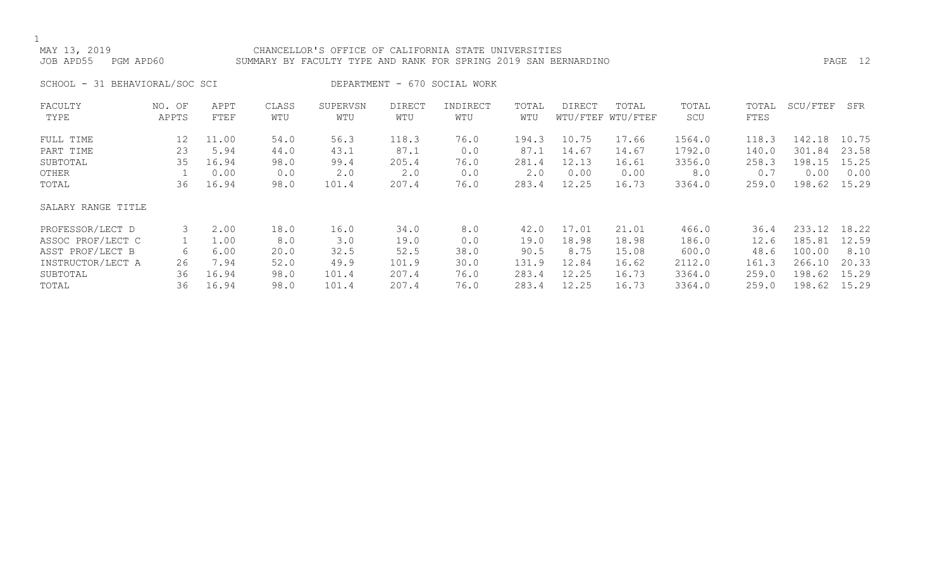## MAY 13, 2019 CHANCELLOR'S OFFICE OF CALIFORNIA STATE UNIVERSITIES JOB APD55 PGM APD60 SUMMARY BY FACULTY TYPE AND RANK FOR SPRING 2019 SAN BERNARDINO PAGE 12

SCHOOL - 31 BEHAVIORAL/SOC SCI DEPARTMENT - 670 SOCIAL WORK

| FACULTY            | NO. OF | APPT  | CLASS | SUPERVSN | <b>DIRECT</b> | INDIRECT | TOTAL | DIRECT | TOTAL             | TOTAL  | TOTAL | SCU/FTEF | SFR   |
|--------------------|--------|-------|-------|----------|---------------|----------|-------|--------|-------------------|--------|-------|----------|-------|
| TYPE               | APPTS  | FTEF  | WTU   | WTU      | WTU           | WTU      | WTU   |        | WTU/FTEF WTU/FTEF | SCU    | FTES  |          |       |
| FULL TIME          | 12     | 11.00 | 54.0  | 56.3     | 118.3         | 76.0     | 194.3 | 10.75  | 17.66             | 1564.0 | 118.3 | 142.18   | 10.75 |
| PART TIME          | 23     | 5.94  | 44.0  | 43.1     | 87.1          | 0.0      | 87.1  | 14.67  | 14.67             | 1792.0 | 140.0 | 301.84   | 23.58 |
| SUBTOTAL           | 35     | 16.94 | 98.0  | 99.4     | 205.4         | 76.0     | 281.4 | 12.13  | 16.61             | 3356.0 | 258.3 | 198.15   | 15.25 |
| OTHER              |        | 0.00  | 0.0   | 2.0      | 2.0           | 0.0      | 2.0   | 0.00   | 0.00              | 8.0    | 0.7   | 0.00     | 0.00  |
| TOTAL              | 36     | 16.94 | 98.0  | 101.4    | 207.4         | 76.0     | 283.4 | 12.25  | 16.73             | 3364.0 | 259.0 | 198.62   | 15.29 |
| SALARY RANGE TITLE |        |       |       |          |               |          |       |        |                   |        |       |          |       |
| PROFESSOR/LECT D   | 3      | 2.00  | 18.0  | 16.0     | 34.0          | 8.0      | 42.0  | 17.01  | 21.01             | 466.0  | 36.4  | 233.12   | 18.22 |
| ASSOC PROF/LECT C  |        | 1.00  | 8.0   | 3.0      | 19.0          | 0.0      | 19.0  | 18.98  | 18.98             | 186.0  | 12.6  | 185.81   | 12.59 |
| ASST PROF/LECT B   | 6      | 6.00  | 20.0  | 32.5     | 52.5          | 38.0     | 90.5  | 8.75   | 15.08             | 600.0  | 48.6  | 100.00   | 8.10  |
| INSTRUCTOR/LECT A  | 26     | 7.94  | 52.0  | 49.9     | 101.9         | 30.0     | 131.9 | 12.84  | 16.62             | 2112.0 | 161.3 | 266.10   | 20.33 |
| SUBTOTAL           | 36     | 16.94 | 98.0  | 101.4    | 207.4         | 76.0     | 283.4 | 12.25  | 16.73             | 3364.0 | 259.0 | 198.62   | 15.29 |
| TOTAL              | 36     | 16.94 | 98.0  | 101.4    | 207.4         | 76.0     | 283.4 | 12.25  | 16.73             | 3364.0 | 259.0 | 198.62   | 15.29 |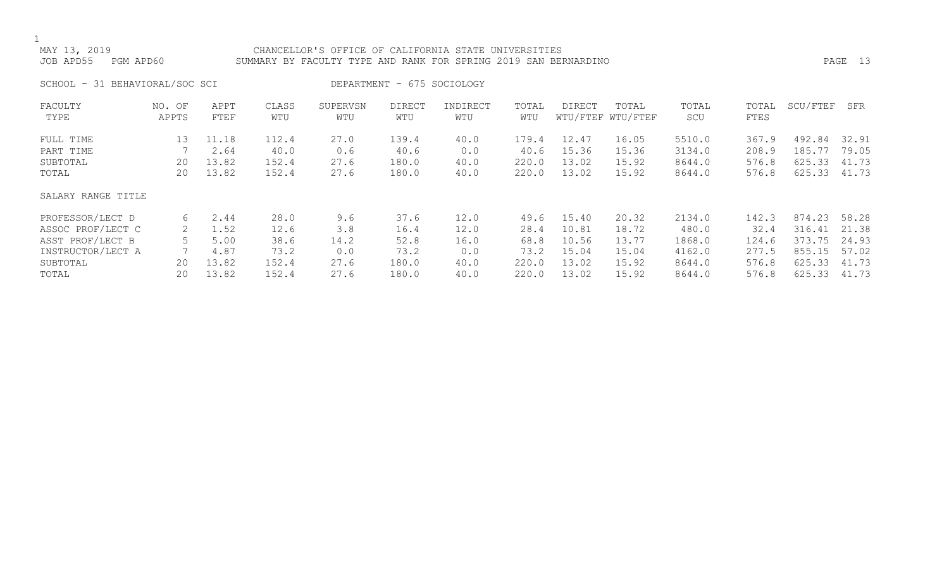## MAY 13, 2019 CHANCELLOR'S OFFICE OF CALIFORNIA STATE UNIVERSITIES JOB APD55 PGM APD60 SUMMARY BY FACULTY TYPE AND RANK FOR SPRING 2019 SAN BERNARDINO PAGE 13

SCHOOL - 31 BEHAVIORAL/SOC SCI DEPARTMENT - 675 SOCIOLOGY

| FACULTY            | NO. OF | APPT  | CLASS | SUPERVSN | <b>DIRECT</b> | INDIRECT | TOTAL | DIRECT | TOTAL             | TOTAL  | TOTAL | SCU/FTEF | SFR   |
|--------------------|--------|-------|-------|----------|---------------|----------|-------|--------|-------------------|--------|-------|----------|-------|
| TYPE               | APPTS  | FTEF  | WTU   | WTU      | WTU           | WTU      | WTU   |        | WTU/FTEF WTU/FTEF | SCU    | FTES  |          |       |
| FULL TIME          | 13     | 11.18 | 112.4 | 27.0     | 139.4         | 40.0     | 179.4 | 12.47  | 16.05             | 5510.0 | 367.9 | 492.84   | 32.91 |
| PART TIME          |        | 2.64  | 40.0  | 0.6      | 40.6          | 0.0      | 40.6  | 15.36  | 15.36             | 3134.0 | 208.9 | 185.77   | 79.05 |
| SUBTOTAL           | 20     | 13.82 | 152.4 | 27.6     | 180.0         | 40.0     | 220.0 | 13.02  | 15.92             | 8644.0 | 576.8 | 625.33   | 41.73 |
| TOTAL              | 20     | 13.82 | 152.4 | 27.6     | 180.0         | 40.0     | 220.0 | 13.02  | 15.92             | 8644.0 | 576.8 | 625.33   | 41.73 |
| SALARY RANGE TITLE |        |       |       |          |               |          |       |        |                   |        |       |          |       |
| PROFESSOR/LECT D   | 6      | 2.44  | 28.0  | 9.6      | 37.6          | 12.0     | 49.6  | 15.40  | 20.32             | 2134.0 | 142.3 | 874.23   | 58.28 |
| ASSOC PROF/LECT C  | 2      | 1.52  | 12.6  | 3.8      | 16.4          | 12.0     | 28.4  | 10.81  | 18.72             | 480.0  | 32.4  | 316.41   | 21.38 |
| ASST PROF/LECT B   |        | 5.00  | 38.6  | 14.2     | 52.8          | 16.0     | 68.8  | 10.56  | 13.77             | 1868.0 | 124.6 | 373.75   | 24.93 |
| INSTRUCTOR/LECT A  |        | 4.87  | 73.2  | 0.0      | 73.2          | 0.0      | 73.2  | 15.04  | 15.04             | 4162.0 | 277.5 | 855.15   | 57.02 |
| SUBTOTAL           | 20     | 13.82 | 152.4 | 27.6     | 180.0         | 40.0     | 220.0 | 13.02  | 15.92             | 8644.0 | 576.8 | 625.33   | 41.73 |
| TOTAL              | 20     | 13.82 | 152.4 | 27.6     | 180.0         | 40.0     | 220.0 | 13.02  | 15.92             | 8644.0 | 576.8 | 625.33   | 41.73 |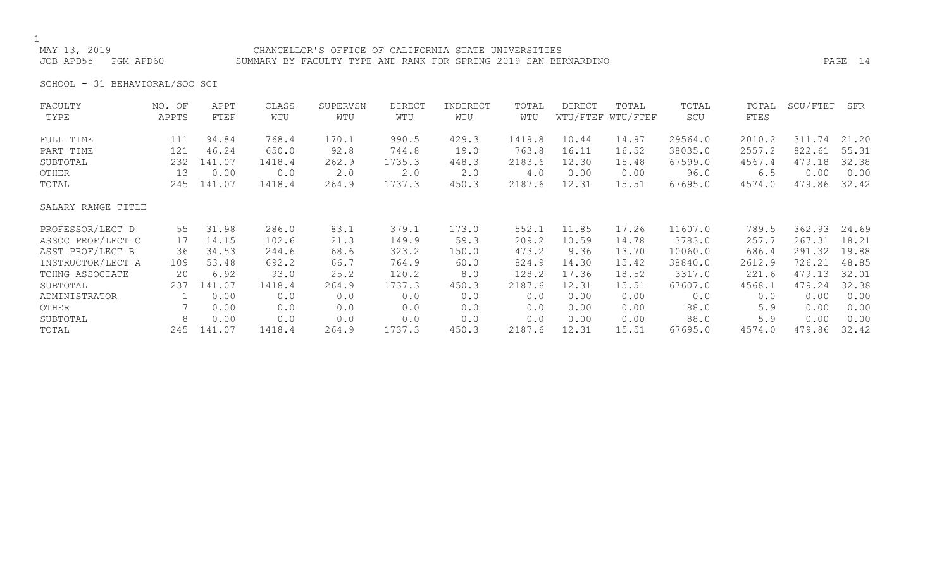### CHANCELLOR'S OFFICE OF CALIFORNIA STATE UNIVERSITIES JOB APD55 PGM APD60 SUMMARY BY FACULTY TYPE AND RANK FOR SPRING 2019 SAN BERNARDINO PAGE 14

SCHOOL - 31 BEHAVIORAL/SOC SCI

| FACULTY            | NO. OF | APPT   | CLASS  | SUPERVSN    | <b>DIRECT</b> | INDIRECT | TOTAL  | <b>DIRECT</b> | TOTAL             | TOTAL   | TOTAL  | SCU/FTEF | SFR   |
|--------------------|--------|--------|--------|-------------|---------------|----------|--------|---------------|-------------------|---------|--------|----------|-------|
| TYPE               | APPTS  | FTEF   | WTU    | WTU         | WTU           | WTU      | WTU    |               | WTU/FTEF WTU/FTEF | SCU     | FTES   |          |       |
| FULL TIME          | 111    | 94.84  | 768.4  | 170.1       | 990.5         | 429.3    | 1419.8 | 10.44         | 14.97             | 29564.0 | 2010.2 | 311.74   | 21.20 |
| PART TIME          | 121    | 46.24  | 650.0  | 92.8        | 744.8         | 19.0     | 763.8  | 16.11         | 16.52             | 38035.0 | 2557.2 | 822.61   | 55.31 |
| SUBTOTAL           | 232    | 141.07 | 1418.4 | 262.9       | 1735.3        | 448.3    | 2183.6 | 12.30         | 15.48             | 67599.0 | 4567.4 | 479.18   | 32.38 |
| OTHER              | 13     | 0.00   | 0.0    | $2 \cdot 0$ | 2.0           | 2.0      | 4.0    | 0.00          | 0.00              | 96.0    | 6.5    | 0.00     | 0.00  |
| TOTAL              | 245    | 141.07 | 1418.4 | 264.9       | 1737.3        | 450.3    | 2187.6 | 12.31         | 15.51             | 67695.0 | 4574.0 | 479.86   | 32.42 |
| SALARY RANGE TITLE |        |        |        |             |               |          |        |               |                   |         |        |          |       |
| PROFESSOR/LECT D   | 55     | 31.98  | 286.0  | 83.1        | 379.1         | 173.0    | 552.1  | 11.85         | 17.26             | 11607.0 | 789.5  | 362.93   | 24.69 |
| ASSOC PROF/LECT C  | 17     | 14.15  | 102.6  | 21.3        | 149.9         | 59.3     | 209.2  | 10.59         | 14.78             | 3783.0  | 257.7  | 267.31   | 18.21 |
| ASST PROF/LECT B   | 36     | 34.53  | 244.6  | 68.6        | 323.2         | 150.0    | 473.2  | 9.36          | 13.70             | 10060.0 | 686.4  | 291.32   | 19.88 |
| INSTRUCTOR/LECT A  | 109    | 53.48  | 692.2  | 66.7        | 764.9         | 60.0     | 824.9  | 14.30         | 15.42             | 38840.0 | 2612.9 | 726.21   | 48.85 |
| TCHNG ASSOCIATE    | 20     | 6.92   | 93.0   | 25.2        | 120.2         | 8.0      | 128.2  | 17.36         | 18.52             | 3317.0  | 221.6  | 479.13   | 32.01 |
| SUBTOTAL           | 237    | 141.07 | 1418.4 | 264.9       | 1737.3        | 450.3    | 2187.6 | 12.31         | 15.51             | 67607.0 | 4568.1 | 479.24   | 32.38 |
| ADMINISTRATOR      |        | 0.00   | 0.0    | 0.0         | 0.0           | 0.0      | 0.0    | 0.00          | 0.00              | 0.0     | 0.0    | 0.00     | 0.00  |
| OTHER              |        | 0.00   | 0.0    | 0.0         | 0.0           | 0.0      | 0.0    | 0.00          | 0.00              | 88.0    | 5.9    | 0.00     | 0.00  |
| SUBTOTAL           | 8      | 0.00   | 0.0    | 0.0         | 0.0           | 0.0      | 0.0    | 0.00          | 0.00              | 88.0    | 5.9    | 0.00     | 0.00  |
| TOTAL              | 245    | 141.07 | 1418.4 | 264.9       | 1737.3        | 450.3    | 2187.6 | 12.31         | 15.51             | 67695.0 | 4574.0 | 479.86   | 32.42 |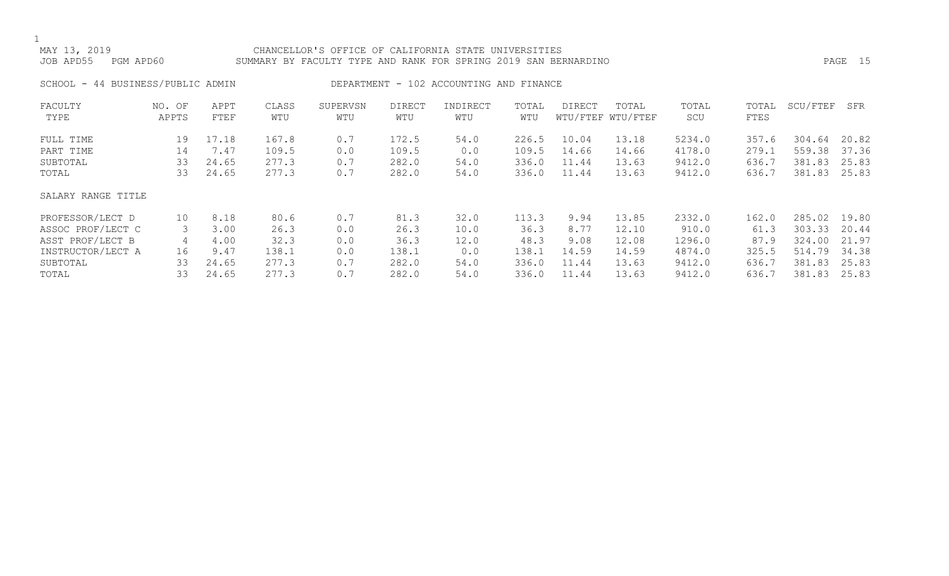### MAY 13, 2019 CHANCELLOR'S OFFICE OF CALIFORNIA STATE UNIVERSITIES JOB APD55 PGM APD60 SUMMARY BY FACULTY TYPE AND RANK FOR SPRING 2019 SAN BERNARDINO PAGE 15

SCHOOL - 44 BUSINESS/PUBLIC ADMIN DEPARTMENT - 102 ACCOUNTING AND FINANCE

| FACULTY            | NO. OF | APPT  | CLASS | SUPERVSN | <b>DIRECT</b> | INDIRECT | TOTAL | DIRECT | TOTAL             | TOTAL  | TOTAL | SCU/FTEF | SFR   |
|--------------------|--------|-------|-------|----------|---------------|----------|-------|--------|-------------------|--------|-------|----------|-------|
| TYPE               | APPTS  | FTEF  | WTU   | WTU      | WTU           | WTU      | WTU   |        | WTU/FTEF WTU/FTEF | SCU    | FTES  |          |       |
| FULL TIME          | 19     | 17.18 | 167.8 | 0.7      | 172.5         | 54.0     | 226.5 | 10.04  | 13.18             | 5234.0 | 357.6 | 304.64   | 20.82 |
| PART TIME          | 14     | 7.47  | 109.5 | 0.0      | 109.5         | 0.0      | 109.5 | 14.66  | 14.66             | 4178.0 | 279.1 | 559.38   | 37.36 |
| SUBTOTAL           | 33     | 24.65 | 277.3 | 0.7      | 282.0         | 54.0     | 336.0 | 11.44  | 13.63             | 9412.0 | 636.7 | 381.83   | 25.83 |
| TOTAL              | 33     | 24.65 | 277.3 | 0.7      | 282.0         | 54.0     | 336.0 | 11.44  | 13.63             | 9412.0 | 636.7 | 381.83   | 25.83 |
| SALARY RANGE TITLE |        |       |       |          |               |          |       |        |                   |        |       |          |       |
| PROFESSOR/LECT D   | 10     | 8.18  | 80.6  | 0.7      | 81.3          | 32.0     | 113.3 | 9.94   | 13.85             | 2332.0 | 162.0 | 285.02   | 19.80 |
| ASSOC PROF/LECT C  | 3      | 3.00  | 26.3  | 0.0      | 26.3          | 10.0     | 36.3  | 8.77   | 12.10             | 910.0  | 61.3  | 303.33   | 20.44 |
| ASST PROF/LECT B   | 4      | 4.00  | 32.3  | 0.0      | 36.3          | 12.0     | 48.3  | 9.08   | 12.08             | 1296.0 | 87.9  | 324.00   | 21.97 |
| INSTRUCTOR/LECT A  | 16     | 9.47  | 138.1 | 0.0      | 138.1         | 0.0      | 138.1 | 14.59  | 14.59             | 4874.0 | 325.5 | 514.79   | 34.38 |
| SUBTOTAL           | 33     | 24.65 | 277.3 | 0.7      | 282.0         | 54.0     | 336.0 | 11.44  | 13.63             | 9412.0 | 636.7 | 381.83   | 25.83 |
| TOTAL              | 33     | 24.65 | 277.3 | 0.7      | 282.0         | 54.0     | 336.0 | 11.44  | 13.63             | 9412.0 | 636.7 | 381.83   | 25.83 |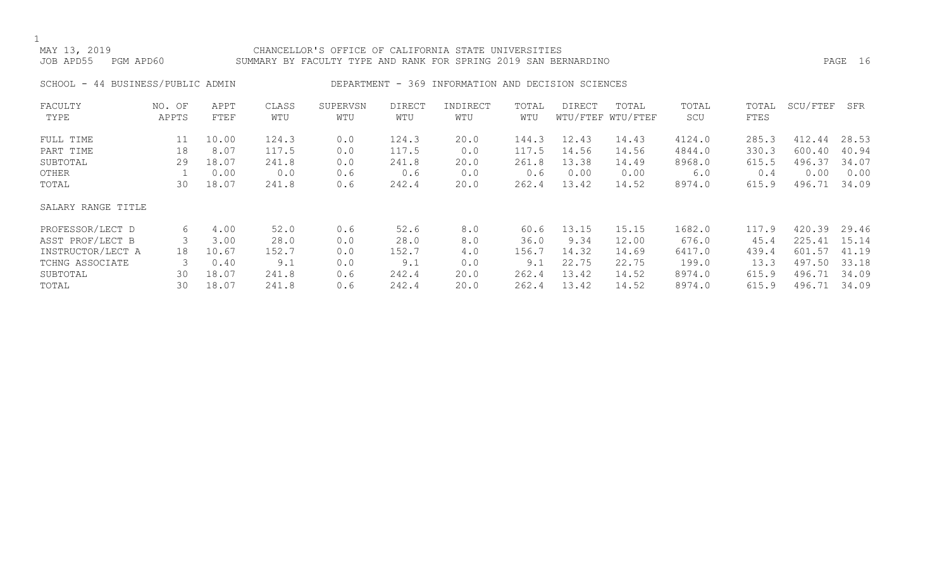### MAY 13, 2019 CHANCELLOR'S OFFICE OF CALIFORNIA STATE UNIVERSITIES JOB APD55 PGM APD60 SUMMARY BY FACULTY TYPE AND RANK FOR SPRING 2019 SAN BERNARDINO PAGE 16

## SCHOOL - 44 BUSINESS/PUBLIC ADMIN DEPARTMENT - 369 INFORMATION AND DECISION SCIENCES

| FACULTY            | NO. OF | APPT  | CLASS | SUPERVSN | <b>DIRECT</b> | INDIRECT | TOTAL | DIRECT | TOTAL             | TOTAL  | TOTAL | SCU/FTEF | SFR   |
|--------------------|--------|-------|-------|----------|---------------|----------|-------|--------|-------------------|--------|-------|----------|-------|
| TYPE               | APPTS  | FTEF  | WTU   | WTU      | WTU           | WTU      | WTU   |        | WTU/FTEF WTU/FTEF | SCU    | FTES  |          |       |
| FULL TIME          | 11     | 10.00 | 124.3 | 0.0      | 124.3         | 20.0     | 144.3 | 12.43  | 14.43             | 4124.0 | 285.3 | 412.44   | 28.53 |
| PART TIME          | 18     | 8.07  | 117.5 | 0.0      | 117.5         | 0.0      | 117.5 | 14.56  | 14.56             | 4844.0 | 330.3 | 600.40   | 40.94 |
| SUBTOTAL           | 29     | 18.07 | 241.8 | 0.0      | 241.8         | 20.0     | 261.8 | 13.38  | 14.49             | 8968.0 | 615.5 | 496.37   | 34.07 |
| OTHER              |        | 0.00  | 0.0   | 0.6      | 0.6           | 0.0      | 0.6   | 0.00   | 0.00              | 6.0    | 0.4   | 0.00     | 0.00  |
| TOTAL              | 30     | 18.07 | 241.8 | 0.6      | 242.4         | 20.0     | 262.4 | 13.42  | 14.52             | 8974.0 | 615.9 | 496.71   | 34.09 |
| SALARY RANGE TITLE |        |       |       |          |               |          |       |        |                   |        |       |          |       |
| PROFESSOR/LECT D   | 6      | 4.00  | 52.0  | 0.6      | 52.6          | 8.0      | 60.6  | 13.15  | 15.15             | 1682.0 | 117.9 | 420.39   | 29.46 |
| ASST PROF/LECT B   |        | 3.00  | 28.0  | 0.0      | 28.0          | 8.0      | 36.0  | 9.34   | 12.00             | 676.0  | 45.4  | 225.41   | 15.14 |
| INSTRUCTOR/LECT A  | 18     | 10.67 | 152.7 | 0.0      | 152.7         | 4.0      | 156.7 | 14.32  | 14.69             | 6417.0 | 439.4 | 601.57   | 41.19 |
| TCHNG ASSOCIATE    |        | 0.40  | 9.1   | 0.0      | 9.1           | 0.0      | 9.1   | 22.75  | 22.75             | 199.0  | 13.3  | 497.50   | 33.18 |
| SUBTOTAL           | 30     | 18.07 | 241.8 | 0.6      | 242.4         | 20.0     | 262.4 | 13.42  | 14.52             | 8974.0 | 615.9 | 496.71   | 34.09 |
| TOTAL              | 30     | 18.07 | 241.8 | 0.6      | 242.4         | 20.0     | 262.4 | 13.42  | 14.52             | 8974.0 | 615.9 | 496.71   | 34.09 |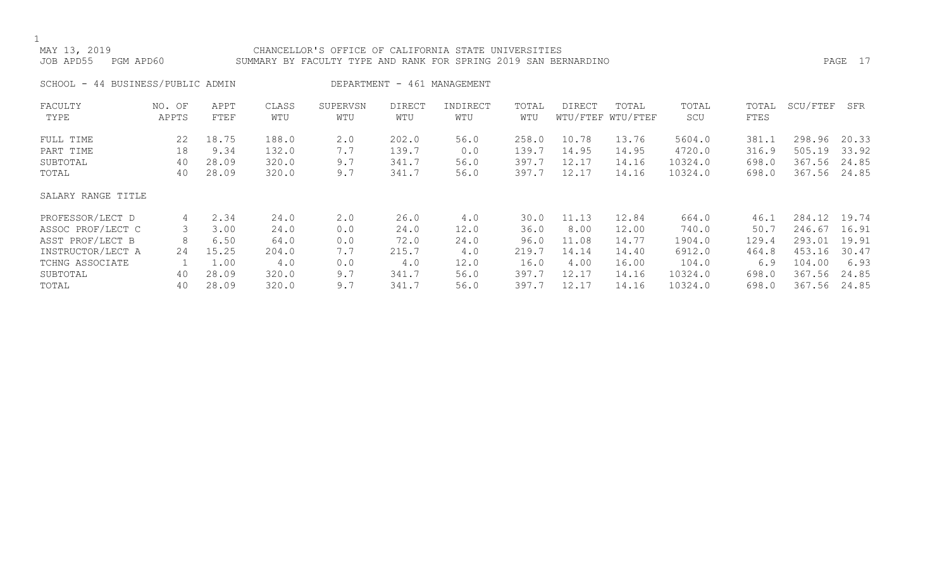### MAY 13, 2019 CHANCELLOR'S OFFICE OF CALIFORNIA STATE UNIVERSITIES JOB APD55 PGM APD60 SUMMARY BY FACULTY TYPE AND RANK FOR SPRING 2019 SAN BERNARDINO PAGE 17

SCHOOL - 44 BUSINESS/PUBLIC ADMIN
BEARTMENT - 461 MANAGEMENT FACULTY NO. OF APPT CLASS SUPERVSN DIRECT INDIRECT TOTAL DIRECT TOTAL TOTAL TOTAL SCU/FTEF SFR TYPE APPTS FTEF WTU WTU WTU WTU WTU WTU/FTEF WTU/FTEF SCU FTES FULL TIME 22 18.75 188.0 2.0 202.0 56.0 258.0 10.78 13.76 5604.0 381.1 298.96 20.33 PART TIME 18 9.34 132.0 7.7 139.7 0.0 139.7 14.95 14.95 4720.0 316.9 505.19 33.92 SUBTOTAL 40 28.09 320.0 9.7 341.7 56.0 397.7 12.17 14.16 10324.0 698.0 367.56 24.85 TOTAL 40 28.09 320.0 9.7 341.7 56.0 397.7 12.17 14.16 10324.0 698.0 367.56 24.85 SALARY RANGE TITLE PROFESSOR/LECT D 4 2.34 24.0 2.0 26.0 4.0 30.0 11.13 12.84 664.0 46.1 284.12 19.74 ASSOC PROF/LECT C 3 3.00 24.0 0.0 24.0 12.0 36.0 8.00 12.00 740.0 50.7 246.67 16.91 ASST PROF/LECT B 8 6.50 64.0 0.0 72.0 24.0 96.0 11.08 14.77 1904.0 129.4 293.01 19.91 INSTRUCTOR/LECT A 24 15.25 204.0 7.7 215.7 4.0 219.7 14.14 14.40 6912.0 464.8 453.16 30.47 TCHNG ASSOCIATE 1 1.00 4.0 0.0 4.0 12.0 16.0 4.00 16.00 104.0 6.9 104.00 6.93 SUBTOTAL 40 28.09 320.0 9.7 341.7 56.0 397.7 12.17 14.16 10324.0 698.0 367.56 24.85 TOTAL 40 28.09 320.0 9.7 341.7 56.0 397.7 12.17 14.16 10324.0 698.0 367.56 24.85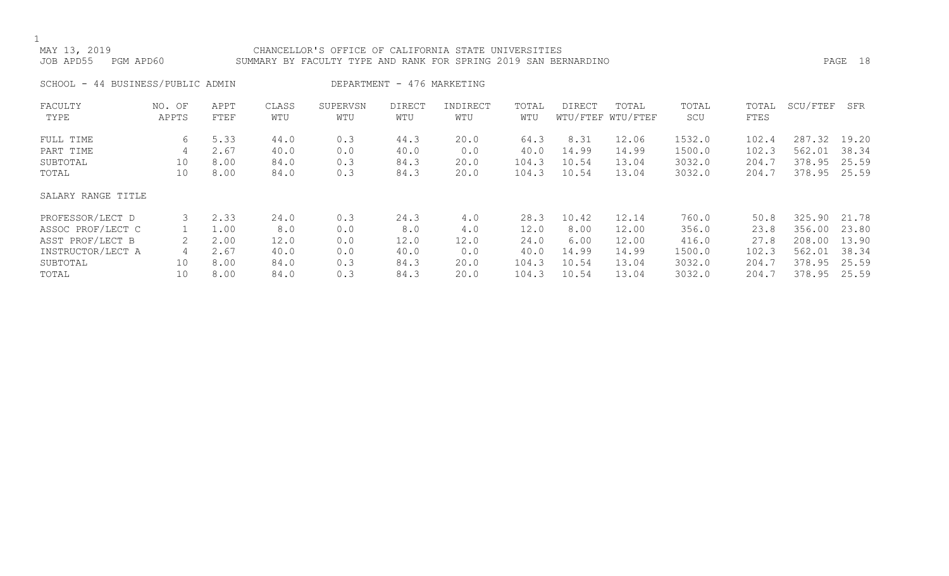### MAY 13, 2019 CHANCELLOR'S OFFICE OF CALIFORNIA STATE UNIVERSITIES SUMMARY BY FACULTY TYPE AND RANK FOR SPRING 2019 SAN BERNARDINO **PAGE 18** PAGE 18

| 44 BUSINESS/PUBLIC ADMIN<br>SCHOOL - |  |  |
|--------------------------------------|--|--|
|--------------------------------------|--|--|

IN DEPARTMENT - 476 MARKETING

| FACULTY            | NO. OF | APPT | CLASS | SUPERVSN | <b>DIRECT</b> | INDIRECT | TOTAL | DIRECT | TOTAL             | TOTAL  | TOTAL | SCU/FTEF | SFR   |
|--------------------|--------|------|-------|----------|---------------|----------|-------|--------|-------------------|--------|-------|----------|-------|
| TYPE               | APPTS  | FTEF | WTU   | WTU      | WTU           | WTU      | WTU   |        | WTU/FTEF WTU/FTEF | SCU    | FTES  |          |       |
| FULL TIME          | 6      | 5.33 | 44.0  | 0.3      | 44.3          | 20.0     | 64.3  | 8.31   | 12.06             | 1532.0 | 102.4 | 287.32   | 19.20 |
| PART TIME          | 4      | 2.67 | 40.0  | 0.0      | 40.0          | 0.0      | 40.0  | 14.99  | 14.99             | 1500.0 | 102.3 | 562.01   | 38.34 |
| SUBTOTAL           | 10     | 8.00 | 84.0  | 0.3      | 84.3          | 20.0     | 104.3 | 10.54  | 13.04             | 3032.0 | 204.7 | 378.95   | 25.59 |
| TOTAL              | 10     | 8.00 | 84.0  | 0.3      | 84.3          | 20.0     | 104.3 | 10.54  | 13.04             | 3032.0 | 204.7 | 378.95   | 25.59 |
| SALARY RANGE TITLE |        |      |       |          |               |          |       |        |                   |        |       |          |       |
| PROFESSOR/LECT D   |        | 2.33 | 24.0  | 0.3      | 24.3          | 4.0      | 28.3  | 10.42  | 12.14             | 760.0  | 50.8  | 325.90   | 21.78 |
| ASSOC PROF/LECT C  |        | 1.00 | 8.0   | 0.0      | 8.0           | 4.0      | 12.0  | 8.00   | 12.00             | 356.0  | 23.8  | 356.00   | 23.80 |
| ASST PROF/LECT B   |        | 2.00 | 12.0  | 0.0      | 12.0          | 12.0     | 24.0  | 6.00   | 12.00             | 416.0  | 27.8  | 208.00   | 13.90 |
| INSTRUCTOR/LECT A  | 4      | 2.67 | 40.0  | 0.0      | 40.0          | 0.0      | 40.0  | 14.99  | 14.99             | 1500.0 | 102.3 | 562.01   | 38.34 |
| SUBTOTAL           | 10     | 8.00 | 84.0  | 0.3      | 84.3          | 20.0     | 104.3 | 10.54  | 13.04             | 3032.0 | 204.7 | 378.95   | 25.59 |
| TOTAL              | 10     | 8.00 | 84.0  | 0.3      | 84.3          | 20.0     | 104.3 | 10.54  | 13.04             | 3032.0 | 204.7 | 378.95   | 25.59 |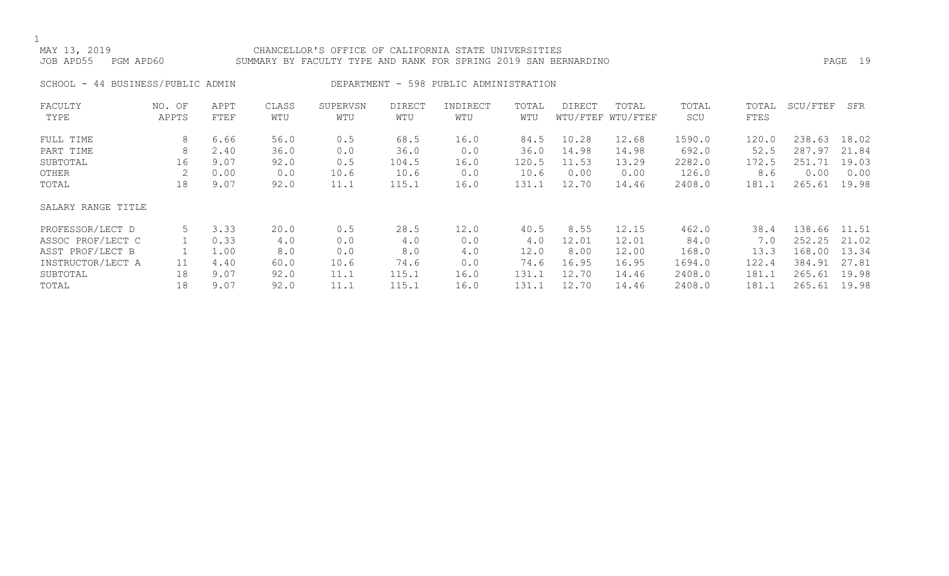### MAY 13, 2019 CHANCELLOR'S OFFICE OF CALIFORNIA STATE UNIVERSITIES JOB APD55 PGM APD60 SUMMARY BY FACULTY TYPE AND RANK FOR SPRING 2019 SAN BERNARDINO PAGE 19

SCHOOL - 44 BUSINESS/PUBLIC ADMIN DEPARTMENT - 598 PUBLIC ADMINISTRATION

| FACULTY            | NO. OF | APPT | CLASS | SUPERVSN | <b>DIRECT</b> | INDIRECT | TOTAL | DIRECT | TOTAL             | TOTAL  | TOTAL | SCU/FTEF | SFR   |
|--------------------|--------|------|-------|----------|---------------|----------|-------|--------|-------------------|--------|-------|----------|-------|
| TYPE               | APPTS  | FTEF | WTU   | WTU      | WTU           | WTU      | WTU   |        | WTU/FTEF WTU/FTEF | SCU    | FTES  |          |       |
| FULL TIME          | 8      | 6.66 | 56.0  | 0.5      | 68.5          | 16.0     | 84.5  | 10.28  | 12.68             | 1590.0 | 120.0 | 238.63   | 18.02 |
| PART TIME          | 8      | 2.40 | 36.0  | 0.0      | 36.0          | 0.0      | 36.0  | 14.98  | 14.98             | 692.0  | 52.5  | 287.97   | 21.84 |
| SUBTOTAL           | 16     | 9.07 | 92.0  | 0.5      | 104.5         | 16.0     | 120.5 | 11.53  | 13.29             | 2282.0 | 172.5 | 251.71   | 19.03 |
| OTHER              |        | 0.00 | 0.0   | 10.6     | 10.6          | 0.0      | 10.6  | 0.00   | 0.00              | 126.0  | 8.6   | 0.00     | 0.00  |
| TOTAL              | 18     | 9.07 | 92.0  | 11.1     | 115.1         | 16.0     | 131.1 | 12.70  | 14.46             | 2408.0 | 181.1 | 265.61   | 19.98 |
| SALARY RANGE TITLE |        |      |       |          |               |          |       |        |                   |        |       |          |       |
| PROFESSOR/LECT D   | 5      | 3.33 | 20.0  | 0.5      | 28.5          | 12.0     | 40.5  | 8.55   | 12.15             | 462.0  | 38.4  | 138.66   | 11.51 |
| ASSOC PROF/LECT C  |        | 0.33 | 4.0   | 0.0      | 4.0           | 0.0      | 4.0   | 12.01  | 12.01             | 84.0   | 7.0   | 252.25   | 21.02 |
| ASST PROF/LECT B   |        | 1.00 | 8.0   | 0.0      | 8.0           | 4.0      | 12.0  | 8.00   | 12.00             | 168.0  | 13.3  | 168.00   | 13.34 |
| INSTRUCTOR/LECT A  | 11     | 4.40 | 60.0  | 10.6     | 74.6          | 0.0      | 74.6  | 16.95  | 16.95             | 1694.0 | 122.4 | 384.91   | 27.81 |
| SUBTOTAL           | 18     | 9.07 | 92.0  | 11.1     | 115.1         | 16.0     | 131.1 | 12.70  | 14.46             | 2408.0 | 181.1 | 265.61   | 19.98 |
| TOTAL              | 18     | 9.07 | 92.0  | 11.1     | 115.1         | 16.0     | 131.1 | 12.70  | 14.46             | 2408.0 | 181.1 | 265.61   | 19.98 |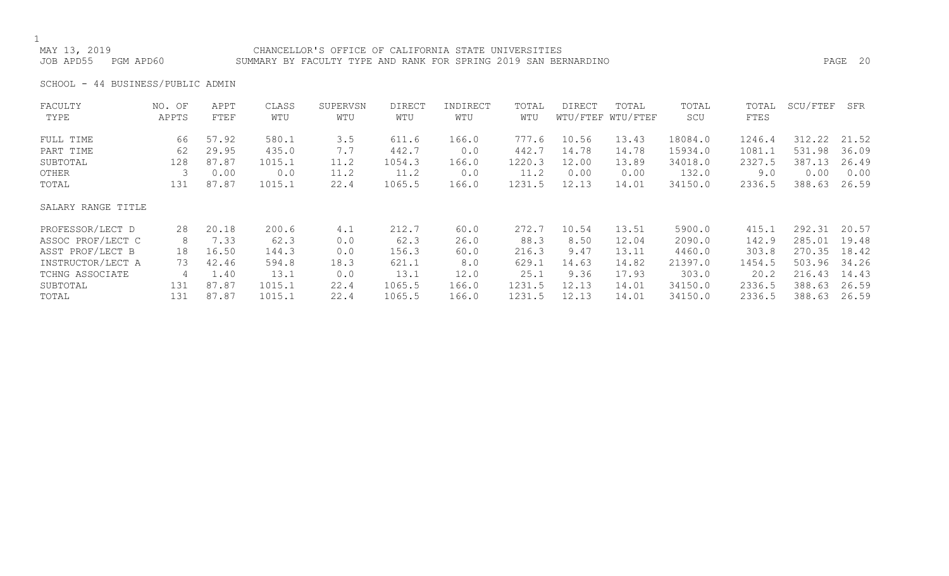### CHANCELLOR'S OFFICE OF CALIFORNIA STATE UNIVERSITIES JOB APD55 PGM APD60 SUMMARY BY FACULTY TYPE AND RANK FOR SPRING 2019 SAN BERNARDINO PAGE 20

SCHOOL - 44 BUSINESS/PUBLIC ADMIN

| FACULTY            | NO. OF | APPT  | CLASS  | SUPERVSN | <b>DIRECT</b> | INDIRECT | TOTAL  | DIRECT | TOTAL             | TOTAL   | TOTAL  | SCU/FTEF | SFR   |
|--------------------|--------|-------|--------|----------|---------------|----------|--------|--------|-------------------|---------|--------|----------|-------|
| TYPE               | APPTS  | FTEF  | WTU    | WTU      | WTU           | WTU      | WTU    |        | WTU/FTEF WTU/FTEF | SCU     | FTES   |          |       |
| FULL TIME          | 66     | 57.92 | 580.1  | 3.5      | 611.6         | 166.0    | 777.6  | 10.56  | 13.43             | 18084.0 | 1246.4 | 312.22   | 21.52 |
| PART TIME          | 62     | 29.95 | 435.0  | 7.7      | 442.7         | 0.0      | 442.7  | 14.78  | 14.78             | 15934.0 | 1081.1 | 531.98   | 36.09 |
| SUBTOTAL           | 128    | 87.87 | 1015.1 | 11.2     | 1054.3        | 166.0    | 1220.3 | 12.00  | 13.89             | 34018.0 | 2327.5 | 387.13   | 26.49 |
| OTHER              |        | 0.00  | 0.0    | 11.2     | 11.2          | 0.0      | 11.2   | 0.00   | 0.00              | 132.0   | 9.0    | 0.00     | 0.00  |
| TOTAL              | 131    | 87.87 | 1015.1 | 22.4     | 1065.5        | 166.0    | 1231.5 | 12.13  | 14.01             | 34150.0 | 2336.5 | 388.63   | 26.59 |
| SALARY RANGE TITLE |        |       |        |          |               |          |        |        |                   |         |        |          |       |
| PROFESSOR/LECT D   | 28     | 20.18 | 200.6  | 4.1      | 212.7         | 60.0     | 272.7  | 10.54  | 13.51             | 5900.0  | 415.1  | 292.31   | 20.57 |
| ASSOC PROF/LECT C  | 8      | 7.33  | 62.3   | 0.0      | 62.3          | 26.0     | 88.3   | 8.50   | 12.04             | 2090.0  | 142.9  | 285.01   | 19.48 |
| ASST PROF/LECT B   | 18     | 16.50 | 144.3  | 0.0      | 156.3         | 60.0     | 216.3  | 9.47   | 13.11             | 4460.0  | 303.8  | 270.35   | 18.42 |
| INSTRUCTOR/LECT A  | 73     | 42.46 | 594.8  | 18.3     | 621.1         | 8.0      | 629.1  | 14.63  | 14.82             | 21397.0 | 1454.5 | 503.96   | 34.26 |
| TCHNG ASSOCIATE    | 4      | 1.40  | 13.1   | 0.0      | 13.1          | 12.0     | 25.1   | 9.36   | 17.93             | 303.0   | 20.2   | 216.43   | 14.43 |
| SUBTOTAL           | 131    | 87.87 | 1015.1 | 22.4     | 1065.5        | 166.0    | 1231.5 | 12.13  | 14.01             | 34150.0 | 2336.5 | 388.63   | 26.59 |
| TOTAL              | 131    | 87.87 | 1015.1 | 22.4     | 1065.5        | 166.0    | 1231.5 | 12.13  | 14.01             | 34150.0 | 2336.5 | 388.63   | 26.59 |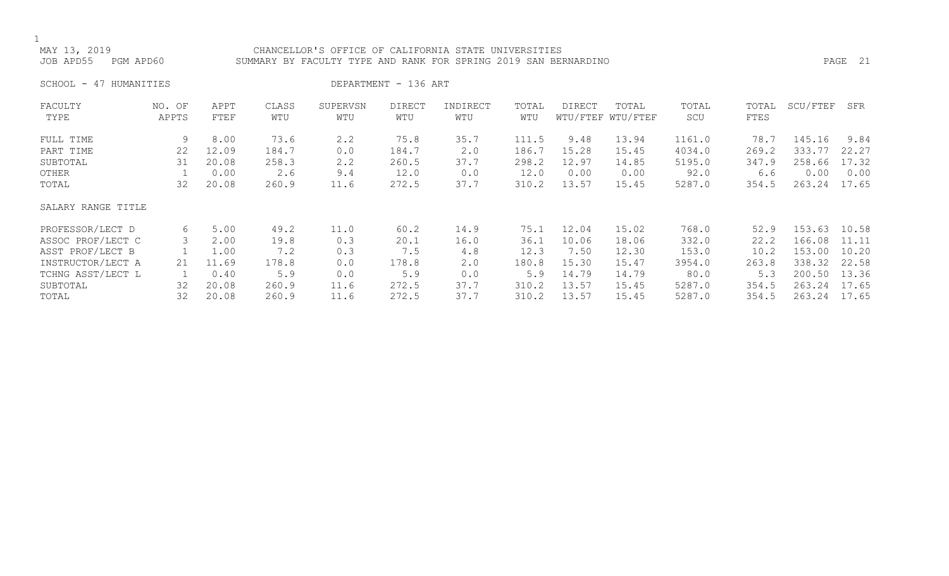### MAY 13, 2019 CHANCELLOR'S OFFICE OF CALIFORNIA STATE UNIVERSITIES SUMMARY BY FACULTY TYPE AND RANK FOR SPRING 2019 SAN BERNARDINO **PAGE 21**

SCHOOL - 47 HUMANITIES DEPARTMENT - 136 ART

| FACULTY            | NO. OF | APPT  | CLASS | SUPERVSN | <b>DIRECT</b> | INDIRECT | TOTAL | DIRECT | TOTAL             | TOTAL  | TOTAL | SCU/FTEF | SFR   |
|--------------------|--------|-------|-------|----------|---------------|----------|-------|--------|-------------------|--------|-------|----------|-------|
| TYPE               | APPTS  | FTEF  | WTU   | WTU      | WTU           | WTU      | WTU   |        | WTU/FTEF WTU/FTEF | SCU    | FTES  |          |       |
| FULL TIME          | 9      | 8.00  | 73.6  | 2.2      | 75.8          | 35.7     | 111.5 | 9.48   | 13.94             | 1161.0 | 78.7  | 145.16   | 9.84  |
| PART TIME          | 22     | 12.09 | 184.7 | 0.0      | 184.7         | 2.0      | 186.7 | 15.28  | 15.45             | 4034.0 | 269.2 | 333.77   | 22.27 |
| SUBTOTAL           | 31     | 20.08 | 258.3 | 2.2      | 260.5         | 37.7     | 298.2 | 12.97  | 14.85             | 5195.0 | 347.9 | 258.66   | 17.32 |
| OTHER              |        | 0.00  | 2.6   | 9.4      | 12.0          | 0.0      | 12.0  | 0.00   | 0.00              | 92.0   | 6.6   | 0.00     | 0.00  |
| TOTAL              | 32     | 20.08 | 260.9 | 11.6     | 272.5         | 37.7     | 310.2 | 13.57  | 15.45             | 5287.0 | 354.5 | 263.24   | 17.65 |
| SALARY RANGE TITLE |        |       |       |          |               |          |       |        |                   |        |       |          |       |
| PROFESSOR/LECT D   | 6      | 5.00  | 49.2  | 11.0     | 60.2          | 14.9     | 75.1  | 12.04  | 15.02             | 768.0  | 52.9  | 153.63   | 10.58 |
| ASSOC PROF/LECT C  | 3      | 2.00  | 19.8  | 0.3      | 20.1          | 16.0     | 36.1  | 10.06  | 18.06             | 332.0  | 22.2  | 166.08   | 11.11 |
| ASST PROF/LECT B   |        | 1.00  | 7.2   | 0.3      | 7.5           | 4.8      | 12.3  | 7.50   | 12.30             | 153.0  | 10.2  | 153.00   | 10.20 |
| INSTRUCTOR/LECT A  | 21     | 11.69 | 178.8 | 0.0      | 178.8         | 2.0      | 180.8 | 15.30  | 15.47             | 3954.0 | 263.8 | 338.32   | 22.58 |
| TCHNG ASST/LECT L  |        | 0.40  | 5.9   | 0.0      | 5.9           | 0.0      | 5.9   | 14.79  | 14.79             | 80.0   | 5.3   | 200.50   | 13.36 |
| SUBTOTAL           | 32     | 20.08 | 260.9 | 11.6     | 272.5         | 37.7     | 310.2 | 13.57  | 15.45             | 5287.0 | 354.5 | 263.24   | 17.65 |
| TOTAL              | 32     | 20.08 | 260.9 | 11.6     | 272.5         | 37.7     | 310.2 | 13.57  | 15.45             | 5287.0 | 354.5 | 263.24   | 17.65 |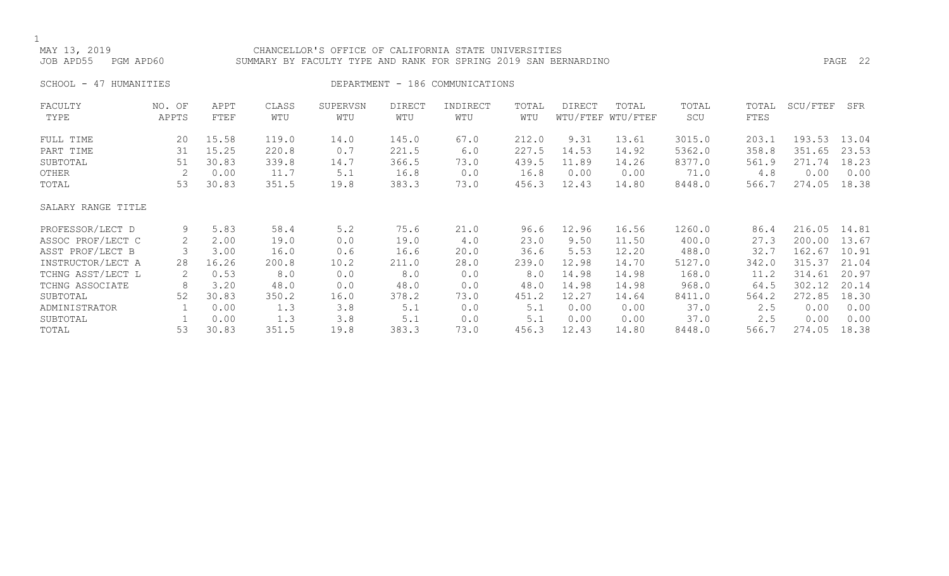## CHANCELLOR'S OFFICE OF CALIFORNIA STATE UNIVERSITIES JOB APD55 PGM APD60 SUMMARY BY FACULTY TYPE AND RANK FOR SPRING 2019 SAN BERNARDINO PAGE 22

SCHOOL - 47 HUMANITIES SERVICES DEPARTMENT - 186 COMMUNICATIONS

| FACULTY            | NO. OF | APPT  | CLASS | SUPERVSN | <b>DIRECT</b> | INDIRECT | TOTAL | <b>DIRECT</b> | TOTAL             | TOTAL  | TOTAL | SCU/FTEF | SFR   |
|--------------------|--------|-------|-------|----------|---------------|----------|-------|---------------|-------------------|--------|-------|----------|-------|
| TYPE               | APPTS  | FTEF  | WTU   | WTU      | WTU           | WTU      | WTU   |               | WTU/FTEF WTU/FTEF | SCU    | FTES  |          |       |
| FULL TIME          | 20     | 15.58 | 119.0 | 14.0     | 145.0         | 67.0     | 212.0 | 9.31          | 13.61             | 3015.0 | 203.1 | 193.53   | 13.04 |
| PART TIME          | 31     | 15.25 | 220.8 | 0.7      | 221.5         | 6.0      | 227.5 | 14.53         | 14.92             | 5362.0 | 358.8 | 351.65   | 23.53 |
| SUBTOTAL           | 51     | 30.83 | 339.8 | 14.7     | 366.5         | 73.0     | 439.5 | 11.89         | 14.26             | 8377.0 | 561.9 | 271.74   | 18.23 |
| OTHER              | 2      | 0.00  | 11.7  | 5.1      | 16.8          | 0.0      | 16.8  | 0.00          | 0.00              | 71.0   | 4.8   | 0.00     | 0.00  |
| TOTAL              | 53     | 30.83 | 351.5 | 19.8     | 383.3         | 73.0     | 456.3 | 12.43         | 14.80             | 8448.0 | 566.7 | 274.05   | 18.38 |
| SALARY RANGE TITLE |        |       |       |          |               |          |       |               |                   |        |       |          |       |
| PROFESSOR/LECT D   | 9      | 5.83  | 58.4  | 5.2      | 75.6          | 21.0     | 96.6  | 12.96         | 16.56             | 1260.0 | 86.4  | 216.05   | 14.81 |
| ASSOC PROF/LECT C  | 2      | 2.00  | 19.0  | 0.0      | 19.0          | 4.0      | 23.0  | 9.50          | 11.50             | 400.0  | 27.3  | 200.00   | 13.67 |
| ASST PROF/LECT B   |        | 3.00  | 16.0  | 0.6      | 16.6          | 20.0     | 36.6  | 5.53          | 12.20             | 488.0  | 32.7  | 162.67   | 10.91 |
| INSTRUCTOR/LECT A  | 28     | 16.26 | 200.8 | 10.2     | 211.0         | 28.0     | 239.0 | 12.98         | 14.70             | 5127.0 | 342.0 | 315.37   | 21.04 |
| TCHNG ASST/LECT L  | 2      | 0.53  | 8.0   | 0.0      | 8.0           | 0.0      | 8.0   | 14.98         | 14.98             | 168.0  | 11.2  | 314.61   | 20.97 |
| TCHNG ASSOCIATE    | 8      | 3.20  | 48.0  | 0.0      | 48.0          | 0.0      | 48.0  | 14.98         | 14.98             | 968.0  | 64.5  | 302.12   | 20.14 |
| SUBTOTAL           | 52     | 30.83 | 350.2 | 16.0     | 378.2         | 73.0     | 451.2 | 12.27         | 14.64             | 8411.0 | 564.2 | 272.85   | 18.30 |
| ADMINISTRATOR      |        | 0.00  | 1.3   | 3.8      | 5.1           | 0.0      | 5.1   | 0.00          | 0.00              | 37.0   | 2.5   | 0.00     | 0.00  |
| SUBTOTAL           |        | 0.00  | 1.3   | 3.8      | 5.1           | 0.0      | 5.1   | 0.00          | 0.00              | 37.0   | 2.5   | 0.00     | 0.00  |
| TOTAL              | 53     | 30.83 | 351.5 | 19.8     | 383.3         | 73.0     | 456.3 | 12.43         | 14.80             | 8448.0 | 566.7 | 274.05   | 18.38 |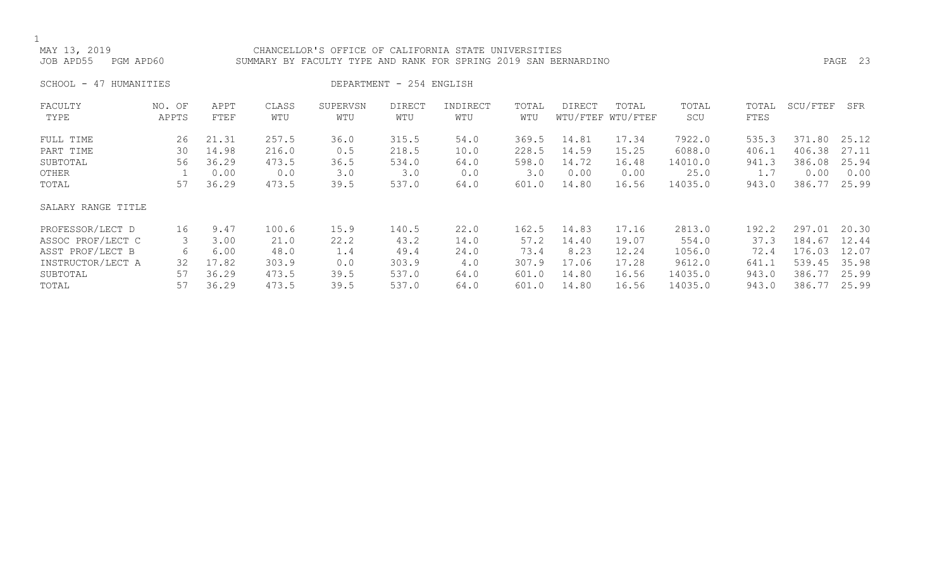## MAY 13, 2019<br>JOB APD55 PGM APD60 SUMMARY BY FACULTY TYPE AND RANK FOR SPRING 2019 SAN BEI SUMMARY BY FACULTY TYPE AND RANK FOR SPRING 2019 SAN BERNARDINO PASS PAGE 23

SCHOOL - 47 HUMANITIES DEPARTMENT - 254 ENGLISH

| FACULTY            | NO. OF | APPT  | CLASS | SUPERVSN | <b>DIRECT</b> | INDIRECT | TOTAL | DIRECT | TOTAL             | TOTAL   | TOTAL | SCU/FTEF | SFR   |
|--------------------|--------|-------|-------|----------|---------------|----------|-------|--------|-------------------|---------|-------|----------|-------|
| TYPE               | APPTS  | FTEF  | WTU   | WTU      | WTU           | WTU      | WTU   |        | WTU/FTEF WTU/FTEF | SCU     | FTES  |          |       |
| FULL TIME          | 26     | 21.31 | 257.5 | 36.0     | 315.5         | 54.0     | 369.5 | 14.81  | 17.34             | 7922.0  | 535.3 | 371.80   | 25.12 |
| PART TIME          | 30     | 14.98 | 216.0 | 0.5      | 218.5         | 10.0     | 228.5 | 14.59  | 15.25             | 6088.0  | 406.1 | 406.38   | 27.11 |
| SUBTOTAL           | 56     | 36.29 | 473.5 | 36.5     | 534.0         | 64.0     | 598.0 | 14.72  | 16.48             | 14010.0 | 941.3 | 386.08   | 25.94 |
| OTHER              |        | 0.00  | 0.0   | 3.0      | 3.0           | 0.0      | 3.0   | 0.00   | 0.00              | 25.0    | 1.7   | 0.00     | 0.00  |
| TOTAL              | 57     | 36.29 | 473.5 | 39.5     | 537.0         | 64.0     | 601.0 | 14.80  | 16.56             | 14035.0 | 943.0 | 386.77   | 25.99 |
| SALARY RANGE TITLE |        |       |       |          |               |          |       |        |                   |         |       |          |       |
| PROFESSOR/LECT D   | 16     | 9.47  | 100.6 | 15.9     | 140.5         | 22.0     | 162.5 | 14.83  | 17.16             | 2813.0  | 192.2 | 297.01   | 20.30 |
| ASSOC PROF/LECT C  | 3      | 3.00  | 21.0  | 22.2     | 43.2          | 14.0     | 57.2  | 14.40  | 19.07             | 554.0   | 37.3  | 184.67   | 12.44 |
| ASST PROF/LECT B   | 6      | 6.00  | 48.0  | 1.4      | 49.4          | 24.0     | 73.4  | 8.23   | 12.24             | 1056.0  | 72.4  | 176.03   | 12.07 |
| INSTRUCTOR/LECT A  | 32     | 17.82 | 303.9 | 0.0      | 303.9         | 4.0      | 307.9 | 17.06  | 17.28             | 9612.0  | 641.1 | 539.45   | 35.98 |
| SUBTOTAL           | 57     | 36.29 | 473.5 | 39.5     | 537.0         | 64.0     | 601.0 | 14.80  | 16.56             | 14035.0 | 943.0 | 386.77   | 25.99 |
| TOTAL              | 57     | 36.29 | 473.5 | 39.5     | 537.0         | 64.0     | 601.0 | 14.80  | 16.56             | 14035.0 | 943.0 | 386.77   | 25.99 |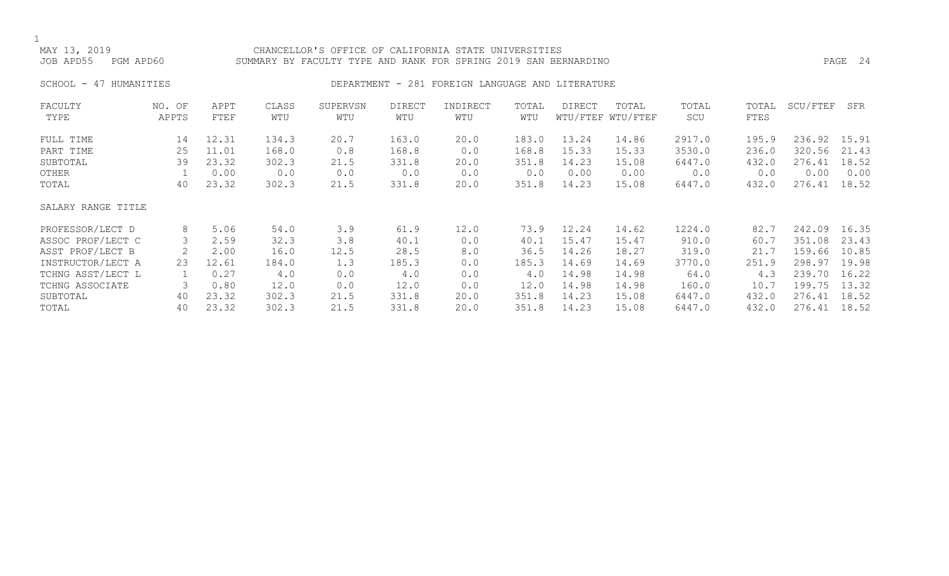### MAY 13, 2019 CHANCELLOR'S OFFICE OF CALIFORNIA STATE UNIVERSITIES SUMMARY BY FACULTY TYPE AND RANK FOR SPRING 2019 SAN BERNARDINO **PAGE 24**

## SCHOOL - 47 HUMANITIES SERIES DEPARTMENT - 281 FOREIGN LANGUAGE AND LITERATURE

| FACULTY            | NO. OF | APPT  | CLASS | SUPERVSN | <b>DIRECT</b> | INDIRECT | TOTAL | DIRECT | TOTAL             | TOTAL  | TOTAL | SCU/FTEF | SFR   |
|--------------------|--------|-------|-------|----------|---------------|----------|-------|--------|-------------------|--------|-------|----------|-------|
| TYPE               | APPTS  | FTEF  | WTU   | WTU      | WTU           | WTU      | WTU   |        | WTU/FTEF WTU/FTEF | SCU    | FTES  |          |       |
| FULL TIME          | 14     | 12.31 | 134.3 | 20.7     | 163.0         | 20.0     | 183.0 | 13.24  | 14.86             | 2917.0 | 195.9 | 236.92   | 15.91 |
| PART TIME          | 25     | 11.01 | 168.0 | 0.8      | 168.8         | 0.0      | 168.8 | 15.33  | 15.33             | 3530.0 | 236.0 | 320.56   | 21.43 |
| SUBTOTAL           | 39     | 23.32 | 302.3 | 21.5     | 331.8         | 20.0     | 351.8 | 14.23  | 15.08             | 6447.0 | 432.0 | 276.41   | 18.52 |
| OTHER              |        | 0.00  | 0.0   | 0.0      | 0.0           | 0.0      | 0.0   | 0.00   | 0.00              | 0.0    | 0.0   | 0.00     | 0.00  |
| TOTAL              | 40     | 23.32 | 302.3 | 21.5     | 331.8         | 20.0     | 351.8 | 14.23  | 15.08             | 6447.0 | 432.0 | 276.41   | 18.52 |
| SALARY RANGE TITLE |        |       |       |          |               |          |       |        |                   |        |       |          |       |
| PROFESSOR/LECT D   | 8      | 5.06  | 54.0  | 3.9      | 61.9          | 12.0     | 73.9  | 12.24  | 14.62             | 1224.0 | 82.7  | 242.09   | 16.35 |
| ASSOC PROF/LECT C  | 3      | 2.59  | 32.3  | 3.8      | 40.1          | 0.0      | 40.1  | 15.47  | 15.47             | 910.0  | 60.7  | 351.08   | 23.43 |
| ASST PROF/LECT B   |        | 2.00  | 16.0  | 12.5     | 28.5          | 8.0      | 36.5  | 14.26  | 18.27             | 319.0  | 21.7  | 159.66   | 10.85 |
| INSTRUCTOR/LECT A  | 23     | 12.61 | 184.0 | 1.3      | 185.3         | 0.0      | 185.3 | 14.69  | 14.69             | 3770.0 | 251.9 | 298.97   | 19.98 |
| TCHNG ASST/LECT L  |        | 0.27  | 4.0   | 0.0      | 4.0           | 0.0      | 4.0   | 14.98  | 14.98             | 64.0   | 4.3   | 239.70   | 16.22 |
| TCHNG ASSOCIATE    | 3      | 0.80  | 12.0  | 0.0      | 12.0          | 0.0      | 12.0  | 14.98  | 14.98             | 160.0  | 10.7  | 199.75   | 13.32 |
| SUBTOTAL           | 40     | 23.32 | 302.3 | 21.5     | 331.8         | 20.0     | 351.8 | 14.23  | 15.08             | 6447.0 | 432.0 | 276.41   | 18.52 |
| TOTAL              | 40     | 23.32 | 302.3 | 21.5     | 331.8         | 20.0     | 351.8 | 14.23  | 15.08             | 6447.0 | 432.0 | 276.41   | 18.52 |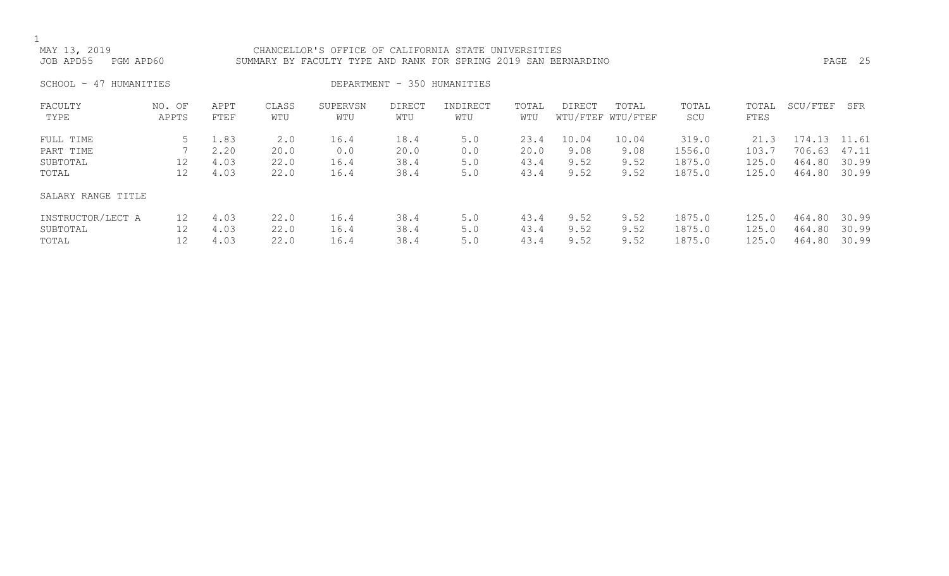CHANCELLOR'S OFFICE OF CALIFORNIA STATE UNIVERSITIES JOB APD55 PGM APD60 SUMMARY BY FACULTY TYPE AND RANK FOR SPRING 2019 SAN BERNARDINO PAGE 25

SCHOOL - 47 HUMANITIES SERIES DEPARTMENT - 350 HUMANITIES

| FACULTY<br>TYPE                             | NO. OF<br>APPTS               | APPT<br>FTEF                 | CLASS<br>WTU                | SUPERVSN<br>WTU             | <b>DIRECT</b><br>WTU         | INDIRECT<br>WTU          | TOTAL<br>WTU                 | <b>DIRECT</b>                 | TOTAL<br>WTU/FTEF WTU/FTEF    | TOTAL<br>SCU                        | TOTAL<br>FTES                   | SCU/FTEF                                   | SFR                     |
|---------------------------------------------|-------------------------------|------------------------------|-----------------------------|-----------------------------|------------------------------|--------------------------|------------------------------|-------------------------------|-------------------------------|-------------------------------------|---------------------------------|--------------------------------------------|-------------------------|
| FULL TIME<br>PART TIME<br>SUBTOTAL<br>TOTAL | 12<br>12                      | 1.83<br>2.20<br>4.03<br>4.03 | 2.0<br>20.0<br>22.0<br>22.0 | 16.4<br>0.0<br>16.4<br>16.4 | 18.4<br>20.0<br>38.4<br>38.4 | 5.0<br>0.0<br>5.0<br>5.0 | 23.4<br>20.0<br>43.4<br>43.4 | 10.04<br>9.08<br>9.52<br>9.52 | 10.04<br>9.08<br>9.52<br>9.52 | 319.0<br>1556.0<br>1875.0<br>1875.0 | 21.3<br>103.7<br>125.0<br>125.0 | 174.13 11.61<br>706.63<br>464.80<br>464.80 | 47.11<br>30.99<br>30.99 |
| SALARY RANGE TITLE                          |                               |                              |                             |                             |                              |                          |                              |                               |                               |                                     |                                 |                                            |                         |
| INSTRUCTOR/LECT A<br>SUBTOTAL<br>TOTAL      | $12 \overline{ }$<br>12<br>12 | 4.03<br>4.03<br>4.03         | 22.0<br>22.0<br>22.0        | 16.4<br>16.4<br>16.4        | 38.4<br>38.4<br>38.4         | 5.0<br>5.0<br>5.0        | 43.4<br>43.4<br>43.4         | 9.52<br>9.52<br>9.52          | 9.52<br>9.52<br>9.52          | 1875.0<br>1875.0<br>1875.0          | 125.0<br>125.0<br>125.0         | 464.80<br>464.80<br>464.80                 | 30.99<br>30.99<br>30.99 |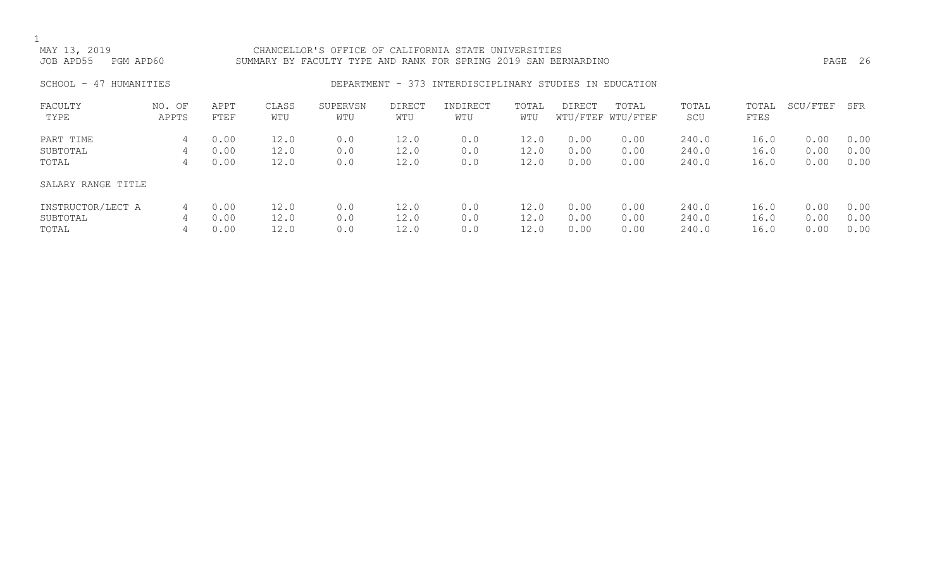## MAY 13, 2019 CHANCELLOR'S OFFICE OF CALIFORNIA STATE UNIVERSITIES JOB APD55 PGM APD60 SUMMARY BY FACULTY TYPE AND RANK FOR SPRING 2019 SAN BERNARDINO PAGE 26

## SCHOOL - 47 HUMANITIES SERES REPARTMENT - 373 INTERDISCIPLINARY STUDIES IN EDUCATION

| FACULTY            | NO. OF | APPT | CLASS | SUPERVSN | <b>DIRECT</b> | INDIRECT | TOTAL | <b>DIRECT</b> | TOTAL             | TOTAL | TOTAL | SCU/FTEF | SFR  |
|--------------------|--------|------|-------|----------|---------------|----------|-------|---------------|-------------------|-------|-------|----------|------|
| TYPE               | APPTS  | FTEF | WTU   | WTU      | WTU           | WTU      | WTU   |               | WTU/FTEF WTU/FTEF | SCU   | FTES  |          |      |
| PART TIME          | 4      | 0.00 | 12.0  | 0.0      | 12.0          | 0.0      | 12.0  | 0.00          | 0.00              | 240.0 | 16.0  | 0.00     | 0.00 |
| SUBTOTAL           | 4      | 0.00 | 12.0  | 0.0      | 12.0          | 0.0      | 12.0  | 0.00          | 0.00              | 240.0 | 16.0  | 0.00     | 0.00 |
| TOTAL              | 4      | 0.00 | 12.0  | 0.0      | 12.0          | 0.0      | 12.0  | 0.00          | 0.00              | 240.0 | 16.0  | 0.00     | 0.00 |
| SALARY RANGE TITLE |        |      |       |          |               |          |       |               |                   |       |       |          |      |
| INSTRUCTOR/LECT A  | 4      | 0.00 | 12.0  | 0.0      | 12.0          | 0.0      | 12.0  | 0.00          | 0.00              | 240.0 | 16.0  | 0.00     | 0.00 |
| SUBTOTAL           | 4      | 0.00 | 12.0  | 0.0      | 12.0          | 0.0      | 12.0  | 0.00          | 0.00              | 240.0 | 16.0  | 0.00     | 0.00 |
| TOTAL              | 4      | 0.00 | 12.0  | 0.0      | 12.0          | 0.0      | 12.0  | 0.00          | 0.00              | 240.0 | 16.0  | 0.00     | 0.00 |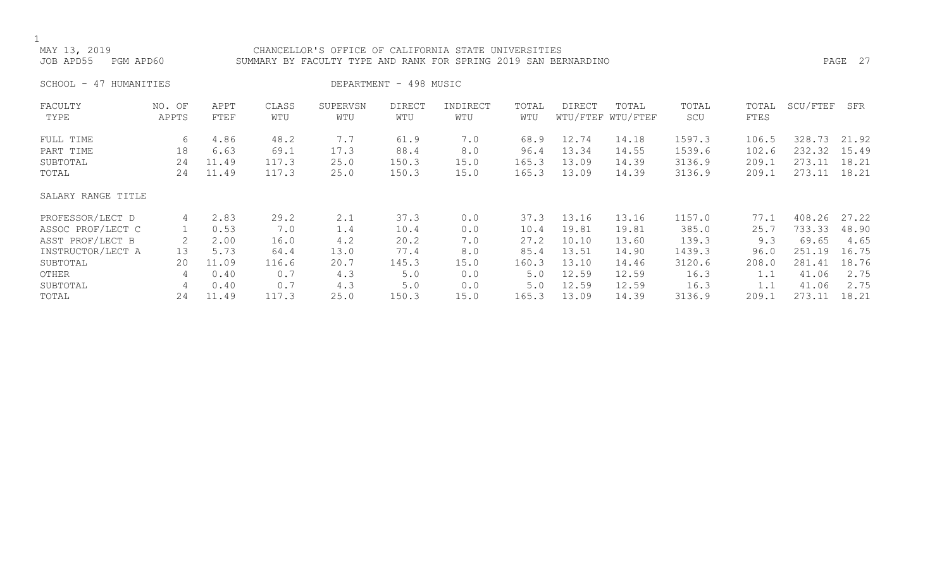## MAY 13, 2019<br>JOB APD55 PGM APD60 SUMMARY BY FACULTY TYPE AND RANK FOR SPRING 2019 SAN BER SUMMARY BY FACULTY TYPE AND RANK FOR SPRING 2019 SAN BERNARDINO PASS PAGE 27

SCHOOL - 47 HUMANITIES DEPARTMENT - 498 MUSIC

| FACULTY            | NO. OF | APPT  | CLASS | SUPERVSN | <b>DIRECT</b> | INDIRECT | TOTAL | DIRECT | TOTAL             | TOTAL  | TOTAL | SCU/FTEF | SFR   |
|--------------------|--------|-------|-------|----------|---------------|----------|-------|--------|-------------------|--------|-------|----------|-------|
| TYPE               | APPTS  | FTEF  | WTU   | WTU      | WTU           | WTU      | WTU   |        | WTU/FTEF WTU/FTEF | SCU    | FTES  |          |       |
| FULL TIME          | 6      | 4.86  | 48.2  | 7.7      | 61.9          | 7.0      | 68.9  | 12.74  | 14.18             | 1597.3 | 106.5 | 328.73   | 21.92 |
| PART TIME          | 18     | 6.63  | 69.1  | 17.3     | 88.4          | 8.0      | 96.4  | 13.34  | 14.55             | 1539.6 | 102.6 | 232.32   | 15.49 |
| SUBTOTAL           | 24     | 11.49 | 117.3 | 25.0     | 150.3         | 15.0     | 165.3 | 13.09  | 14.39             | 3136.9 | 209.1 | 273.11   | 18.21 |
| TOTAL              | 24     | 11.49 | 117.3 | 25.0     | 150.3         | 15.0     | 165.3 | 13.09  | 14.39             | 3136.9 | 209.1 | 273.11   | 18.21 |
| SALARY RANGE TITLE |        |       |       |          |               |          |       |        |                   |        |       |          |       |
| PROFESSOR/LECT D   | 4      | 2.83  | 29.2  | 2.1      | 37.3          | 0.0      | 37.3  | 13.16  | 13.16             | 1157.0 | 77.1  | 408.26   | 27.22 |
| ASSOC PROF/LECT C  |        | 0.53  | 7.0   | 1.4      | 10.4          | 0.0      | 10.4  | 19.81  | 19.81             | 385.0  | 25.7  | 733.33   | 48.90 |
| ASST PROF/LECT B   |        | 2.00  | 16.0  | 4.2      | 20.2          | 7.0      | 27.2  | 10.10  | 13.60             | 139.3  | 9.3   | 69.65    | 4.65  |
| INSTRUCTOR/LECT A  | 13     | 5.73  | 64.4  | 13.0     | 77.4          | 8.0      | 85.4  | 13.51  | 14.90             | 1439.3 | 96.0  | 251.19   | 16.75 |
| SUBTOTAL           | 20     | 11.09 | 116.6 | 20.7     | 145.3         | 15.0     | 160.3 | 13.10  | 14.46             | 3120.6 | 208.0 | 281.41   | 18.76 |
| OTHER              | 4      | 0.40  | 0.7   | 4.3      | 5.0           | 0.0      | 5.0   | 12.59  | 12.59             | 16.3   |       | 41.06    | 2.75  |
| SUBTOTAL           | 4      | 0.40  | 0.7   | 4.3      | 5.0           | 0.0      | 5.0   | 12.59  | 12.59             | 16.3   |       | 41.06    | 2.75  |
| TOTAL              | 24     | 11.49 | 117.3 | 25.0     | 150.3         | 15.0     | 165.3 | 13.09  | 14.39             | 3136.9 | 209.1 | 273.11   | 18.21 |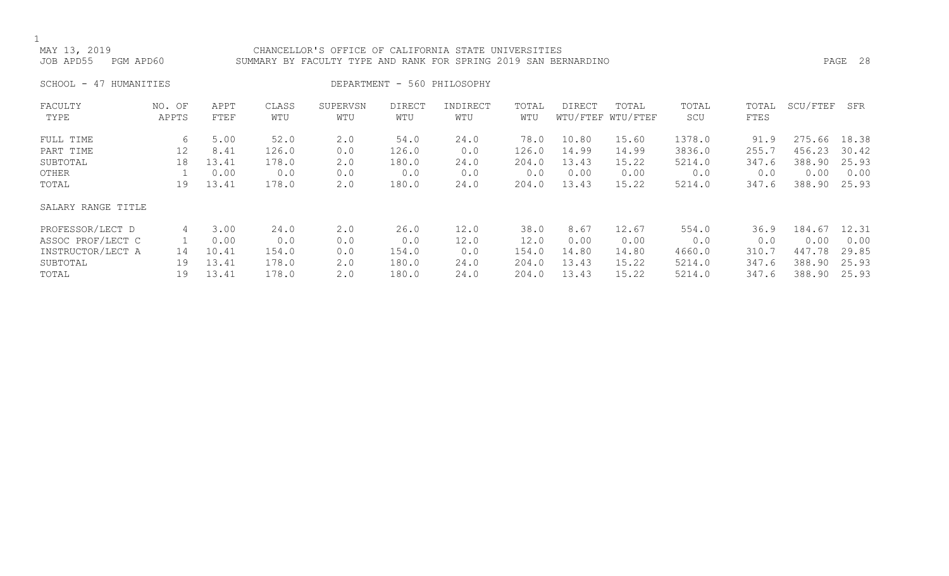## CHANCELLOR'S OFFICE OF CALIFORNIA STATE UNIVERSITIES JOB APD55 PGM APD60 SUMMARY BY FACULTY TYPE AND RANK FOR SPRING 2019 SAN BERNARDINO PAGE 28

SCHOOL - 47 HUMANITIES DEPARTMENT - 560 PHILOSOPHY

| FACULTY            | NO. OF | APPT  | CLASS | SUPERVSN | <b>DIRECT</b> | INDIRECT | TOTAL | <b>DIRECT</b> | TOTAL             | TOTAL  | TOTAL | SCU/FTEF | SFR   |
|--------------------|--------|-------|-------|----------|---------------|----------|-------|---------------|-------------------|--------|-------|----------|-------|
| TYPE               | APPTS  | FTEF  | WTU   | WTU      | WTU           | WTU      | WTU   |               | WTU/FTEF WTU/FTEF | SCU    | FTES  |          |       |
| FULL TIME          | 6      | 5.00  | 52.0  | 2.0      | 54.0          | 24.0     | 78.0  | 10.80         | 15.60             | 1378.0 | 91.9  | 275.66   | 18.38 |
| PART TIME          | 12     | 8.41  | 126.0 | 0.0      | 126.0         | 0.0      | 126.0 | 14.99         | 14.99             | 3836.0 | 255.7 | 456.23   | 30.42 |
| SUBTOTAL           | 18     | 13.41 | 178.0 | 2.0      | 180.0         | 24.0     | 204.0 | 13.43         | 15.22             | 5214.0 | 347.6 | 388.90   | 25.93 |
| OTHER              |        | 0.00  | 0.0   | 0.0      | 0.0           | 0.0      | 0.0   | 0.00          | 0.00              | 0.0    | 0.0   | 0.00     | 0.00  |
| TOTAL              | 19     | 13.41 | 178.0 | 2.0      | 180.0         | 24.0     | 204.0 | 13.43         | 15.22             | 5214.0 | 347.6 | 388.90   | 25.93 |
| SALARY RANGE TITLE |        |       |       |          |               |          |       |               |                   |        |       |          |       |
| PROFESSOR/LECT D   | 4      | 3.00  | 24.0  | 2.0      | 26.0          | 12.0     | 38.0  | 8.67          | 12.67             | 554.0  | 36.9  | 184.67   | 12.31 |
| ASSOC PROF/LECT C  |        | 0.00  | 0.0   | 0.0      | 0.0           | 12.0     | 12.0  | 0.00          | 0.00              | 0.0    | 0.0   | 0.00     | 0.00  |
| INSTRUCTOR/LECT A  | 14     | 10.41 | 154.0 | 0.0      | 154.0         | 0.0      | 154.0 | 14.80         | 14.80             | 4660.0 | 310.7 | 447.78   | 29.85 |
| SUBTOTAL           | 19     | 13.41 | 178.0 | 2.0      | 180.0         | 24.0     | 204.0 | 13.43         | 15.22             | 5214.0 | 347.6 | 388.90   | 25.93 |
| TOTAL              | 19     | 13.41 | 178.0 | 2.0      | 180.0         | 24.0     | 204.0 | 13.43         | 15.22             | 5214.0 | 347.6 | 388.90   | 25.93 |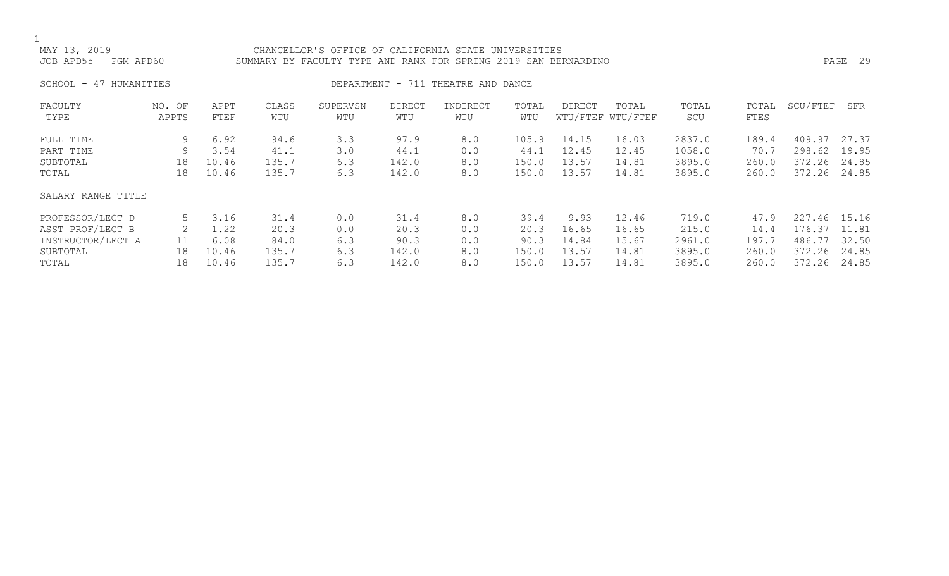## MAY 13, 2019<br>JOB APD55 PGM APD60 SUMMARY BY FACULTY TYPE AND RANK FOR SPRING 2019 SAN BER SUMMARY BY FACULTY TYPE AND RANK FOR SPRING 2019 SAN BERNARDINO **PAGE 29** PAGE 29

SCHOOL - 47 HUMANITIES **DEPARTMENT - 711 THEATRE AND DANCE** 

| FACULTY            | NO. OF | APPT  | CLASS | SUPERVSN | <b>DIRECT</b> | INDIRECT | TOTAL | DIRECT | TOTAL             | TOTAL  | TOTAL | SCU/FTEF     | SFR   |
|--------------------|--------|-------|-------|----------|---------------|----------|-------|--------|-------------------|--------|-------|--------------|-------|
| TYPE               | APPTS  | FTEF  | WTU   | WTU      | WTU           | WTU      | WTU   |        | WTU/FTEF WTU/FTEF | SCU    | FTES  |              |       |
| FULL TIME          | 9      | 6.92  | 94.6  | 3.3      | 97.9          | 8.0      | 105.9 | 14.15  | 16.03             | 2837.0 | 189.4 | 409.97       | 27.37 |
| PART TIME          | 9      | 3.54  | 41.1  | 3.0      | 44.1          | 0.0      | 44.1  | 12.45  | 12.45             | 1058.0 | 70.7  | 298.62       | 19.95 |
| SUBTOTAL           | 18     | 10.46 | 135.7 | 6.3      | 142.0         | 8.0      | 150.0 | 13.57  | 14.81             | 3895.0 | 260.0 | 372.26       | 24.85 |
| TOTAL              | 18     | 10.46 | 135.7 | 6.3      | 142.0         | 8.0      | 150.0 | 13.57  | 14.81             | 3895.0 | 260.0 | 372.26       | 24.85 |
| SALARY RANGE TITLE |        |       |       |          |               |          |       |        |                   |        |       |              |       |
| PROFESSOR/LECT D   |        | 3.16  | 31.4  | 0.0      | 31.4          | 8.0      | 39.4  | 9.93   | 12.46             | 719.0  | 47.9  | 227.46 15.16 |       |
| ASST PROF/LECT B   |        | 1.22  | 20.3  | 0.0      | 20.3          | 0.0      | 20.3  | 16.65  | 16.65             | 215.0  | 14.4  | 176.37       | 11.81 |
| INSTRUCTOR/LECT A  | 11     | 6.08  | 84.0  | 6.3      | 90.3          | 0.0      | 90.3  | 14.84  | 15.67             | 2961.0 | 197.7 | 486.77       | 32.50 |
| SUBTOTAL           | 18     | 10.46 | 135.7 | 6.3      | 142.0         | 8.0      | 150.0 | 13.57  | 14.81             | 3895.0 | 260.0 | 372.26       | 24.85 |
| TOTAL              | 18     | 10.46 | 135.7 | 6.3      | 142.0         | 8.0      | 150.0 | 13.57  | 14.81             | 3895.0 | 260.0 | 372.26       | 24.85 |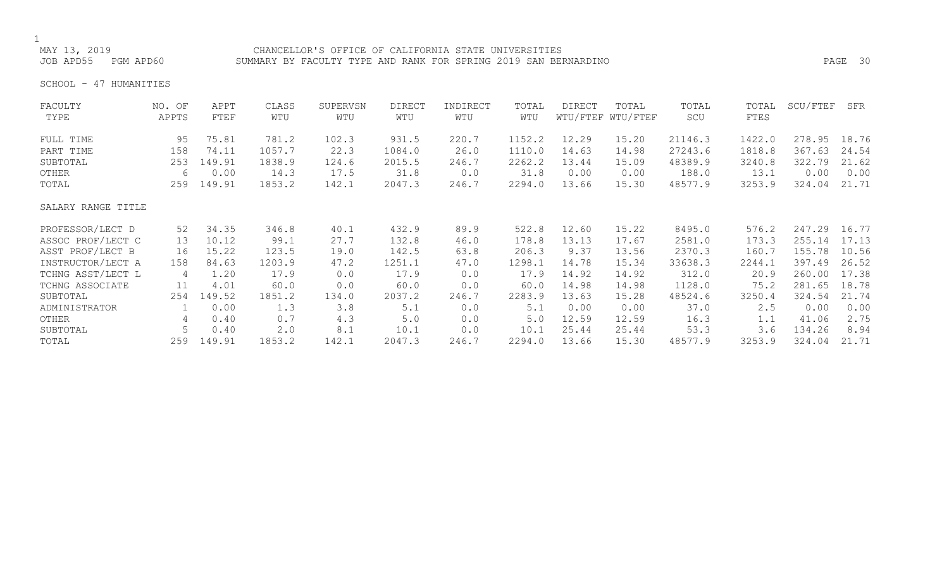## MAY 13, 2019 CHANCELLOR'S OFFICE OF CALIFORNIA STATE UNIVERSITIES SUMMARY BY FACULTY TYPE AND RANK FOR SPRING 2019 SAN BERNARDINO **PAGE 30**

SCHOOL - 47 HUMANITIES

| FACULTY<br>TYPE    | NO. OF<br>APPTS | APPT<br>FTEF | CLASS<br>WTU | SUPERVSN<br>WTU | <b>DIRECT</b><br>WTU | INDIRECT<br>WTU | TOTAL<br>WTU | <b>DIRECT</b> | TOTAL<br>WTU/FTEF WTU/FTEF | TOTAL<br>SCU | TOTAL<br>FTES | SCU/FTEF | SFR   |
|--------------------|-----------------|--------------|--------------|-----------------|----------------------|-----------------|--------------|---------------|----------------------------|--------------|---------------|----------|-------|
| FULL TIME          | 95              | 75.81        | 781.2        | 102.3           | 931.5                | 220.7           | 1152.2       | 12.29         | 15.20                      | 21146.3      | 1422.0        | 278.95   | 18.76 |
| PART TIME          | 158             | 74.11        | 1057.7       | 22.3            | 1084.0               | 26.0            | 1110.0       | 14.63         | 14.98                      | 27243.6      | 1818.8        | 367.63   | 24.54 |
| SUBTOTAL           | 253             | 149.91       | 1838.9       | 124.6           | 2015.5               | 246.7           | 2262.2       | 13.44         | 15.09                      | 48389.9      | 3240.8        | 322.79   | 21.62 |
| OTHER              | 6               | 0.00         | 14.3         | 17.5            | 31.8                 | 0.0             | 31.8         | 0.00          | 0.00                       | 188.0        | 13.1          | 0.00     | 0.00  |
| TOTAL              | 259             | 149.91       | 1853.2       | 142.1           | 2047.3               | 246.7           | 2294.0       | 13.66         | 15.30                      | 48577.9      | 3253.9        | 324.04   | 21.71 |
| SALARY RANGE TITLE |                 |              |              |                 |                      |                 |              |               |                            |              |               |          |       |
| PROFESSOR/LECT D   | 52              | 34.35        | 346.8        | 40.1            | 432.9                | 89.9            | 522.8        | 12.60         | 15.22                      | 8495.0       | 576.2         | 247.29   | 16.77 |
| ASSOC PROF/LECT C  | 13              | 10.12        | 99.1         | 27.7            | 132.8                | 46.0            | 178.8        | 13.13         | 17.67                      | 2581.0       | 173.3         | 255.14   | 17.13 |
| ASST PROF/LECT B   | 16              | 15.22        | 123.5        | 19.0            | 142.5                | 63.8            | 206.3        | 9.37          | 13.56                      | 2370.3       | 160.7         | 155.78   | 10.56 |
| INSTRUCTOR/LECT A  | 158             | 84.63        | 1203.9       | 47.2            | 1251.1               | 47.0            | 1298.1       | 14.78         | 15.34                      | 33638.3      | 2244.1        | 397.49   | 26.52 |
| TCHNG ASST/LECT L  | 4               | 1.20         | 17.9         | 0.0             | 17.9                 | 0.0             | 17.9         | 14.92         | 14.92                      | 312.0        | 20.9          | 260.00   | 17.38 |
| TCHNG ASSOCIATE    | 11              | 4.01         | 60.0         | 0.0             | 60.0                 | 0.0             | 60.0         | 14.98         | 14.98                      | 1128.0       | 75.2          | 281.65   | 18.78 |
| SUBTOTAL           | 254             | 149.52       | 1851.2       | 134.0           | 2037.2               | 246.7           | 2283.9       | 13.63         | 15.28                      | 48524.6      | 3250.4        | 324.54   | 21.74 |
| ADMINISTRATOR      |                 | 0.00         | 1.3          | 3.8             | 5.1                  | 0.0             | 5.1          | 0.00          | 0.00                       | 37.0         | 2.5           | 0.00     | 0.00  |
| OTHER              | 4               | 0.40         | 0.7          | 4.3             | 5.0                  | 0.0             | 5.0          | 12.59         | 12.59                      | 16.3         | 1.1           | 41.06    | 2.75  |
| SUBTOTAL           | 5               | 0.40         | 2.0          | 8.1             | 10.1                 | 0.0             | 10.1         | 25.44         | 25.44                      | 53.3         | 3.6           | 134.26   | 8.94  |
| TOTAL              | 259             | 149.91       | 1853.2       | 142.1           | 2047.3               | 246.7           | 2294.0       | 13.66         | 15.30                      | 48577.9      | 3253.9        | 324.04   | 21.71 |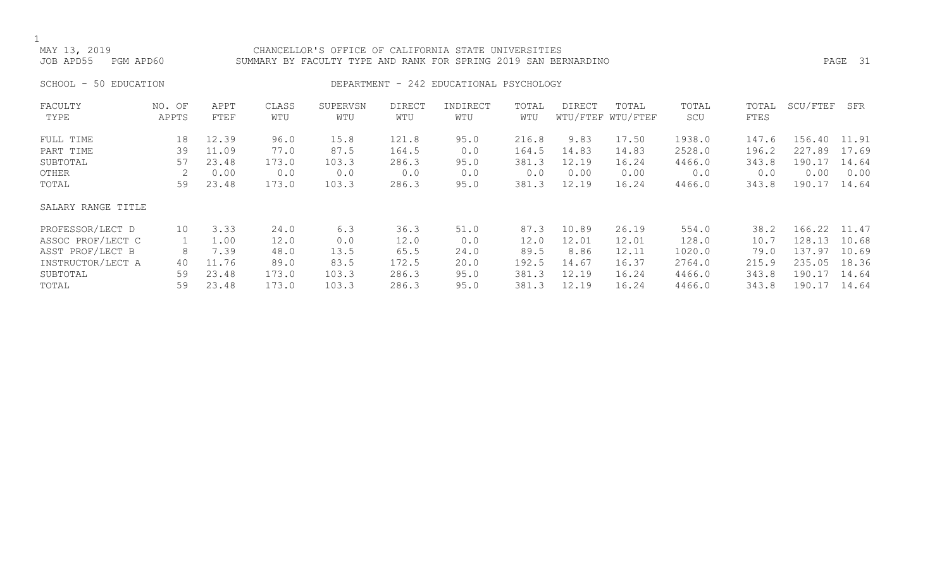## CHANCELLOR'S OFFICE OF CALIFORNIA STATE UNIVERSITIES JOB APD55 PGM APD60 SUMMARY BY FACULTY TYPE AND RANK FOR SPRING 2019 SAN BERNARDINO PAGE 31

## SCHOOL - 50 EDUCATION **DEPARTMENT - 242 EDUCATIONAL PSYCHOLOGY**

| FACULTY            | NO. OF | APPT  | CLASS | SUPERVSN | <b>DIRECT</b> | INDIRECT | TOTAL | <b>DIRECT</b> | TOTAL             | TOTAL  | TOTAL | SCU/FTEF | SFR   |
|--------------------|--------|-------|-------|----------|---------------|----------|-------|---------------|-------------------|--------|-------|----------|-------|
| TYPE               | APPTS  | FTEF  | WTU   | WTU      | WTU           | WTU      | WTU   |               | WTU/FTEF WTU/FTEF | SCU    | FTES  |          |       |
| FULL TIME          | 18     | 12.39 | 96.0  | 15.8     | 121.8         | 95.0     | 216.8 | 9.83          | 17.50             | 1938.0 | 147.6 | 156.40   | 11.91 |
| PART TIME          | 39     | 11.09 | 77.0  | 87.5     | 164.5         | 0.0      | 164.5 | 14.83         | 14.83             | 2528.0 | 196.2 | 227.89   | 17.69 |
| SUBTOTAL           | 57     | 23.48 | 173.0 | 103.3    | 286.3         | 95.0     | 381.3 | 12.19         | 16.24             | 4466.0 | 343.8 | 190.17   | 14.64 |
| OTHER              | 2      | 0.00  | 0.0   | 0.0      | 0.0           | 0.0      | 0.0   | 0.00          | 0.00              | 0.0    | 0.0   | 0.00     | 0.00  |
| TOTAL              | 59     | 23.48 | 173.0 | 103.3    | 286.3         | 95.0     | 381.3 | 12.19         | 16.24             | 4466.0 | 343.8 | 190.17   | 14.64 |
| SALARY RANGE TITLE |        |       |       |          |               |          |       |               |                   |        |       |          |       |
| PROFESSOR/LECT D   | 10     | 3.33  | 24.0  | 6.3      | 36.3          | 51.0     | 87.3  | 10.89         | 26.19             | 554.0  | 38.2  | 166.22   | 11.47 |
| ASSOC PROF/LECT C  |        | 1.00  | 12.0  | 0.0      | 12.0          | 0.0      | 12.0  | 12.01         | 12.01             | 128.0  | 10.7  | 128.13   | 10.68 |
| ASST PROF/LECT B   | 8      | 7.39  | 48.0  | 13.5     | 65.5          | 24.0     | 89.5  | 8.86          | 12.11             | 1020.0 | 79.0  | 137.97   | 10.69 |
| INSTRUCTOR/LECT A  | 40     | 11.76 | 89.0  | 83.5     | 172.5         | 20.0     | 192.5 | 14.67         | 16.37             | 2764.0 | 215.9 | 235.05   | 18.36 |
| SUBTOTAL           | 59     | 23.48 | 173.0 | 103.3    | 286.3         | 95.0     | 381.3 | 12.19         | 16.24             | 4466.0 | 343.8 | 190.17   | 14.64 |
| TOTAL              | 59     | 23.48 | 173.0 | 103.3    | 286.3         | 95.0     | 381.3 | 12.19         | 16.24             | 4466.0 | 343.8 | 190.17   | 14.64 |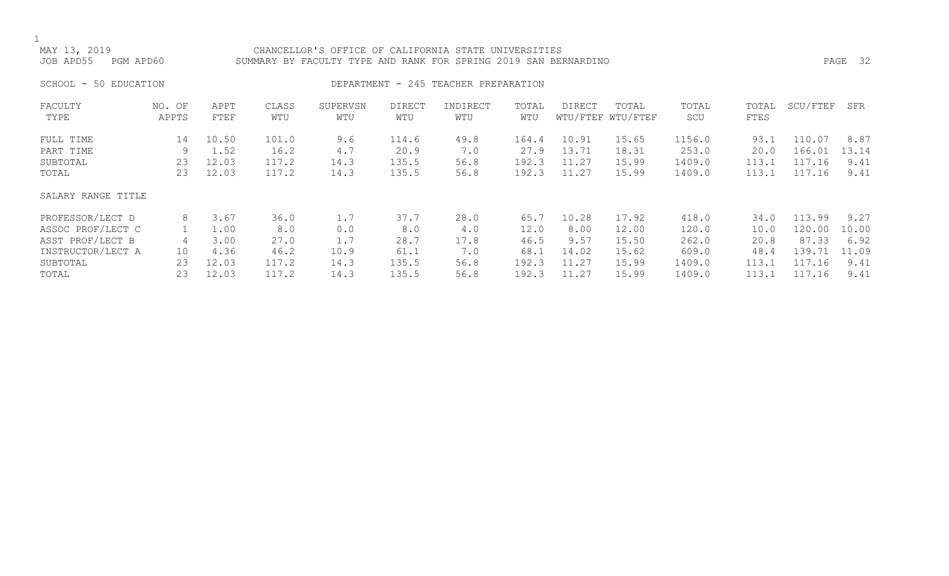CHANCELLOR'S OFFICE OF CALIFORNIA STATE UNIVERSITIES JOB APD55 PGM APD60 SUMMARY BY FACULTY TYPE AND RANK FOR SPRING 2019 SAN BERNARDINO PAGE 32

## SCHOOL - 50 EDUCATION **DEPARTMENT - 245 TEACHER PREPARATION**

| FACULTY<br>TYPE    | NO. OF<br>APPTS | APPT<br>FTEF | CLASS<br>WTU | SUPERVSN<br>WTU | <b>DIRECT</b><br>WTU | INDIRECT<br>WTU | TOTAL<br>WTU | DIRECT | TOTAL<br>WTU/FTEF WTU/FTEF | TOTAL<br>SCU | TOTAL<br>FTES | SCU/FTEF | SFR   |
|--------------------|-----------------|--------------|--------------|-----------------|----------------------|-----------------|--------------|--------|----------------------------|--------------|---------------|----------|-------|
| FULL TIME          | 14              | 10.50        | 101.0        | 9.6             | 114.6                | 49.8            | 164.4        | 10.91  | 15.65                      | 1156.0       | 93.1          | 110.07   | 8.87  |
| PART TIME          | 9               | 1.52         | 16.2         | 4.7             | 20.9                 | 7.0             | 27.9         | 13.71  | 18.31                      | 253.0        | 20.0          | 166.01   | 13.14 |
| SUBTOTAL           | 23              | 12.03        | 117.2        | 14.3            | 135.5                | 56.8            | 192.3        | 11.27  | 15.99                      | 1409.0       | 113.1         | 117.16   | 9.41  |
| TOTAL              | 23              | 12.03        | 117.2        | 14.3            | 135.5                | 56.8            | 192.3        | 11.27  | 15.99                      | 1409.0       | 113.1         | 117.16   | 9.41  |
| SALARY RANGE TITLE |                 |              |              |                 |                      |                 |              |        |                            |              |               |          |       |
| PROFESSOR/LECT D   | 8               | 3.67         | 36.0         | 1.7             | 37.7                 | 28.0            | 65.7         | 10.28  | 17.92                      | 418.0        | 34.0          | 113.99   | 9.27  |
| ASSOC PROF/LECT C  |                 | 1.00         | 8.0          | 0.0             | 8.0                  | 4.0             | 12.0         | 8.00   | 12.00                      | 120.0        | 10.0          | 120.00   | 10.00 |
| ASST PROF/LECT B   | 4               | 3.00         | 27.0         | 1.7             | 28.7                 | 17.8            | 46.5         | 9.57   | 15.50                      | 262.0        | 20.8          | 87.33    | 6.92  |
| INSTRUCTOR/LECT A  | 10              | 4.36         | 46.2         | 10.9            | 61.1                 | 7.0             | 68.1         | 14.02  | 15.62                      | 609.0        | 48.4          | 139.71   | 11.09 |
| SUBTOTAL           | 23              | 12.03        | 117.2        | 14.3            | 135.5                | 56.8            | 192.3        | 11.27  | 15.99                      | 1409.0       | 113.1         | 117.16   | 9.41  |
| TOTAL              | 23              | 12.03        | 117.2        | 14.3            | 135.5                | 56.8            | 192.3        | 11.27  | 15.99                      | 1409.0       | 113.1         | 117.16   | 9.41  |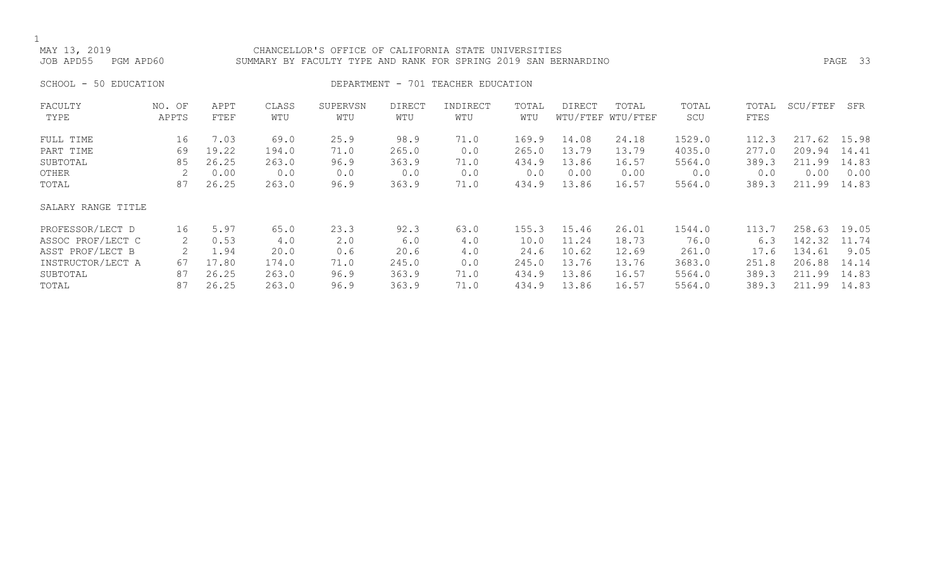## CHANCELLOR'S OFFICE OF CALIFORNIA STATE UNIVERSITIES JOB APD55 PGM APD60 SUMMARY BY FACULTY TYPE AND RANK FOR SPRING 2019 SAN BERNARDINO PAGE 33

SCHOOL - 50 EDUCATION **DEPARTMENT** - 701 TEACHER EDUCATION

| FACULTY            | NO. OF | APPT  | CLASS | SUPERVSN | <b>DIRECT</b> | INDIRECT | TOTAL | <b>DIRECT</b> | TOTAL             | TOTAL  | TOTAL | SCU/FTEF | SFR   |
|--------------------|--------|-------|-------|----------|---------------|----------|-------|---------------|-------------------|--------|-------|----------|-------|
| TYPE               | APPTS  | FTEF  | WTU   | WTU      | WTU           | WTU      | WTU   |               | WTU/FTEF WTU/FTEF | SCU    | FTES  |          |       |
| FULL TIME          | 16     | 7.03  | 69.0  | 25.9     | 98.9          | 71.0     | 169.9 | 14.08         | 24.18             | 1529.0 | 112.3 | 217.62   | 15.98 |
| PART TIME          | 69     | 19.22 | 194.0 | 71.0     | 265.0         | 0.0      | 265.0 | 13.79         | 13.79             | 4035.0 | 277.0 | 209.94   | 14.41 |
| SUBTOTAL           | 85     | 26.25 | 263.0 | 96.9     | 363.9         | 71.0     | 434.9 | 13.86         | 16.57             | 5564.0 | 389.3 | 211.99   | 14.83 |
| OTHER              | 2      | 0.00  | 0.0   | 0.0      | 0.0           | 0.0      | 0.0   | 0.00          | 0.00              | 0.0    | 0.0   | 0.00     | 0.00  |
| TOTAL              | 87     | 26.25 | 263.0 | 96.9     | 363.9         | 71.0     | 434.9 | 13.86         | 16.57             | 5564.0 | 389.3 | 211.99   | 14.83 |
| SALARY RANGE TITLE |        |       |       |          |               |          |       |               |                   |        |       |          |       |
| PROFESSOR/LECT D   | 16     | 5.97  | 65.0  | 23.3     | 92.3          | 63.0     | 155.3 | 15.46         | 26.01             | 1544.0 | 113.7 | 258.63   | 19.05 |
| ASSOC PROF/LECT C  | 2      | 0.53  | 4.0   | 2.0      | 6.0           | 4.0      | 10.0  | 11.24         | 18.73             | 76.0   | 6.3   | 142.32   | 11.74 |
| ASST PROF/LECT B   |        | 1.94  | 20.0  | 0.6      | 20.6          | 4.0      | 24.6  | 10.62         | 12.69             | 261.0  | 17.6  | 134.61   | 9.05  |
| INSTRUCTOR/LECT A  | 67     | 17.80 | 174.0 | 71.0     | 245.0         | 0.0      | 245.0 | 13.76         | 13.76             | 3683.0 | 251.8 | 206.88   | 14.14 |
| SUBTOTAL           | 87     | 26.25 | 263.0 | 96.9     | 363.9         | 71.0     | 434.9 | 13.86         | 16.57             | 5564.0 | 389.3 | 211.99   | 14.83 |
| TOTAL              | 87     | 26.25 | 263.0 | 96.9     | 363.9         | 71.0     | 434.9 | 13.86         | 16.57             | 5564.0 | 389.3 | 211.99   | 14.83 |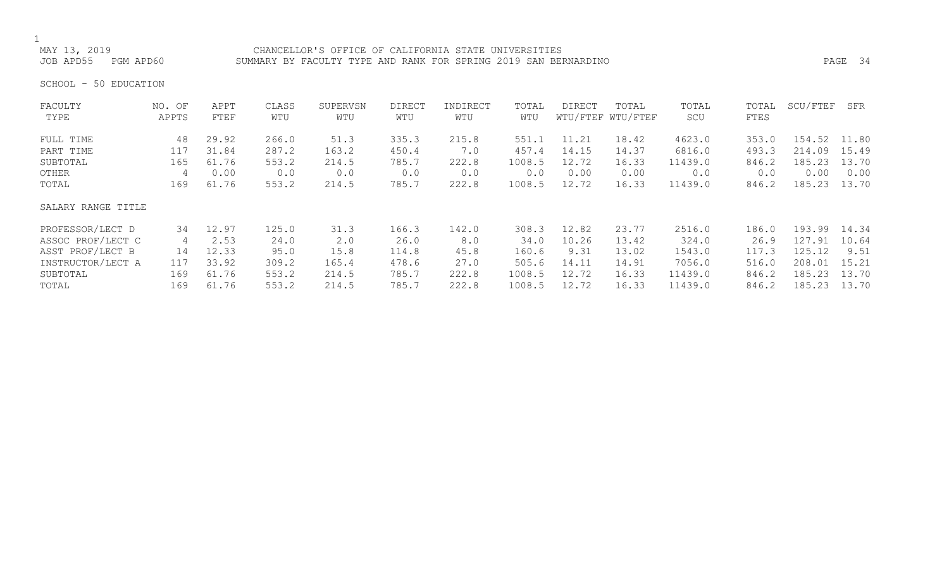MAY 13, 2019 CHANCELLOR'S OFFICE OF CALIFORNIA STATE UNIVERSITIES SUMMARY BY FACULTY TYPE AND RANK FOR SPRING 2019 SAN BERNARDINO **PAGE 34** 

SCHOOL - 50 EDUCATION

| FACULTY            | NO. OF | APPT  | CLASS | SUPERVSN | <b>DIRECT</b> | INDIRECT | TOTAL  | DIRECT | TOTAL             | TOTAL   | TOTAL | SCU/FTEF | SFR   |
|--------------------|--------|-------|-------|----------|---------------|----------|--------|--------|-------------------|---------|-------|----------|-------|
| TYPE               | APPTS  | FTEF  | WTU   | WTU      | WTU           | WTU      | WTU    |        | WTU/FTEF WTU/FTEF | SCU     | FTES  |          |       |
| FULL TIME          | 48     | 29.92 | 266.0 | 51.3     | 335.3         | 215.8    | 551.1  | 11.21  | 18.42             | 4623.0  | 353.0 | 154.52   | 11.80 |
| PART TIME          | 117    | 31.84 | 287.2 | 163.2    | 450.4         | 7.0      | 457.4  | 14.15  | 14.37             | 6816.0  | 493.3 | 214.09   | 15.49 |
| SUBTOTAL           | 165    | 61.76 | 553.2 | 214.5    | 785.7         | 222.8    | 1008.5 | 12.72  | 16.33             | 11439.0 | 846.2 | 185.23   | 13.70 |
| OTHER              | 4      | 0.00  | 0.0   | 0.0      | 0.0           | 0.0      | 0.0    | 0.00   | 0.00              | 0.0     | 0.0   | 0.00     | 0.00  |
| TOTAL              | 169    | 61.76 | 553.2 | 214.5    | 785.7         | 222.8    | 1008.5 | 12.72  | 16.33             | 11439.0 | 846.2 | 185.23   | 13.70 |
| SALARY RANGE TITLE |        |       |       |          |               |          |        |        |                   |         |       |          |       |
| PROFESSOR/LECT D   | 34     | 12.97 | 125.0 | 31.3     | 166.3         | 142.0    | 308.3  | 12.82  | 23.77             | 2516.0  | 186.0 | 193.99   | 14.34 |
| ASSOC PROF/LECT C  | 4      | 2.53  | 24.0  | 2.0      | 26.0          | 8.0      | 34.0   | 10.26  | 13.42             | 324.0   | 26.9  | 127.91   | 10.64 |
| ASST PROF/LECT B   | 14     | 12.33 | 95.0  | 15.8     | 114.8         | 45.8     | 160.6  | 9.31   | 13.02             | 1543.0  | 117.3 | 125.12   | 9.51  |
| INSTRUCTOR/LECT A  | 117    | 33.92 | 309.2 | 165.4    | 478.6         | 27.0     | 505.6  | 14.11  | 14.91             | 7056.0  | 516.0 | 208.01   | 15.21 |
| SUBTOTAL           | 169    | 61.76 | 553.2 | 214.5    | 785.7         | 222.8    | 1008.5 | 12.72  | 16.33             | 11439.0 | 846.2 | 185.23   | 13.70 |
| TOTAL              | 169    | 61.76 | 553.2 | 214.5    | 785.7         | 222.8    | 1008.5 | 12.72  | 16.33             | 11439.0 | 846.2 | 185.23   | 13.70 |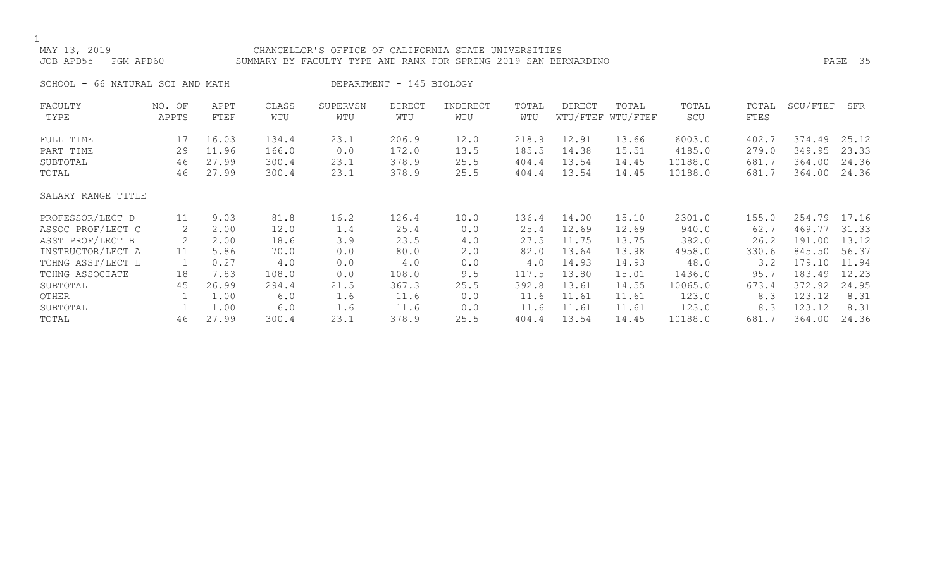## MAY 13, 2019 CHANCELLOR'S OFFICE OF CALIFORNIA STATE UNIVERSITIES JOB APD55 PGM APD60 SUMMARY BY FACULTY TYPE AND RANK FOR SPRING 2019 SAN BERNARDINO PAGE 35 SCHOOL - 66 NATURAL SCI AND MATH DEPARTMENT - 145 BIOLOGY

| FACULTY<br>TYPE    | NO. OF<br>APPTS | APPT<br>FTEF | CLASS<br>WTU | SUPERVSN<br>WTU | DIRECT<br>WTU | INDIRECT<br>WTU | TOTAL<br>WTU | DIRECT | TOTAL<br>WTU/FTEF WTU/FTEF | TOTAL<br>SCU | TOTAL<br>FTES | SCU/FTEF | SFR   |
|--------------------|-----------------|--------------|--------------|-----------------|---------------|-----------------|--------------|--------|----------------------------|--------------|---------------|----------|-------|
| FULL TIME          | 17              | 16.03        | 134.4        | 23.1            | 206.9         | 12.0            | 218.9        | 12.91  | 13.66                      | 6003.0       | 402.7         | 374.49   | 25.12 |
| PART TIME          | 29              | 11.96        | 166.0        | 0.0             | 172.0         | 13.5            | 185.5        | 14.38  | 15.51                      | 4185.0       | 279.0         | 349.95   | 23.33 |
| SUBTOTAL           | 46              | 27.99        | 300.4        | 23.1            | 378.9         | 25.5            | 404.4        | 13.54  | 14.45                      | 10188.0      | 681.7         | 364.00   | 24.36 |
| TOTAL              | 46              | 27.99        | 300.4        | 23.1            | 378.9         | 25.5            | 404.4        | 13.54  | 14.45                      | 10188.0      | 681.7         | 364.00   | 24.36 |
| SALARY RANGE TITLE |                 |              |              |                 |               |                 |              |        |                            |              |               |          |       |
| PROFESSOR/LECT D   | 11              | 9.03         | 81.8         | 16.2            | 126.4         | 10.0            | 136.4        | 14.00  | 15.10                      | 2301.0       | 155.0         | 254.79   | 17.16 |
| ASSOC PROF/LECT C  | 2               | 2.00         | 12.0         | 1.4             | 25.4          | 0.0             | 25.4         | 12.69  | 12.69                      | 940.0        | 62.7          | 469.77   | 31.33 |
| ASST PROF/LECT B   | 2               | 2.00         | 18.6         | 3.9             | 23.5          | 4.0             | 27.5         | 11.75  | 13.75                      | 382.0        | 26.2          | 191.00   | 13.12 |
| INSTRUCTOR/LECT A  | 11              | 5.86         | 70.0         | 0.0             | 80.0          | 2.0             | 82.0         | 13.64  | 13.98                      | 4958.0       | 330.6         | 845.50   | 56.37 |
| TCHNG ASST/LECT L  | 1               | 0.27         | 4.0          | 0.0             | 4.0           | 0.0             | 4.0          | 14.93  | 14.93                      | 48.0         | 3.2           | 179.10   | 11.94 |
| TCHNG ASSOCIATE    | 18              | 7.83         | 108.0        | 0.0             | 108.0         | 9.5             | 117.5        | 13.80  | 15.01                      | 1436.0       | 95.7          | 183.49   | 12.23 |
| SUBTOTAL           | 45              | 26.99        | 294.4        | 21.5            | 367.3         | 25.5            | 392.8        | 13.61  | 14.55                      | 10065.0      | 673.4         | 372.92   | 24.95 |
| OTHER              |                 | 1.00         | 6.0          | 1.6             | 11.6          | 0.0             | 11.6         | 11.61  | 11.61                      | 123.0        | 8.3           | 123.12   | 8.31  |
| SUBTOTAL           |                 | 1.00         | 6.0          | 1.6             | 11.6          | 0.0             | 11.6         | 11.61  | 11.61                      | 123.0        | 8.3           | 123.12   | 8.31  |
| TOTAL              | 46              | 27.99        | 300.4        | 23.1            | 378.9         | 25.5            | 404.4        | 13.54  | 14.45                      | 10188.0      | 681.7         | 364.00   | 24.36 |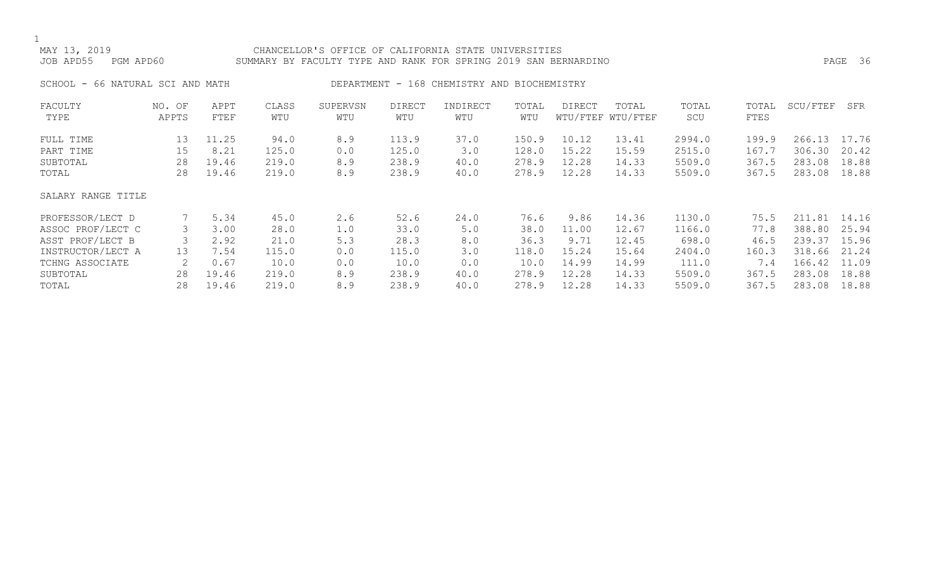## MAY 13, 2019 CHANCELLOR'S OFFICE OF CALIFORNIA STATE UNIVERSITIES JOB APD55 PGM APD60 SUMMARY BY FACULTY TYPE AND RANK FOR SPRING 2019 SAN BERNARDINO PAGE 36

SCHOOL - 66 NATURAL SCI AND MATH DEPARTMENT - 168 CHEMISTRY AND BIOCHEMISTRY

| FACULTY            | NO. OF | APPT  | CLASS | SUPERVSN | <b>DIRECT</b> | INDIRECT | TOTAL | DIRECT | TOTAL             | TOTAL  | TOTAL | SCU/FTEF | SFR   |
|--------------------|--------|-------|-------|----------|---------------|----------|-------|--------|-------------------|--------|-------|----------|-------|
| TYPE               | APPTS  | FTEF  | WTU   | WTU      | WTU           | WTU      | WTU   |        | WTU/FTEF WTU/FTEF | SCU    | FTES  |          |       |
| FULL TIME          | 13     | 11.25 | 94.0  | 8.9      | 113.9         | 37.0     | 150.9 | 10.12  | 13.41             | 2994.0 | 199.9 | 266.13   | 17.76 |
| PART TIME          | 15     | 8.21  | 125.0 | 0.0      | 125.0         | 3.0      | 128.0 | 15.22  | 15.59             | 2515.0 | 167.7 | 306.30   | 20.42 |
| SUBTOTAL           | 28     | 19.46 | 219.0 | 8.9      | 238.9         | 40.0     | 278.9 | 12.28  | 14.33             | 5509.0 | 367.5 | 283.08   | 18.88 |
| TOTAL              | 28     | 19.46 | 219.0 | 8.9      | 238.9         | 40.0     | 278.9 | 12.28  | 14.33             | 5509.0 | 367.5 | 283.08   | 18.88 |
| SALARY RANGE TITLE |        |       |       |          |               |          |       |        |                   |        |       |          |       |
| PROFESSOR/LECT D   |        | 5.34  | 45.0  | 2.6      | 52.6          | 24.0     | 76.6  | 9.86   | 14.36             | 1130.0 | 75.5  | 211.81   | 14.16 |
| ASSOC PROF/LECT C  | 3      | 3.00  | 28.0  | 1.0      | 33.0          | 5.0      | 38.0  | 11.00  | 12.67             | 1166.0 | 77.8  | 388.80   | 25.94 |
| ASST PROF/LECT B   |        | 2.92  | 21.0  | 5.3      | 28.3          | 8.0      | 36.3  | 9.71   | 12.45             | 698.0  | 46.5  | 239.37   | 15.96 |
| INSTRUCTOR/LECT A  | 13     | 7.54  | 115.0 | 0.0      | 115.0         | 3.0      | 118.0 | 15.24  | 15.64             | 2404.0 | 160.3 | 318.66   | 21.24 |
| TCHNG ASSOCIATE    |        | 0.67  | 10.0  | 0.0      | 10.0          | 0.0      | 10.0  | 14.99  | 14.99             | 111.0  | 7.4   | 166.42   | 11.09 |
| SUBTOTAL           | 28     | 19.46 | 219.0 | 8.9      | 238.9         | 40.0     | 278.9 | 12.28  | 14.33             | 5509.0 | 367.5 | 283.08   | 18.88 |
| TOTAL              | 28     | 19.46 | 219.0 | 8.9      | 238.9         | 40.0     | 278.9 | 12.28  | 14.33             | 5509.0 | 367.5 | 283.08   | 18.88 |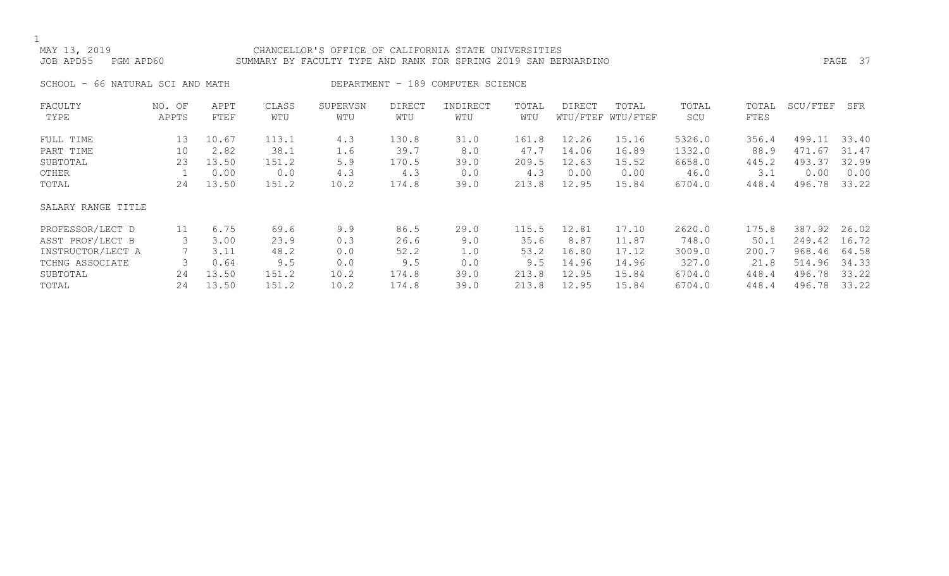### MAY 13, 2019 CHANCELLOR'S OFFICE OF CALIFORNIA STATE UNIVERSITIES JOB APD55 PGM APD60 SUMMARY BY FACULTY TYPE AND RANK FOR SPRING 2019 SAN BERNARDINO PAGE 37

SCHOOL - 66 NATURAL SCI AND MATH DEPARTMENT - 189 COMPUTER SCIENCE

| FACULTY            | NO. OF | APPT  | CLASS | SUPERVSN | <b>DIRECT</b> | INDIRECT | TOTAL | <b>DIRECT</b> | TOTAL             | TOTAL  | TOTAL | SCU/FTEF | SFR   |
|--------------------|--------|-------|-------|----------|---------------|----------|-------|---------------|-------------------|--------|-------|----------|-------|
| TYPE               | APPTS  | FTEF  | WTU   | WTU      | WTU           | WTU      | WTU   |               | WTU/FTEF WTU/FTEF | SCU    | FTES  |          |       |
| FULL TIME          | 13     | 10.67 | 113.1 | 4.3      | 130.8         | 31.0     | 161.8 | 12.26         | 15.16             | 5326.0 | 356.4 | 499.11   | 33.40 |
| PART TIME          | 10     | 2.82  | 38.1  | 1.6      | 39.7          | 8.0      | 47.7  | 14.06         | 16.89             | 1332.0 | 88.9  | 471.67   | 31.47 |
| SUBTOTAL           | 23     | 13.50 | 151.2 | 5.9      | 170.5         | 39.0     | 209.5 | 12.63         | 15.52             | 6658.0 | 445.2 | 493.37   | 32.99 |
| OTHER              |        | 0.00  | 0.0   | 4.3      | 4.3           | 0.0      | 4.3   | 0.00          | 0.00              | 46.0   | 3.1   | 0.00     | 0.00  |
| TOTAL              | 24     | 13.50 | 151.2 | 10.2     | 174.8         | 39.0     | 213.8 | 12.95         | 15.84             | 6704.0 | 448.4 | 496.78   | 33.22 |
| SALARY RANGE TITLE |        |       |       |          |               |          |       |               |                   |        |       |          |       |
| PROFESSOR/LECT D   | 11     | 6.75  | 69.6  | 9.9      | 86.5          | 29.0     | 115.5 | 12.81         | 17.10             | 2620.0 | 175.8 | 387.92   | 26.02 |
| ASST PROF/LECT B   |        | 3.00  | 23.9  | 0.3      | 26.6          | 9.0      | 35.6  | 8.87          | 11.87             | 748.0  | 50.1  | 249.42   | 16.72 |
| INSTRUCTOR/LECT A  |        | 3.11  | 48.2  | 0.0      | 52.2          | 1.0      | 53.2  | 16.80         | 17.12             | 3009.0 | 200.7 | 968.46   | 64.58 |
| TCHNG ASSOCIATE    |        | 0.64  | 9.5   | 0.0      | 9.5           | 0.0      | 9.5   | 14.96         | 14.96             | 327.0  | 21.8  | 514.96   | 34.33 |
| SUBTOTAL           | 24     | 13.50 | 151.2 | 10.2     | 174.8         | 39.0     | 213.8 | 12.95         | 15.84             | 6704.0 | 448.4 | 496.78   | 33.22 |
| TOTAL              | 24     | 13.50 | 151.2 | 10.2     | 174.8         | 39.0     | 213.8 | 12.95         | 15.84             | 6704.0 | 448.4 | 496.78   | 33.22 |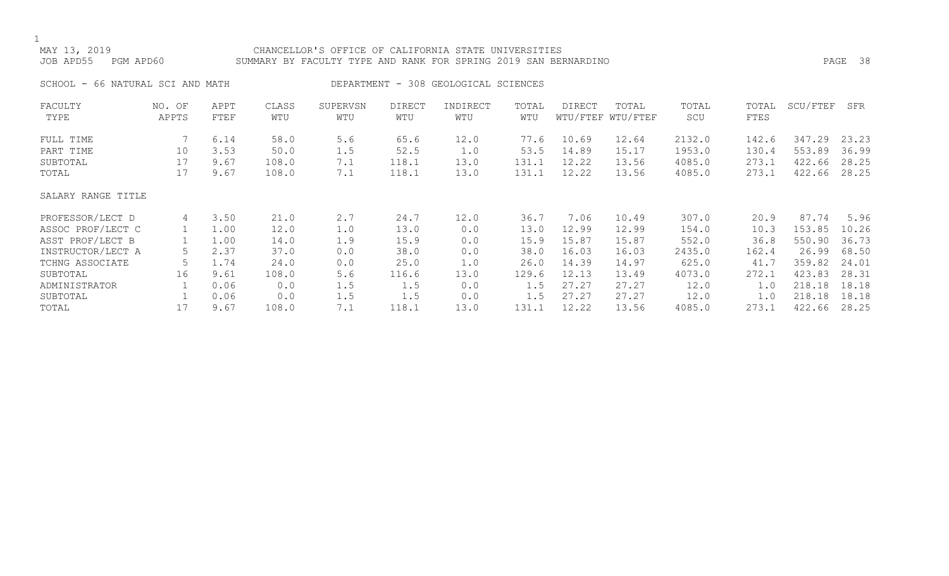### MAY 13, 2019 CHANCELLOR'S OFFICE OF CALIFORNIA STATE UNIVERSITIES JOB APD55 PGM APD60 SUMMARY BY FACULTY TYPE AND RANK FOR SPRING 2019 SAN BERNARDINO PAGE 38

SCHOOL - 66 NATURAL SCI AND MATH DEPARTMENT - 308 GEOLOGICAL SCIENCES

| FACULTY<br>TYPE    | NO. OF<br>APPTS | APPT<br>FTEF | CLASS<br>WTU | SUPERVSN<br>WTU | <b>DIRECT</b><br>WTU | INDIRECT<br>WTU | TOTAL<br>WTU | DIRECT | TOTAL<br>WTU/FTEF WTU/FTEF | TOTAL<br>SCU | TOTAL<br>FTES | SCU/FTEF | SFR   |
|--------------------|-----------------|--------------|--------------|-----------------|----------------------|-----------------|--------------|--------|----------------------------|--------------|---------------|----------|-------|
|                    |                 |              |              |                 |                      |                 |              |        |                            |              |               |          |       |
| FULL TIME          |                 | 6.14         | 58.0         | 5.6             | 65.6                 | 12.0            | 77.6         | 10.69  | 12.64                      | 2132.0       | 142.6         | 347.29   | 23.23 |
| PART TIME          | 10              | 3.53         | 50.0         | 1.5             | 52.5                 | 1.0             | 53.5         | 14.89  | 15.17                      | 1953.0       | 130.4         | 553.89   | 36.99 |
| SUBTOTAL           | 17              | 9.67         | 108.0        | 7.1             | 118.1                | 13.0            | 131.1        | 12.22  | 13.56                      | 4085.0       | 273.1         | 422.66   | 28.25 |
| TOTAL              | 17              | 9.67         | 108.0        | 7.1             | 118.1                | 13.0            | 131.1        | 12.22  | 13.56                      | 4085.0       | 273.1         | 422.66   | 28.25 |
| SALARY RANGE TITLE |                 |              |              |                 |                      |                 |              |        |                            |              |               |          |       |
| PROFESSOR/LECT D   | 4               | 3.50         | 21.0         | 2.7             | 24.7                 | 12.0            | 36.7         | 7.06   | 10.49                      | 307.0        | 20.9          | 87.74    | 5.96  |
| ASSOC PROF/LECT C  |                 | 1.00         | 12.0         | 1.0             | 13.0                 | 0.0             | 13.0         | 12.99  | 12.99                      | 154.0        | 10.3          | 153.85   | 10.26 |
| ASST PROF/LECT B   |                 | 1.00         | 14.0         | 1.9             | 15.9                 | 0.0             | 15.9         | 15.87  | 15.87                      | 552.0        | 36.8          | 550.90   | 36.73 |
| INSTRUCTOR/LECT A  |                 | 2.37         | 37.0         | 0.0             | 38.0                 | 0.0             | 38.0         | 16.03  | 16.03                      | 2435.0       | 162.4         | 26.99    | 68.50 |
| TCHNG ASSOCIATE    |                 | 1.74         | 24.0         | 0.0             | 25.0                 | 1.0             | 26.0         | 14.39  | 14.97                      | 625.0        | 41.7          | 359.82   | 24.01 |
| SUBTOTAL           | 16              | 9.61         | 108.0        | 5.6             | 116.6                | 13.0            | 129.6        | 12.13  | 13.49                      | 4073.0       | 272.1         | 423.83   | 28.31 |
| ADMINISTRATOR      |                 | 0.06         | 0.0          | 1.5             | 1.5                  | 0.0             | 1.5          | 27.27  | 27.27                      | 12.0         | 1.0           | 218.18   | 18.18 |
| SUBTOTAL           |                 | 0.06         | 0.0          | 1.5             | 1.5                  | 0.0             | 1.5          | 27.27  | 27.27                      | 12.0         | 1.0           | 218.18   | 18.18 |
| TOTAL              |                 | 9.67         | 108.0        | 7.1             | 118.1                | 13.0            | 131.1        | 12.22  | 13.56                      | 4085.0       | 273.1         | 422.66   | 28.25 |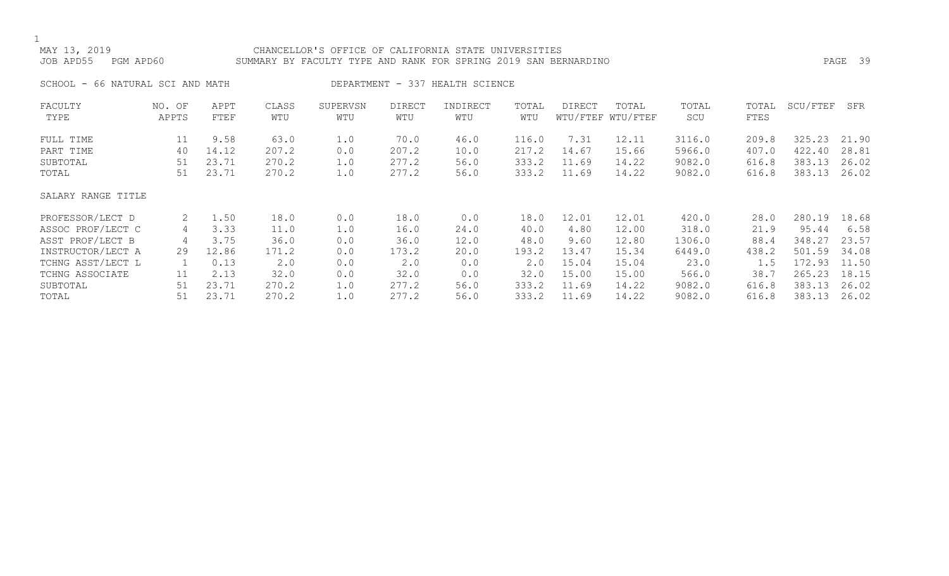## MAY 13, 2019 CHANCELLOR'S OFFICE OF CALIFORNIA STATE UNIVERSITIES JOB APD55 PGM APD60 SUMMARY BY FACULTY TYPE AND RANK FOR SPRING 2019 SAN BERNARDINO PAGE 39

SCHOOL - 66 NATURAL SCI AND MATH DEPARTMENT - 337 HEALTH SCIENCE

| FACULTY            | NO. OF | APPT  | CLASS | SUPERVSN | <b>DIRECT</b> | INDIRECT | TOTAL | DIRECT | TOTAL             | TOTAL  | TOTAL | SCU/FTEF | SFR   |
|--------------------|--------|-------|-------|----------|---------------|----------|-------|--------|-------------------|--------|-------|----------|-------|
| TYPE               | APPTS  | FTEF  | WTU   | WTU      | WTU           | WTU      | WTU   |        | WTU/FTEF WTU/FTEF | SCU    | FTES  |          |       |
| FULL TIME          | 11     | 9.58  | 63.0  | 1.0      | 70.0          | 46.0     | 116.0 | 7.31   | 12.11             | 3116.0 | 209.8 | 325.23   | 21.90 |
| PART TIME          | 40     | 14.12 | 207.2 | 0.0      | 207.2         | 10.0     | 217.2 | 14.67  | 15.66             | 5966.0 | 407.0 | 422.40   | 28.81 |
| SUBTOTAL           | 51     | 23.71 | 270.2 | 1.0      | 277.2         | 56.0     | 333.2 | 11.69  | 14.22             | 9082.0 | 616.8 | 383.13   | 26.02 |
| TOTAL              | 51     | 23.71 | 270.2 | 1.0      | 277.2         | 56.0     | 333.2 | 11.69  | 14.22             | 9082.0 | 616.8 | 383.13   | 26.02 |
| SALARY RANGE TITLE |        |       |       |          |               |          |       |        |                   |        |       |          |       |
| PROFESSOR/LECT D   | 2      | 1.50  | 18.0  | 0.0      | 18.0          | 0.0      | 18.0  | 12.01  | 12.01             | 420.0  | 28.0  | 280.19   | 18.68 |
| ASSOC PROF/LECT C  | 4      | 3.33  | 11.0  | 1.0      | 16.0          | 24.0     | 40.0  | 4.80   | 12.00             | 318.0  | 21.9  | 95.44    | 6.58  |
| ASST PROF/LECT B   | 4      | 3.75  | 36.0  | 0.0      | 36.0          | 12.0     | 48.0  | 9.60   | 12.80             | 1306.0 | 88.4  | 348.27   | 23.57 |
| INSTRUCTOR/LECT A  | 29     | 12.86 | 171.2 | 0.0      | 173.2         | 20.0     | 193.2 | 13.47  | 15.34             | 6449.0 | 438.2 | 501.59   | 34.08 |
| TCHNG ASST/LECT L  |        | 0.13  | 2.0   | 0.0      | 2.0           | 0.0      | 2.0   | 15.04  | 15.04             | 23.0   | 1.5   | 172.93   | 11.50 |
| TCHNG ASSOCIATE    | 11     | 2.13  | 32.0  | 0.0      | 32.0          | 0.0      | 32.0  | 15.00  | 15.00             | 566.0  | 38.7  | 265.23   | 18.15 |
| SUBTOTAL           | 51     | 23.71 | 270.2 | 1.0      | 277.2         | 56.0     | 333.2 | 11.69  | 14.22             | 9082.0 | 616.8 | 383.13   | 26.02 |
| TOTAL              | 51     | 23.71 | 270.2 | 1.0      | 277.2         | 56.0     | 333.2 | 11.69  | 14.22             | 9082.0 | 616.8 | 383.13   | 26.02 |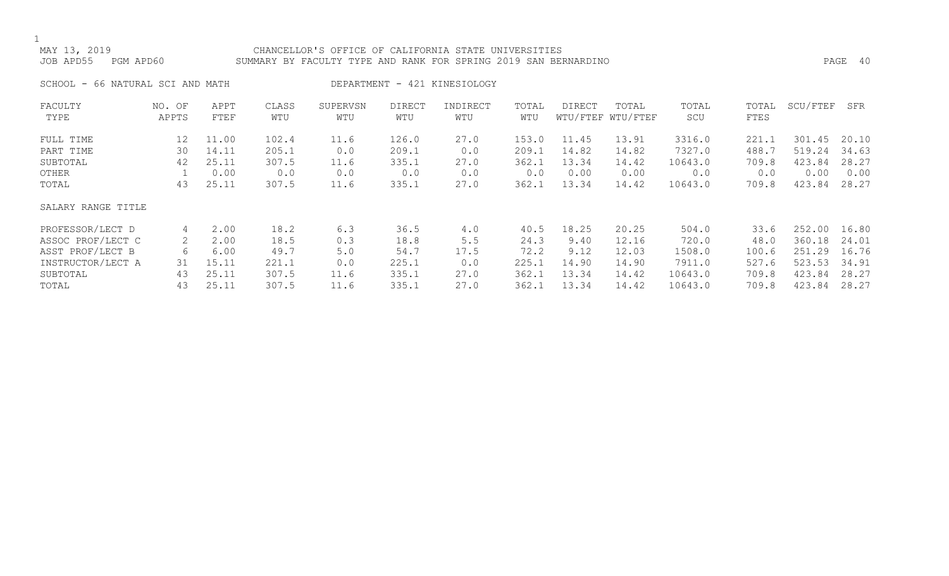MAY 13, 2019 CHANCELLOR'S OFFICE OF CALIFORNIA STATE UNIVERSITIES JOB APD55 PGM APD60 SUMMARY BY FACULTY TYPE AND RANK FOR SPRING 2019 SAN BERNARDINO PAGE 40

SCHOOL - 66 NATURAL SCI AND MATH DEPARTMENT - 421 KINESIOLOGY

| FACULTY            | NO. OF | APPT  | CLASS | SUPERVSN | <b>DIRECT</b> | INDIRECT | TOTAL | <b>DIRECT</b> | TOTAL             | TOTAL   | TOTAL | SCU/FTEF | SFR   |
|--------------------|--------|-------|-------|----------|---------------|----------|-------|---------------|-------------------|---------|-------|----------|-------|
| TYPE               | APPTS  | FTEF  | WTU   | WTU      | WTU           | WTU      | WTU   |               | WTU/FTEF WTU/FTEF | SCU     | FTES  |          |       |
| FULL TIME          | 12     | 11.00 | 102.4 | 11.6     | 126.0         | 27.0     | 153.0 | 11.45         | 13.91             | 3316.0  | 221.1 | 301.45   | 20.10 |
| PART TIME          | 30     | 14.11 | 205.1 | 0.0      | 209.1         | 0.0      | 209.1 | 14.82         | 14.82             | 7327.0  | 488.7 | 519.24   | 34.63 |
| SUBTOTAL           | 42     | 25.11 | 307.5 | 11.6     | 335.1         | 27.0     | 362.1 | 13.34         | 14.42             | 10643.0 | 709.8 | 423.84   | 28.27 |
| OTHER              |        | 0.00  | 0.0   | 0.0      | 0.0           | 0.0      | 0.0   | 0.00          | 0.00              | 0.0     | 0.0   | 0.00     | 0.00  |
| TOTAL              | 43     | 25.11 | 307.5 | 11.6     | 335.1         | 27.0     | 362.1 | 13.34         | 14.42             | 10643.0 | 709.8 | 423.84   | 28.27 |
| SALARY RANGE TITLE |        |       |       |          |               |          |       |               |                   |         |       |          |       |
| PROFESSOR/LECT D   | 4      | 2.00  | 18.2  | 6.3      | 36.5          | 4.0      | 40.5  | 18.25         | 20.25             | 504.0   | 33.6  | 252.00   | 16.80 |
| ASSOC PROF/LECT C  | 2      | 2.00  | 18.5  | 0.3      | 18.8          | 5.5      | 24.3  | 9.40          | 12.16             | 720.0   | 48.0  | 360.18   | 24.01 |
| ASST PROF/LECT B   | 6      | 6.00  | 49.7  | $5.0$    | 54.7          | 17.5     | 72.2  | 9.12          | 12.03             | 1508.0  | 100.6 | 251.29   | 16.76 |
| INSTRUCTOR/LECT A  | 31     | 15.11 | 221.1 | 0.0      | 225.1         | 0.0      | 225.1 | 14.90         | 14.90             | 7911.0  | 527.6 | 523.53   | 34.91 |
| SUBTOTAL           | 43     | 25.11 | 307.5 | 11.6     | 335.1         | 27.0     | 362.1 | 13.34         | 14.42             | 10643.0 | 709.8 | 423.84   | 28.27 |
| TOTAL              | 43     | 25.11 | 307.5 | 11.6     | 335.1         | 27.0     | 362.1 | 13.34         | 14.42             | 10643.0 | 709.8 | 423.84   | 28.27 |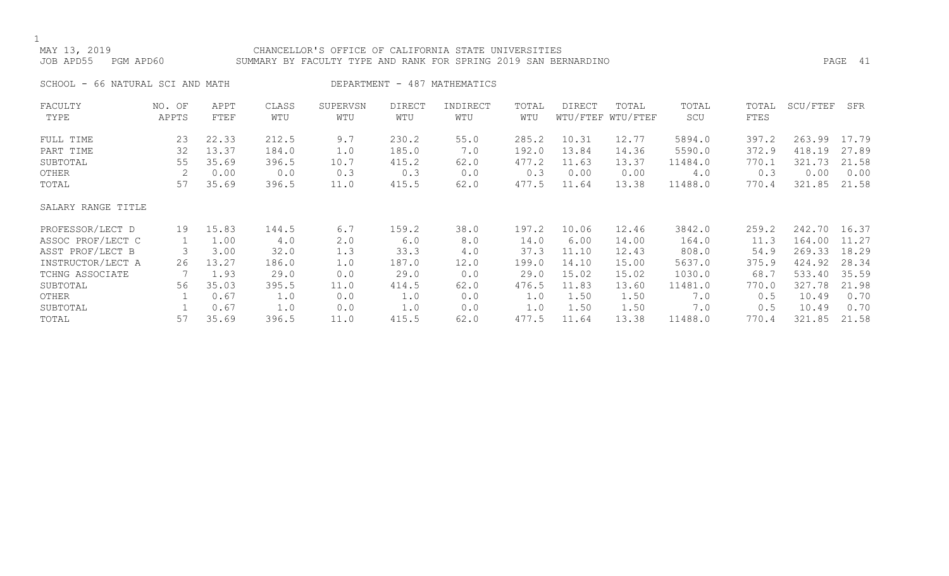## MAY 13, 2019 CHANCELLOR'S OFFICE OF CALIFORNIA STATE UNIVERSITIES JOB APD55 PGM APD60 SUMMARY BY FACULTY TYPE AND RANK FOR SPRING 2019 SAN BERNARDINO PAGE 41

SCHOOL - 66 NATURAL SCI AND MATH DEPARTMENT - 487 MATHEMATICS

| FACULTY            | NO. OF | APPT  | CLASS | SUPERVSN | <b>DIRECT</b> | INDIRECT | TOTAL | DIRECT | TOTAL             | TOTAL   | TOTAL | SCU/FTEF | SFR   |
|--------------------|--------|-------|-------|----------|---------------|----------|-------|--------|-------------------|---------|-------|----------|-------|
| TYPE               | APPTS  | FTEF  | WTU   | WTU      | WTU           | WTU      | WTU   |        | WTU/FTEF WTU/FTEF | SCU     | FTES  |          |       |
| FULL TIME          | 23     | 22.33 | 212.5 | 9.7      | 230.2         | 55.0     | 285.2 | 10.31  | 12.77             | 5894.0  | 397.2 | 263.99   | 17.79 |
| PART TIME          | 32     | 13.37 | 184.0 | 1.0      | 185.0         | 7.0      | 192.0 | 13.84  | 14.36             | 5590.0  | 372.9 | 418.19   | 27.89 |
| SUBTOTAL           | 55     | 35.69 | 396.5 | 10.7     | 415.2         | 62.0     | 477.2 | 11.63  | 13.37             | 11484.0 | 770.1 | 321.73   | 21.58 |
| OTHER              |        | 0.00  | 0.0   | 0.3      | 0.3           | 0.0      | 0.3   | 0.00   | 0.00              | 4.0     | 0.3   | 0.00     | 0.00  |
| TOTAL              | 57     | 35.69 | 396.5 | 11.0     | 415.5         | 62.0     | 477.5 | 11.64  | 13.38             | 11488.0 | 770.4 | 321.85   | 21.58 |
| SALARY RANGE TITLE |        |       |       |          |               |          |       |        |                   |         |       |          |       |
| PROFESSOR/LECT D   | 19     | 15.83 | 144.5 | 6.7      | 159.2         | 38.0     | 197.2 | 10.06  | 12.46             | 3842.0  | 259.2 | 242.70   | 16.37 |
| ASSOC PROF/LECT C  |        | 1.00  | 4.0   | 2.0      | 6.0           | 8.0      | 14.0  | 6.00   | 14.00             | 164.0   | 11.3  | 164.00   | 11.27 |
| ASST PROF/LECT B   | 3      | 3.00  | 32.0  | 1.3      | 33.3          | 4.0      | 37.3  | 11.10  | 12.43             | 808.0   | 54.9  | 269.33   | 18.29 |
| INSTRUCTOR/LECT A  | 26     | 13.27 | 186.0 | 1.0      | 187.0         | 12.0     | 199.0 | 14.10  | 15.00             | 5637.0  | 375.9 | 424.92   | 28.34 |
| TCHNG ASSOCIATE    |        | 1.93  | 29.0  | 0.0      | 29.0          | 0.0      | 29.0  | 15.02  | 15.02             | 1030.0  | 68.7  | 533.40   | 35.59 |
| SUBTOTAL           | 56     | 35.03 | 395.5 | 11.0     | 414.5         | 62.0     | 476.5 | 11.83  | 13.60             | 11481.0 | 770.0 | 327.78   | 21.98 |
| OTHER              |        | 0.67  | 1.0   | 0.0      | 1.0           | 0.0      | 1.0   | 1.50   | 1.50              | 7.0     | 0.5   | 10.49    | 0.70  |
| SUBTOTAL           |        | 0.67  | 1.0   | 0.0      | 1.0           | 0.0      | 1.0   | 1.50   | 1.50              | 7.0     | 0.5   | 10.49    | 0.70  |
| TOTAL              | 57     | 35.69 | 396.5 | 11.0     | 415.5         | 62.0     | 477.5 | 11.64  | 13.38             | 11488.0 | 770.4 | 321.85   | 21.58 |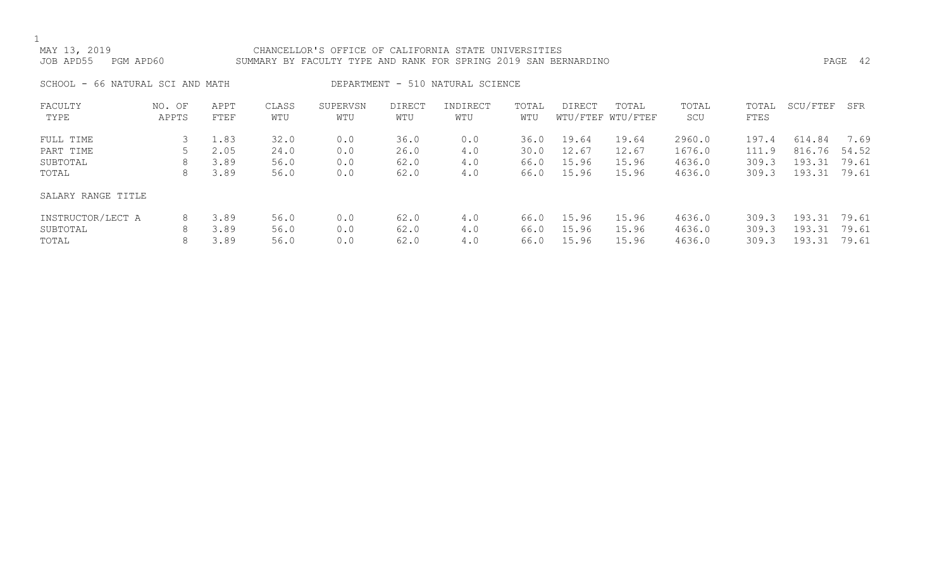## MAY 13, 2019 CHANCELLOR'S OFFICE OF CALIFORNIA STATE UNIVERSITIES JOB APD55 PGM APD60 SUMMARY BY FACULTY TYPE AND RANK FOR SPRING 2019 SAN BERNARDINO PAGE 42

SCHOOL - 66 NATURAL SCI AND MATH DEPARTMENT - 510 NATURAL SCIENCE

| FACULTY            | NO. OF | APPT | CLASS | SUPERVSN | <b>DIRECT</b> | INDIRECT | TOTAL | DIRECT | TOTAL             | TOTAL  | TOTAL | SCU/FTEF | SFR   |
|--------------------|--------|------|-------|----------|---------------|----------|-------|--------|-------------------|--------|-------|----------|-------|
| TYPE               | APPTS  | FTEF | WTU   | WTU      | WTU           | WTU      | WTU   |        | WTU/FTEF WTU/FTEF | SCU    | FTES  |          |       |
|                    |        |      |       |          |               |          |       |        |                   |        |       |          |       |
| FULL TIME          |        | 1.83 | 32.0  | 0.0      | 36.0          | 0.0      | 36.0  | 19.64  | 19.64             | 2960.0 | 197.4 | 614.84   | 7.69  |
| PART TIME          |        | 2.05 | 24.0  | 0.0      | 26.0          | 4.0      | 30.0  | 12.67  | 12.67             | 1676.0 | 111.9 | 816.76   | 54.52 |
| SUBTOTAL           | 8      | 3.89 | 56.0  | 0.0      | 62.0          | 4.0      | 66.0  | 15.96  | 15.96             | 4636.0 | 309.3 | 193.31   | 79.61 |
| TOTAL              | 8      | 3.89 | 56.0  | 0.0      | 62.0          | 4.0      | 66.0  | 15.96  | 15.96             | 4636.0 | 309.3 | 193.31   | 79.61 |
| SALARY RANGE TITLE |        |      |       |          |               |          |       |        |                   |        |       |          |       |
| INSTRUCTOR/LECT A  | 8      | 3.89 | 56.0  | 0.0      | 62.0          | 4.0      | 66.0  | 15.96  | 15.96             | 4636.0 | 309.3 | 193.31   | 79.61 |
| SUBTOTAL           | 8      | 3.89 | 56.0  | 0.0      | 62.0          | 4.0      | 66.0  | 15.96  | 15.96             | 4636.0 | 309.3 | 193.31   | 79.61 |
| TOTAL              | 8      | 3.89 | 56.0  | 0.0      | 62.0          | 4.0      | 66.0  | 15.96  | 15.96             | 4636.0 | 309.3 | 193.31   | 79.61 |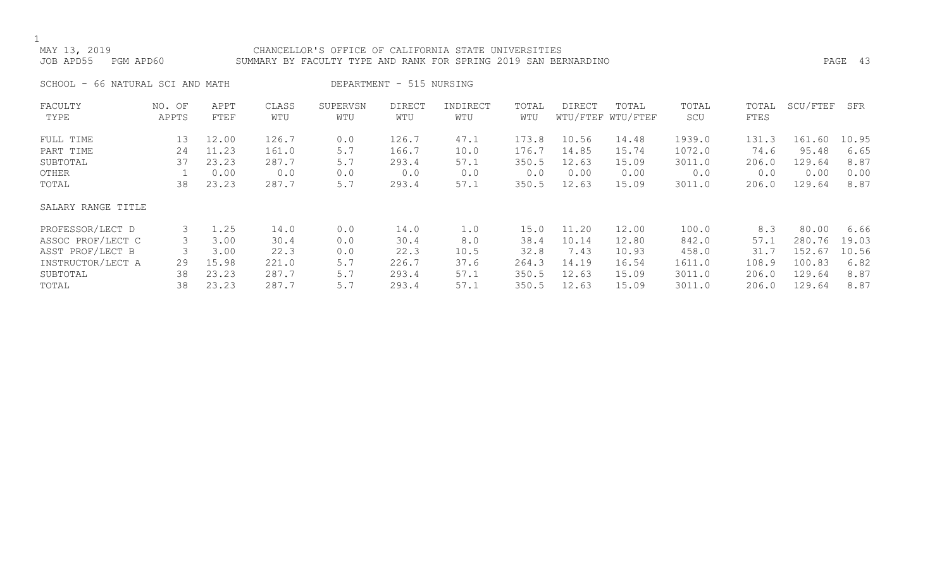## MAY 13, 2019 CHANCELLOR'S OFFICE OF CALIFORNIA STATE UNIVERSITIES JOB APD55 PGM APD60 SUMMARY BY FACULTY TYPE AND RANK FOR SPRING 2019 SAN BERNARDINO PAGE 43

SCHOOL - 66 NATURAL SCI AND MATH DEPARTMENT - 515 NURSING

| FACULTY            | NO. OF | APPT  | CLASS | SUPERVSN | <b>DIRECT</b> | INDIRECT | TOTAL | DIRECT | TOTAL             | TOTAL  | TOTAL | SCU/FTEF | SFR   |
|--------------------|--------|-------|-------|----------|---------------|----------|-------|--------|-------------------|--------|-------|----------|-------|
| TYPE               | APPTS  | FTEF  | WTU   | WTU      | WTU           | WTU      | WTU   |        | WTU/FTEF WTU/FTEF | SCU    | FTES  |          |       |
| FULL TIME          | 13     | 12.00 | 126.7 | 0.0      | 126.7         | 47.1     | 173.8 | 10.56  | 14.48             | 1939.0 | 131.3 | 161.60   | 10.95 |
| PART TIME          | 24     | 11.23 | 161.0 | 5.7      | 166.7         | 10.0     | 176.7 | 14.85  | 15.74             | 1072.0 | 74.6  | 95.48    | 6.65  |
| SUBTOTAL           | 37     | 23.23 | 287.7 | 5.7      | 293.4         | 57.1     | 350.5 | 12.63  | 15.09             | 3011.0 | 206.0 | 129.64   | 8.87  |
| OTHER              |        | 0.00  | 0.0   | 0.0      | 0.0           | 0.0      | 0.0   | 0.00   | 0.00              | 0.0    | 0.0   | 0.00     | 0.00  |
| TOTAL              | 38     | 23.23 | 287.7 | 5.7      | 293.4         | 57.1     | 350.5 | 12.63  | 15.09             | 3011.0 | 206.0 | 129.64   | 8.87  |
| SALARY RANGE TITLE |        |       |       |          |               |          |       |        |                   |        |       |          |       |
| PROFESSOR/LECT D   | 3      | 1.25  | 14.0  | 0.0      | 14.0          | 1.0      | 15.0  | 11.20  | 12.00             | 100.0  | 8.3   | 80.00    | 6.66  |
| ASSOC PROF/LECT C  |        | 3.00  | 30.4  | 0.0      | 30.4          | 8.0      | 38.4  | 10.14  | 12.80             | 842.0  | 57.1  | 280.76   | 19.03 |
| ASST PROF/LECT B   |        | 3.00  | 22.3  | 0.0      | 22.3          | 10.5     | 32.8  | 7.43   | 10.93             | 458.0  | 31.7  | 152.67   | 10.56 |
| INSTRUCTOR/LECT A  | 29     | 15.98 | 221.0 | 5.7      | 226.7         | 37.6     | 264.3 | 14.19  | 16.54             | 1611.0 | 108.9 | 100.83   | 6.82  |
| SUBTOTAL           | 38     | 23.23 | 287.7 | 5.7      | 293.4         | 57.1     | 350.5 | 12.63  | 15.09             | 3011.0 | 206.0 | 129.64   | 8.87  |
| TOTAL              | 38     | 23.23 | 287.7 | 5.7      | 293.4         | 57.1     | 350.5 | 12.63  | 15.09             | 3011.0 | 206.0 | 129.64   | 8.87  |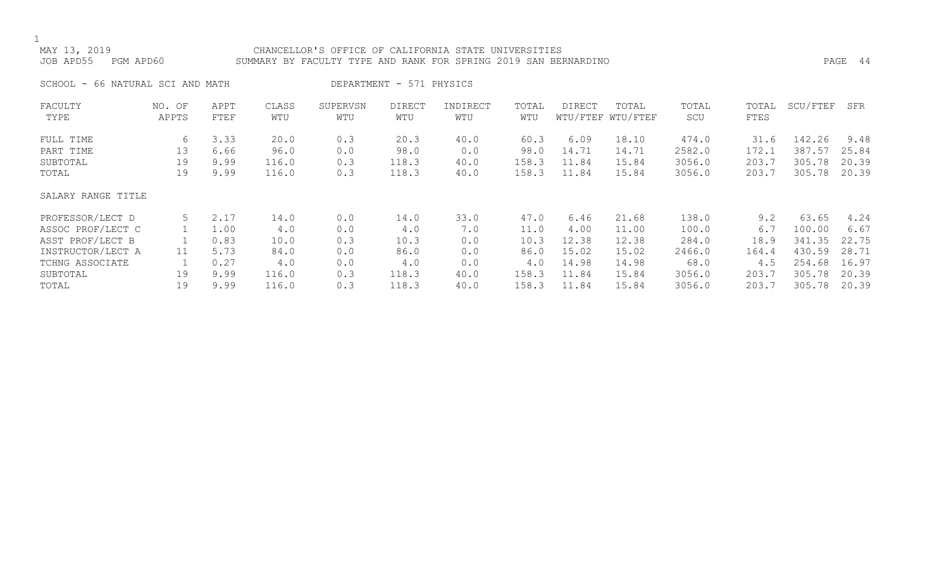## MAY 13, 2019 CHANCELLOR'S OFFICE OF CALIFORNIA STATE UNIVERSITIES JOB APD55 PGM APD60 SUMMARY BY FACULTY TYPE AND RANK FOR SPRING 2019 SAN BERNARDINO PAGE 44

SCHOOL - 66 NATURAL SCI AND MATH DEPARTMENT - 571 PHYSICS

| FACULTY            | NO. OF | APPT | CLASS | SUPERVSN | <b>DIRECT</b> | INDIRECT | TOTAL | DIRECT | TOTAL             | TOTAL  | TOTAL | SCU/FTEF | SFR   |
|--------------------|--------|------|-------|----------|---------------|----------|-------|--------|-------------------|--------|-------|----------|-------|
| TYPE               | APPTS  | FTEF | WTU   | WTU      | WTU           | WTU      | WTU   |        | WTU/FTEF WTU/FTEF | SCU    | FTES  |          |       |
| FULL TIME          | 6      | 3.33 | 20.0  | 0.3      | 20.3          | 40.0     | 60.3  | 6.09   | 18.10             | 474.0  | 31.6  | 142.26   | 9.48  |
| PART TIME          | 13     | 6.66 | 96.0  |          |               |          | 98.0  | 14.71  | 14.71             | 2582.0 | 172.1 | 387.57   | 25.84 |
|                    |        |      |       | 0.0      | 98.0          | 0.0      |       |        |                   |        |       |          |       |
| SUBTOTAL           | 19     | 9.99 | 116.0 | 0.3      | 118.3         | 40.0     | 158.3 | 11.84  | 15.84             | 3056.0 | 203.7 | 305.78   | 20.39 |
| TOTAL              | 19     | 9.99 | 116.0 | 0.3      | 118.3         | 40.0     | 158.3 | 11.84  | 15.84             | 3056.0 | 203.7 | 305.78   | 20.39 |
|                    |        |      |       |          |               |          |       |        |                   |        |       |          |       |
| SALARY RANGE TITLE |        |      |       |          |               |          |       |        |                   |        |       |          |       |
| PROFESSOR/LECT D   | 5      | 2.17 | 14.0  | 0.0      | 14.0          | 33.0     | 47.0  | 6.46   | 21.68             | 138.0  | 9.2   | 63.65    | 4.24  |
| ASSOC PROF/LECT C  |        | 1.00 | 4.0   | 0.0      | 4.0           | 7.0      | 11.0  | 4.00   | 11.00             | 100.0  | 6.7   | 100.00   | 6.67  |
| ASST PROF/LECT B   |        | 0.83 | 10.0  | 0.3      | 10.3          | 0.0      | 10.3  | 12.38  | 12.38             | 284.0  | 18.9  | 341.35   | 22.75 |
| INSTRUCTOR/LECT A  | 11     | 5.73 | 84.0  | 0.0      | 86.0          | 0.0      | 86.0  | 15.02  | 15.02             | 2466.0 | 164.4 | 430.59   | 28.71 |
| TCHNG ASSOCIATE    |        | 0.27 | 4.0   | 0.0      | 4.0           | 0.0      | 4.0   | 14.98  | 14.98             | 68.0   | 4.5   | 254.68   | 16.97 |
| SUBTOTAL           | 19     | 9.99 | 116.0 | 0.3      | 118.3         | 40.0     | 158.3 | 11.84  | 15.84             | 3056.0 | 203.7 | 305.78   | 20.39 |
| TOTAL              | 19     | 9.99 | 116.0 | 0.3      | 118.3         | 40.0     | 158.3 | 11.84  | 15.84             | 3056.0 | 203.7 | 305.78   | 20.39 |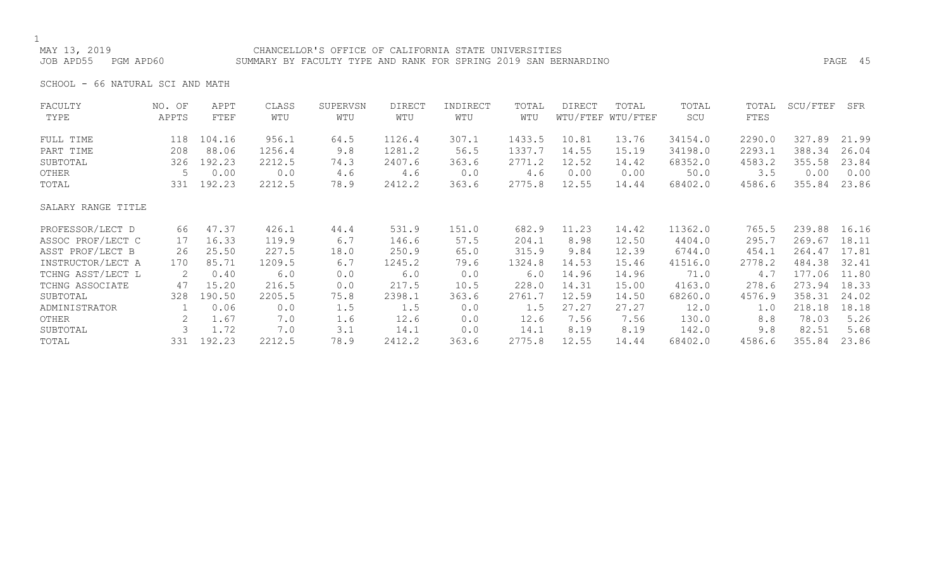### CHANCELLOR'S OFFICE OF CALIFORNIA STATE UNIVERSITIES JOB APD55 PGM APD60 SUMMARY BY FACULTY TYPE AND RANK FOR SPRING 2019 SAN BERNARDINO PAGE 45

SCHOOL - 66 NATURAL SCI AND MATH

| FACULTY<br>TYPE    | NO. OF | APPT<br>FTEF | CLASS<br>WTU | SUPERVSN | <b>DIRECT</b><br>WTU | INDIRECT | TOTAL<br>WTU | DIRECT | TOTAL<br>WTU/FTEF WTU/FTEF | TOTAL   | TOTAL<br>FTES | SCU/FTEF | SFR   |
|--------------------|--------|--------------|--------------|----------|----------------------|----------|--------------|--------|----------------------------|---------|---------------|----------|-------|
|                    | APPTS  |              |              | WTU      |                      | WTU      |              |        |                            | SCU     |               |          |       |
| FULL TIME          | 118    | 104.16       | 956.1        | 64.5     | 1126.4               | 307.1    | 1433.5       | 10.81  | 13.76                      | 34154.0 | 2290.0        | 327.89   | 21.99 |
| PART TIME          | 208    | 88.06        | 1256.4       | 9.8      | 1281.2               | 56.5     | 1337.7       | 14.55  | 15.19                      | 34198.0 | 2293.1        | 388.34   | 26.04 |
| SUBTOTAL           | 326    | 192.23       | 2212.5       | 74.3     | 2407.6               | 363.6    | 2771.2       | 12.52  | 14.42                      | 68352.0 | 4583.2        | 355.58   | 23.84 |
| OTHER              | 5      | 0.00         | 0.0          | 4.6      | 4.6                  | 0.0      | 4.6          | 0.00   | 0.00                       | 50.0    | 3.5           | 0.00     | 0.00  |
| TOTAL              |        | 331 192.23   | 2212.5       | 78.9     | 2412.2               | 363.6    | 2775.8       | 12.55  | 14.44                      | 68402.0 | 4586.6        | 355.84   | 23.86 |
| SALARY RANGE TITLE |        |              |              |          |                      |          |              |        |                            |         |               |          |       |
| PROFESSOR/LECT D   | 66     | 47.37        | 426.1        | 44.4     | 531.9                | 151.0    | 682.9        | 11.23  | 14.42                      | 11362.0 | 765.5         | 239.88   | 16.16 |
| ASSOC PROF/LECT C  | 17     | 16.33        | 119.9        | 6.7      | 146.6                | 57.5     | 204.1        | 8.98   | 12.50                      | 4404.0  | 295.7         | 269.67   | 18.11 |
| ASST PROF/LECT B   | 26     | 25.50        | 227.5        | 18.0     | 250.9                | 65.0     | 315.9        | 9.84   | 12.39                      | 6744.0  | 454.1         | 264.47   | 17.81 |
| INSTRUCTOR/LECT A  | 170    | 85.71        | 1209.5       | 6.7      | 1245.2               | 79.6     | 1324.8       | 14.53  | 15.46                      | 41516.0 | 2778.2        | 484.38   | 32.41 |
| TCHNG ASST/LECT L  | 2      | 0.40         | 6.0          | 0.0      | 6.0                  | 0.0      | 6.0          | 14.96  | 14.96                      | 71.0    | 4.7           | 177.06   | 11.80 |
| TCHNG ASSOCIATE    | 47     | 15.20        | 216.5        | 0.0      | 217.5                | 10.5     | 228.0        | 14.31  | 15.00                      | 4163.0  | 278.6         | 273.94   | 18.33 |
| SUBTOTAL           | 328    | 190.50       | 2205.5       | 75.8     | 2398.1               | 363.6    | 2761.7       | 12.59  | 14.50                      | 68260.0 | 4576.9        | 358.31   | 24.02 |
| ADMINISTRATOR      |        | 0.06         | 0.0          | 1.5      | 1.5                  | 0.0      | 1.5          | 27.27  | 27.27                      | 12.0    | 1.0           | 218.18   | 18.18 |
| OTHER              | 2      | 1.67         | 7.0          | 1.6      | 12.6                 | 0.0      | 12.6         | 7.56   | 7.56                       | 130.0   | 8.8           | 78.03    | 5.26  |
| SUBTOTAL           |        | 1.72         | 7.0          | 3.1      | 14.1                 | 0.0      | 14.1         | 8.19   | 8.19                       | 142.0   | 9.8           | 82.51    | 5.68  |
| TOTAL              | 331    | 192.23       | 2212.5       | 78.9     | 2412.2               | 363.6    | 2775.8       | 12.55  | 14.44                      | 68402.0 | 4586.6        | 355.84   | 23.86 |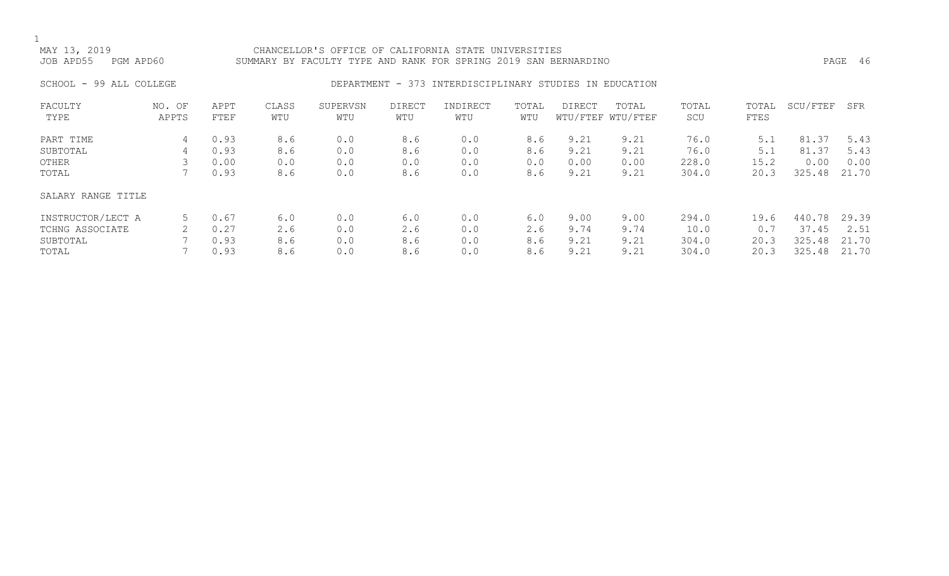### MAY 13, 2019 CHANCELLOR'S OFFICE OF CALIFORNIA STATE UNIVERSITIES JOB APD55 PGM APD60 SUMMARY BY FACULTY TYPE AND RANK FOR SPRING 2019 SAN BERNARDINO PAGE 46

## SCHOOL - 99 ALL COLLEGE CONSERVERS OF DEPARTMENT - 373 INTERDISCIPLINARY STUDIES IN EDUCATION

| FACULTY            | OF<br>NO. | APPT | CLASS | SUPERVSN | DIRECT | INDIRECT | TOTAL | DIRECT | TOTAL             | TOTAL | TOTAL | SCU/FTEF  | SFR   |
|--------------------|-----------|------|-------|----------|--------|----------|-------|--------|-------------------|-------|-------|-----------|-------|
| TYPE               | APPTS     | FTEF | WTU   | WTU      | WTU    | WTU      | WTU   |        | WTU/FTEF WTU/FTEF | SCU   | FTES  |           |       |
| PART TIME          | 4         | 0.93 | 8.6   | 0.0      | 8.6    | 0.0      | 8.6   | 9.21   | 9.21              | 76.0  | 5.1   | .37<br>81 | 5.43  |
| SUBTOTAL           | 4         | 0.93 | 8.6   | 0.0      | 8.6    | 0.0      | 8.6   | 9.21   | 9.21              | 76.0  | 5.1   | 81.37     | 5.43  |
| OTHER              |           | 0.00 | 0.0   | 0.0      | 0.0    | 0.0      | 0.0   | 0.00   | 0.00              | 228.0 | 15.2  | 0.00      | 0.00  |
| TOTAL              |           | 0.93 | 8.6   | 0.0      | 8.6    | 0.0      | 8.6   | 9.21   | 9.21              | 304.0 | 20.3  | 325.48    | 21.70 |
| SALARY RANGE TITLE |           |      |       |          |        |          |       |        |                   |       |       |           |       |
| INSTRUCTOR/LECT A  | 5         | 0.67 | 6.0   | 0.0      | 6.0    | 0.0      | 6.0   | 9.00   | 9.00              | 294.0 | 19.6  | 440.78    | 29.39 |
| TCHNG ASSOCIATE    |           | 0.27 | 2.6   | 0.0      | 2.6    | 0.0      | 2.6   | 9.74   | 9.74              | 10.0  | 0.7   | 37.45     | 2.51  |
| SUBTOTAL           |           | 0.93 | 8.6   | 0.0      | 8.6    | 0.0      | 8.6   | 9.21   | 9.21              | 304.0 | 20.3  | 325.48    | 21.70 |
| TOTAL              |           | 0.93 | 8.6   | 0.0      | 8.6    | 0.0      | 8.6   | 9.21   | 9.21              | 304.0 | 20.3  | 325.48    | 21.70 |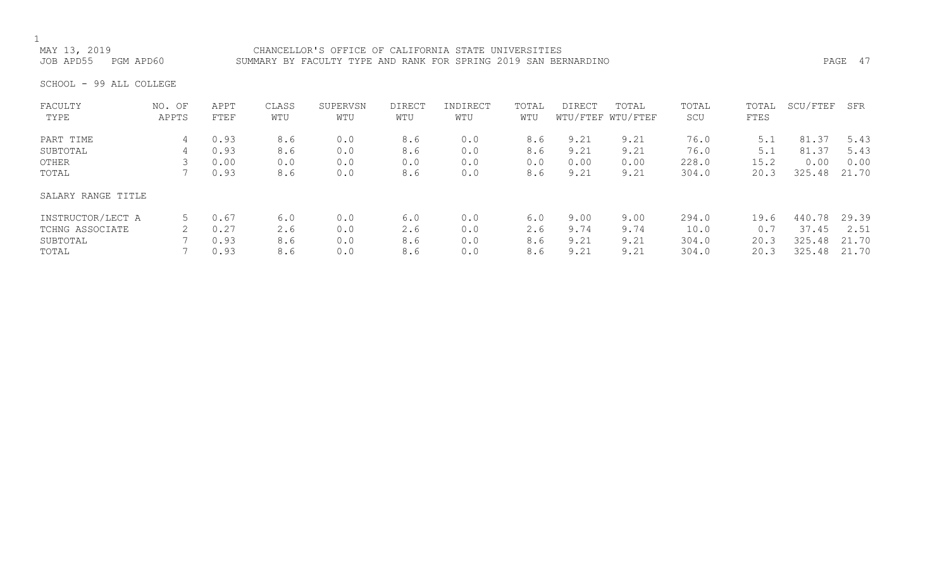MAY 13, 2019 CHANCELLOR'S OFFICE OF CALIFORNIA STATE UNIVERSITIES SUMMARY BY FACULTY TYPE AND RANK FOR SPRING 2019 SAN BERNARDINO **PAGE 17** PAGE 47

SCHOOL - 99 ALL COLLEGE

| FACULTY<br>TYPE    | NO. OF<br>APPTS | APPT<br>FTEF | CLASS<br>WTU | SUPERVSN<br>WTU | <b>DIRECT</b><br>WTU | INDIRECT<br>WTU | TOTAL<br>WTU | <b>DIRECT</b> | TOTAL<br>WTU/FTEF WTU/FTEF | TOTAL<br>SCU | TOTAL<br>FTES | SCU/FTEF | SFR   |
|--------------------|-----------------|--------------|--------------|-----------------|----------------------|-----------------|--------------|---------------|----------------------------|--------------|---------------|----------|-------|
|                    |                 |              |              |                 |                      |                 |              |               |                            |              |               |          |       |
| PART TIME          | 4               | 0.93         | 8.6          | 0.0             | 8.6                  | 0.0             | 8.6          | 9.21          | 9.21                       | 76.0         | 5.1           | 81.37    | 5.43  |
| SUBTOTAL           | 4               | 0.93         | 8.6          | 0.0             | 8.6                  | 0.0             | 8.6          | 9.21          | 9.21                       | 76.0         | 5.1           | 81.37    | 5.43  |
| OTHER              |                 | 0.00         | 0.0          | 0.0             | 0.0                  | 0.0             | 0.0          | 0.00          | 0.00                       | 228.0        | 15.2          | 0.00     | 0.00  |
| TOTAL              |                 | 0.93         | 8.6          | 0.0             | 8.6                  | 0.0             | 8.6          | 9.21          | 9.21                       | 304.0        | 20.3          | 325.48   | 21.70 |
| SALARY RANGE TITLE |                 |              |              |                 |                      |                 |              |               |                            |              |               |          |       |
| INSTRUCTOR/LECT A  | 5               | 0.67         | 6.0          | 0.0             | 6.0                  | 0.0             | 6.0          | 9.00          | 9.00                       | 294.0        | 19.6          | 440.78   | 29.39 |
| TCHNG ASSOCIATE    |                 | 0.27         | 2.6          | 0.0             | 2.6                  | 0.0             | 2.6          | 9.74          | 9.74                       | 10.0         | 0.7           | 37.45    | 2.51  |
| SUBTOTAL           |                 | 0.93         | 8.6          | 0.0             | 8.6                  | 0.0             | 8.6          | 9.21          | 9.21                       | 304.0        | 20.3          | 325.48   | 21.70 |
| TOTAL              |                 | 0.93         | 8.6          | 0.0             | 8.6                  | 0.0             | 8.6          | 9.21          | 9.21                       | 304.0        | 20.3          | 325.48   | 21.70 |